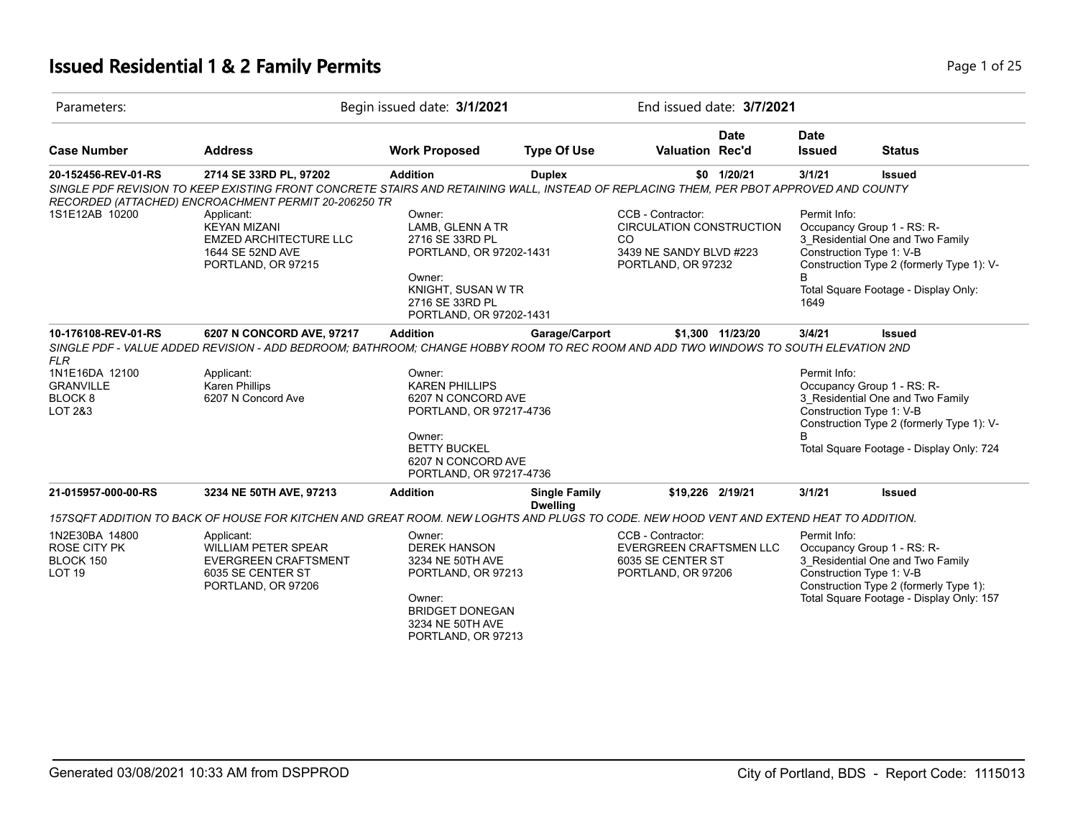## **Issued Residential 1 & 2 Family Permits Page 1 of 25 Page 1 of 25**

| Parameters:                                                                    |                                                                                                                                                                                                                                                              | Begin issued date: 3/1/2021                                                                                                                            |                                         |                                                                                                              | End issued date: 3/7/2021 |                              |                                                                                                                                                                                  |
|--------------------------------------------------------------------------------|--------------------------------------------------------------------------------------------------------------------------------------------------------------------------------------------------------------------------------------------------------------|--------------------------------------------------------------------------------------------------------------------------------------------------------|-----------------------------------------|--------------------------------------------------------------------------------------------------------------|---------------------------|------------------------------|----------------------------------------------------------------------------------------------------------------------------------------------------------------------------------|
| <b>Case Number</b>                                                             | <b>Address</b>                                                                                                                                                                                                                                               | <b>Work Proposed</b>                                                                                                                                   | <b>Type Of Use</b>                      | <b>Valuation Rec'd</b>                                                                                       | <b>Date</b>               | <b>Date</b><br><b>Issued</b> | <b>Status</b>                                                                                                                                                                    |
| 20-152456-REV-01-RS                                                            | 2714 SE 33RD PL, 97202<br>SINGLE PDF REVISION TO KEEP EXISTING FRONT CONCRETE STAIRS AND RETAINING WALL. INSTEAD OF REPLACING THEM, PER PBOT APPROVED AND COUNTY<br>RECORDED (ATTACHED) ENCROACHMENT PERMIT 20-206250 TR                                     | <b>Addition</b>                                                                                                                                        | <b>Duplex</b>                           |                                                                                                              | \$0 1/20/21               | 3/1/21                       | <b>Issued</b>                                                                                                                                                                    |
| 1S1E12AB 10200                                                                 | Applicant:<br><b>KEYAN MIZANI</b><br><b>EMZED ARCHITECTURE LLC</b><br>1644 SE 52ND AVE<br>PORTLAND, OR 97215                                                                                                                                                 | Owner:<br>LAMB, GLENN A TR<br>2716 SE 33RD PL<br>PORTLAND, OR 97202-1431<br>Owner:<br>KNIGHT, SUSAN W TR<br>2716 SE 33RD PL<br>PORTLAND, OR 97202-1431 |                                         | CCB - Contractor:<br><b>CIRCULATION CONSTRUCTION</b><br>CO.<br>3439 NE SANDY BLVD #223<br>PORTLAND, OR 97232 |                           | Permit Info:<br>1649         | Occupancy Group 1 - RS: R-<br>3 Residential One and Two Family<br>Construction Type 1: V-B<br>Construction Type 2 (formerly Type 1): V-<br>Total Square Footage - Display Only:  |
| 10-176108-REV-01-RS<br><b>FLR</b>                                              | 6207 N CONCORD AVE, 97217<br>SINGLE PDF - VALUE ADDED REVISION - ADD BEDROOM; BATHROOM; CHANGE HOBBY ROOM TO REC ROOM AND ADD TWO WINDOWS TO SOUTH ELEVATION 2ND                                                                                             | <b>Addition</b>                                                                                                                                        | Garage/Carport                          |                                                                                                              | \$1,300 11/23/20          | 3/4/21                       | <b>Issued</b>                                                                                                                                                                    |
| 1N1E16DA 12100<br><b>GRANVILLE</b><br><b>BLOCK8</b><br><b>LOT 2&amp;3</b>      | Applicant:<br><b>Karen Phillips</b><br>6207 N Concord Ave                                                                                                                                                                                                    | Owner:<br><b>KAREN PHILLIPS</b><br>6207 N CONCORD AVE<br>PORTLAND, OR 97217-4736<br>Owner:                                                             |                                         |                                                                                                              |                           | Permit Info:<br>R            | Occupancy Group 1 - RS: R-<br>3_Residential One and Two Family<br>Construction Type 1: V-B<br>Construction Type 2 (formerly Type 1): V-                                          |
|                                                                                |                                                                                                                                                                                                                                                              | <b>BETTY BUCKEL</b><br>6207 N CONCORD AVE<br>PORTLAND, OR 97217-4736                                                                                   |                                         |                                                                                                              |                           |                              | Total Square Footage - Display Only: 724                                                                                                                                         |
| 21-015957-000-00-RS                                                            | 3234 NE 50TH AVE, 97213                                                                                                                                                                                                                                      | <b>Addition</b>                                                                                                                                        | <b>Single Family</b><br><b>Dwelling</b> | \$19,226 2/19/21                                                                                             |                           | 3/1/21                       | <b>Issued</b>                                                                                                                                                                    |
| 1N2E30BA 14800<br><b>ROSE CITY PK</b><br><b>BLOCK 150</b><br>LOT <sub>19</sub> | 157SQFT ADDITION TO BACK OF HOUSE FOR KITCHEN AND GREAT ROOM. NEW LOGHTS AND PLUGS TO CODE. NEW HOOD VENT AND EXTEND HEAT TO ADDITION.<br>Applicant:<br><b>WILLIAM PETER SPEAR</b><br><b>EVERGREEN CRAFTSMENT</b><br>6035 SE CENTER ST<br>PORTLAND, OR 97206 | Owner:<br><b>DEREK HANSON</b><br>3234 NE 50TH AVE<br>PORTLAND, OR 97213<br>Owner:<br><b>BRIDGET DONEGAN</b><br>3234 NE 50TH AVE<br>PORTLAND, OR 97213  |                                         | CCB - Contractor:<br>EVERGREEN CRAFTSMEN LLC<br>6035 SE CENTER ST<br>PORTLAND, OR 97206                      |                           | Permit Info:                 | Occupancy Group 1 - RS: R-<br>3_Residential One and Two Family<br>Construction Type 1: V-B<br>Construction Type 2 (formerly Type 1):<br>Total Square Footage - Display Only: 157 |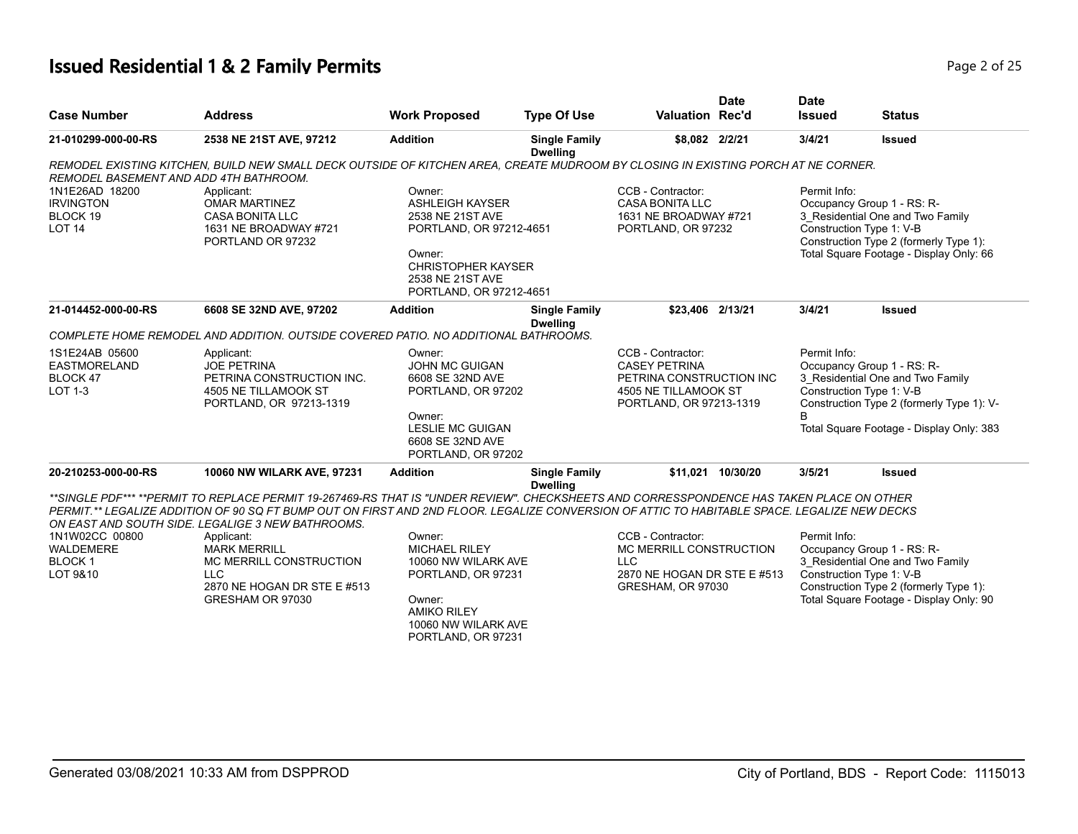| <b>Case Number</b>                                                  | <b>Address</b>                                                                                                                                                                                                                                                                                                                                                                                                                                                                 | <b>Work Proposed</b>                                                                                                                                                  | <b>Type Of Use</b>                      | <b>Valuation Rec'd</b>                                                                                                   | <b>Date</b>       | <b>Date</b><br><b>Issued</b>                                                                                                                                                                             | <b>Status</b>                                                                                                                                                                   |
|---------------------------------------------------------------------|--------------------------------------------------------------------------------------------------------------------------------------------------------------------------------------------------------------------------------------------------------------------------------------------------------------------------------------------------------------------------------------------------------------------------------------------------------------------------------|-----------------------------------------------------------------------------------------------------------------------------------------------------------------------|-----------------------------------------|--------------------------------------------------------------------------------------------------------------------------|-------------------|----------------------------------------------------------------------------------------------------------------------------------------------------------------------------------------------------------|---------------------------------------------------------------------------------------------------------------------------------------------------------------------------------|
| 21-010299-000-00-RS                                                 | 2538 NE 21ST AVE, 97212                                                                                                                                                                                                                                                                                                                                                                                                                                                        | <b>Addition</b>                                                                                                                                                       | <b>Single Family</b><br><b>Dwelling</b> | \$8,082 2/2/21                                                                                                           |                   | 3/4/21                                                                                                                                                                                                   | <b>Issued</b>                                                                                                                                                                   |
| REMODEL BASEMENT AND ADD 4TH BATHROOM.                              | REMODEL EXISTING KITCHEN, BUILD NEW SMALL DECK OUTSIDE OF KITCHEN AREA, CREATE MUDROOM BY CLOSING IN EXISTING PORCH AT NE CORNER.                                                                                                                                                                                                                                                                                                                                              |                                                                                                                                                                       |                                         |                                                                                                                          |                   |                                                                                                                                                                                                          |                                                                                                                                                                                 |
| 1N1E26AD 18200<br><b>IRVINGTON</b><br>BLOCK 19<br><b>LOT 14</b>     | Applicant:<br><b>OMAR MARTINEZ</b><br><b>CASA BONITA LLC</b><br>1631 NE BROADWAY #721<br>PORTLAND OR 97232                                                                                                                                                                                                                                                                                                                                                                     | Owner:<br><b>ASHLEIGH KAYSER</b><br>2538 NE 21ST AVE<br>PORTLAND, OR 97212-4651<br>Owner:<br><b>CHRISTOPHER KAYSER</b><br>2538 NE 21ST AVE<br>PORTLAND, OR 97212-4651 |                                         | CCB - Contractor:<br><b>CASA BONITA LLC</b><br>1631 NE BROADWAY #721<br>PORTLAND, OR 97232<br>\$23,406 2/13/21           |                   | Permit Info:<br>Occupancy Group 1 - RS: R-<br>3_Residential One and Two Family<br>Construction Type 1: V-B<br>Construction Type 2 (formerly Type 1):<br>Total Square Footage - Display Only: 66          |                                                                                                                                                                                 |
| 21-014452-000-00-RS                                                 | 6608 SE 32ND AVE, 97202                                                                                                                                                                                                                                                                                                                                                                                                                                                        | <b>Addition</b>                                                                                                                                                       | <b>Single Family</b><br><b>Dwelling</b> |                                                                                                                          |                   | 3/4/21                                                                                                                                                                                                   | <b>Issued</b>                                                                                                                                                                   |
|                                                                     | COMPLETE HOME REMODEL AND ADDITION. OUTSIDE COVERED PATIO. NO ADDITIONAL BATHROOMS.                                                                                                                                                                                                                                                                                                                                                                                            |                                                                                                                                                                       |                                         |                                                                                                                          |                   |                                                                                                                                                                                                          |                                                                                                                                                                                 |
| 1S1E24AB 05600<br><b>EASTMORELAND</b><br>BLOCK 47<br><b>LOT 1-3</b> | Applicant:<br><b>JOE PETRINA</b><br>PETRINA CONSTRUCTION INC.<br>4505 NE TILLAMOOK ST<br>PORTLAND, OR 97213-1319                                                                                                                                                                                                                                                                                                                                                               | Owner:<br>JOHN MC GUIGAN<br>6608 SE 32ND AVE<br>PORTLAND, OR 97202<br>Owner:<br><b>LESLIE MC GUIGAN</b><br>6608 SE 32ND AVE<br>PORTLAND, OR 97202                     |                                         | CCB - Contractor:<br><b>CASEY PETRINA</b><br>PETRINA CONSTRUCTION INC<br>4505 NE TILLAMOOK ST<br>PORTLAND, OR 97213-1319 |                   | Permit Info:<br>Occupancy Group 1 - RS: R-<br>3 Residential One and Two Family<br>Construction Type 1: V-B<br>Construction Type 2 (formerly Type 1): V-<br>B<br>Total Square Footage - Display Only: 383 |                                                                                                                                                                                 |
| 20-210253-000-00-RS                                                 | 10060 NW WILARK AVE, 97231                                                                                                                                                                                                                                                                                                                                                                                                                                                     | <b>Addition</b>                                                                                                                                                       | <b>Single Family</b><br><b>Dwelling</b> |                                                                                                                          | \$11.021 10/30/20 | 3/5/21                                                                                                                                                                                                   | <b>Issued</b>                                                                                                                                                                   |
| 1N1W02CC 00800<br><b>WALDEMERE</b><br><b>BLOCK1</b><br>LOT 9&10     | **SINGLE PDF*** **PERMIT TO REPLACE PERMIT 19-267469-RS THAT IS "UNDER REVIEW". CHECKSHEETS AND CORRESSPONDENCE HAS TAKEN PLACE ON OTHER<br>PERMIT.** LEGALIZE ADDITION OF 90 SQ FT BUMP OUT ON FIRST AND 2ND FLOOR. LEGALIZE CONVERSION OF ATTIC TO HABITABLE SPACE. LEGALIZE NEW DECKS<br>ON EAST AND SOUTH SIDE. LEGALIGE 3 NEW BATHROOMS.<br>Applicant:<br><b>MARK MERRILL</b><br>MC MERRILL CONSTRUCTION<br><b>LLC</b><br>2870 NE HOGAN DR STE E #513<br>GRESHAM OR 97030 | Owner:<br><b>MICHAEL RILEY</b><br>10060 NW WILARK AVE<br>PORTLAND, OR 97231<br>Owner:<br><b>AMIKO RILEY</b><br>10060 NW WILARK AVE<br>PORTLAND, OR 97231              |                                         | CCB - Contractor:<br>MC MERRILL CONSTRUCTION<br><b>LLC</b><br>2870 NE HOGAN DR STE E #513<br>GRESHAM, OR 97030           |                   | Permit Info:                                                                                                                                                                                             | Occupancy Group 1 - RS: R-<br>3_Residential One and Two Family<br>Construction Type 1: V-B<br>Construction Type 2 (formerly Type 1):<br>Total Square Footage - Display Only: 90 |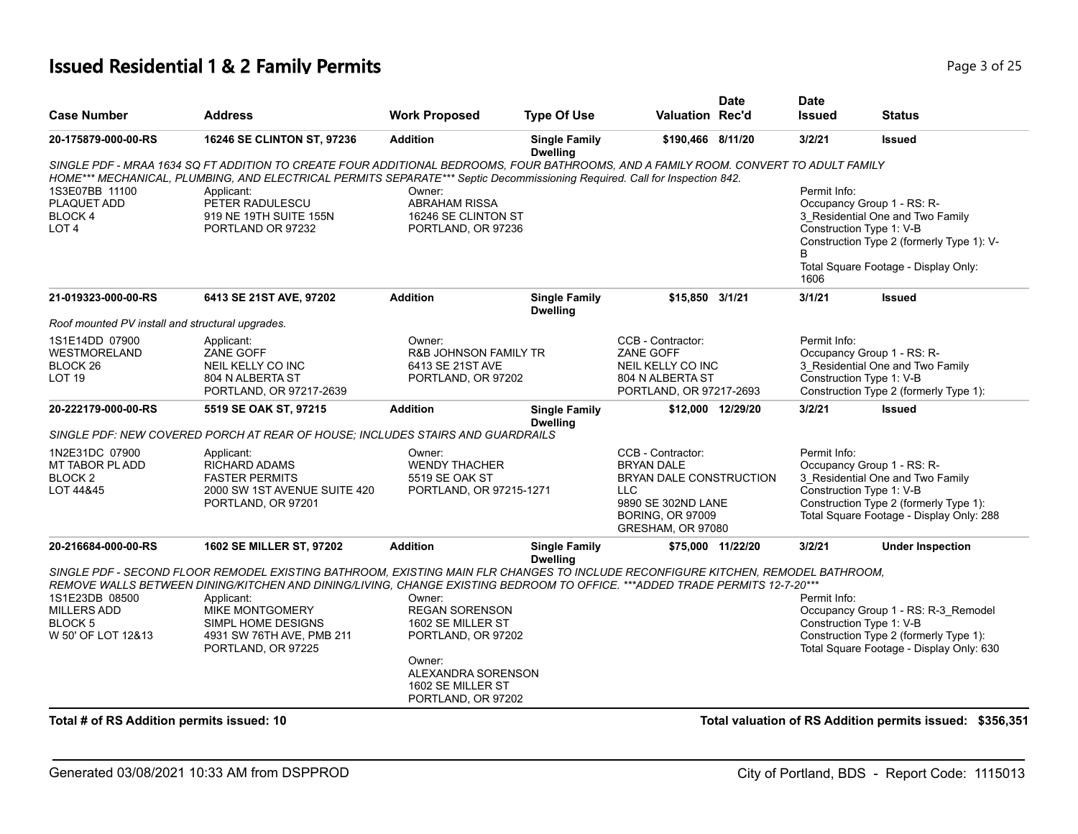| <b>Case Number</b>                               | <b>Address</b>                                                                                                                                                                                                                                                     | <b>Work Proposed</b>                              | <b>Type Of Use</b>                      | <b>Valuation Rec'd</b>                        | <b>Date</b>       | <b>Date</b><br><b>Issued</b> | <b>Status</b>                                                                      |
|--------------------------------------------------|--------------------------------------------------------------------------------------------------------------------------------------------------------------------------------------------------------------------------------------------------------------------|---------------------------------------------------|-----------------------------------------|-----------------------------------------------|-------------------|------------------------------|------------------------------------------------------------------------------------|
| 20-175879-000-00-RS                              | 16246 SE CLINTON ST, 97236                                                                                                                                                                                                                                         | <b>Addition</b>                                   | <b>Single Family</b><br><b>Dwelling</b> | \$190,466 8/11/20                             |                   | 3/2/21                       | <b>Issued</b>                                                                      |
|                                                  | SINGLE PDF - MRAA 1634 SQ FT ADDITION TO CREATE FOUR ADDITIONAL BEDROOMS, FOUR BATHROOMS, AND A FAMILY ROOM. CONVERT TO ADULT FAMILY<br>HOME*** MECHANICAL, PLUMBING, AND ELECTRICAL PERMITS SEPARATE*** Septic Decommissioning Required. Call for Inspection 842. |                                                   |                                         |                                               |                   |                              |                                                                                    |
| 1S3E07BB 11100                                   | Applicant:                                                                                                                                                                                                                                                         | Owner:                                            |                                         |                                               |                   | Permit Info:                 |                                                                                    |
| PLAQUET ADD                                      | PETER RADULESCU                                                                                                                                                                                                                                                    | <b>ABRAHAM RISSA</b>                              |                                         |                                               |                   |                              | Occupancy Group 1 - RS: R-                                                         |
| BLOCK 4                                          | 919 NE 19TH SUITE 155N                                                                                                                                                                                                                                             | 16246 SE CLINTON ST                               |                                         |                                               |                   |                              | 3_Residential One and Two Family                                                   |
| LOT <sub>4</sub>                                 | PORTLAND OR 97232                                                                                                                                                                                                                                                  | PORTLAND, OR 97236                                |                                         |                                               |                   | Construction Type 1: V-B     | Construction Type 2 (formerly Type 1): V-                                          |
|                                                  |                                                                                                                                                                                                                                                                    |                                                   |                                         |                                               |                   | 1606                         | Total Square Footage - Display Only:                                               |
| 21-019323-000-00-RS                              | 6413 SE 21ST AVE, 97202                                                                                                                                                                                                                                            | <b>Addition</b>                                   | <b>Single Family</b><br><b>Dwelling</b> | \$15,850 3/1/21                               |                   | 3/1/21                       | <b>Issued</b>                                                                      |
| Roof mounted PV install and structural upgrades. |                                                                                                                                                                                                                                                                    |                                                   |                                         |                                               |                   |                              |                                                                                    |
| 1S1E14DD 07900                                   | Applicant:                                                                                                                                                                                                                                                         | Owner:                                            |                                         | CCB - Contractor:                             |                   | Permit Info:                 |                                                                                    |
| WESTMORELAND                                     | ZANE GOFF                                                                                                                                                                                                                                                          | <b>R&amp;B JOHNSON FAMILY TR</b>                  |                                         | <b>ZANE GOFF</b>                              |                   |                              | Occupancy Group 1 - RS: R-                                                         |
| BLOCK 26                                         | NEIL KELLY CO INC                                                                                                                                                                                                                                                  | 6413 SE 21ST AVE                                  |                                         | NEIL KELLY CO INC                             |                   |                              | 3_Residential One and Two Family                                                   |
| <b>LOT 19</b>                                    | 804 N ALBERTA ST                                                                                                                                                                                                                                                   | PORTLAND, OR 97202                                |                                         | 804 N ALBERTA ST                              |                   | Construction Type 1: V-B     |                                                                                    |
|                                                  | PORTLAND, OR 97217-2639                                                                                                                                                                                                                                            |                                                   |                                         | PORTLAND, OR 97217-2693                       |                   |                              | Construction Type 2 (formerly Type 1):                                             |
| 20-222179-000-00-RS                              | 5519 SE OAK ST, 97215                                                                                                                                                                                                                                              | <b>Addition</b>                                   | <b>Single Family</b><br><b>Dwelling</b> |                                               | \$12,000 12/29/20 | 3/2/21                       | <b>Issued</b>                                                                      |
|                                                  | SINGLE PDF: NEW COVERED PORCH AT REAR OF HOUSE: INCLUDES STAIRS AND GUARDRAILS                                                                                                                                                                                     |                                                   |                                         |                                               |                   |                              |                                                                                    |
| 1N2E31DC 07900                                   | Applicant:                                                                                                                                                                                                                                                         | Owner:                                            |                                         | CCB - Contractor:                             |                   | Permit Info:                 |                                                                                    |
| MT TABOR PL ADD                                  | <b>RICHARD ADAMS</b>                                                                                                                                                                                                                                               | <b>WENDY THACHER</b>                              |                                         | <b>BRYAN DALE</b>                             |                   |                              | Occupancy Group 1 - RS: R-                                                         |
| BLOCK <sub>2</sub>                               | <b>FASTER PERMITS</b>                                                                                                                                                                                                                                              | 5519 SE OAK ST                                    |                                         | BRYAN DALE CONSTRUCTION                       |                   |                              | 3_Residential One and Two Family                                                   |
| LOT 44&45                                        | 2000 SW 1ST AVENUE SUITE 420                                                                                                                                                                                                                                       | PORTLAND, OR 97215-1271                           |                                         | LLC                                           |                   | Construction Type 1: V-B     |                                                                                    |
|                                                  | PORTLAND, OR 97201                                                                                                                                                                                                                                                 |                                                   |                                         | 9890 SE 302ND LANE<br><b>BORING, OR 97009</b> |                   |                              | Construction Type 2 (formerly Type 1):<br>Total Square Footage - Display Only: 288 |
|                                                  |                                                                                                                                                                                                                                                                    |                                                   |                                         | GRESHAM, OR 97080                             |                   |                              |                                                                                    |
| 20-216684-000-00-RS                              | 1602 SE MILLER ST, 97202                                                                                                                                                                                                                                           | <b>Addition</b>                                   | <b>Single Family</b><br><b>Dwelling</b> |                                               | \$75,000 11/22/20 | 3/2/21                       | <b>Under Inspection</b>                                                            |
|                                                  | SINGLE PDF - SECOND FLOOR REMODEL EXISTING BATHROOM, EXISTING MAIN FLR CHANGES TO INCLUDE RECONFIGURE KITCHEN, REMODEL BATHROOM,                                                                                                                                   |                                                   |                                         |                                               |                   |                              |                                                                                    |
|                                                  | REMOVE WALLS BETWEEN DINING/KITCHEN AND DINING/LIVING, CHANGE EXISTING BEDROOM TO OFFICE. ***ADDED TRADE PERMITS 12-7-20***                                                                                                                                        |                                                   |                                         |                                               |                   |                              |                                                                                    |
| 1S1E23DB 08500                                   | Applicant:                                                                                                                                                                                                                                                         | Owner:                                            |                                         |                                               |                   | Permit Info:                 |                                                                                    |
| MILLERS ADD                                      | MIKE MONTGOMERY                                                                                                                                                                                                                                                    | <b>REGAN SORENSON</b>                             |                                         |                                               |                   |                              | Occupancy Group 1 - RS: R-3_Remodel                                                |
| <b>BLOCK 5</b><br>W 50' OF LOT 12&13             | SIMPL HOME DESIGNS<br>4931 SW 76TH AVE, PMB 211<br>PORTLAND, OR 97225                                                                                                                                                                                              | 1602 SE MILLER ST<br>PORTLAND, OR 97202           |                                         |                                               |                   | Construction Type 1: V-B     | Construction Type 2 (formerly Type 1):<br>Total Square Footage - Display Only: 630 |
|                                                  |                                                                                                                                                                                                                                                                    | Owner:<br>ALEXANDRA SORENSON<br>1602 SE MILLER ST |                                         |                                               |                   |                              |                                                                                    |
|                                                  |                                                                                                                                                                                                                                                                    | PORTLAND, OR 97202                                |                                         |                                               |                   |                              |                                                                                    |
| Total # of RS Addition permits issued: 10        |                                                                                                                                                                                                                                                                    |                                                   |                                         |                                               |                   |                              | Total valuation of RS Addition permits issued: \$356,351                           |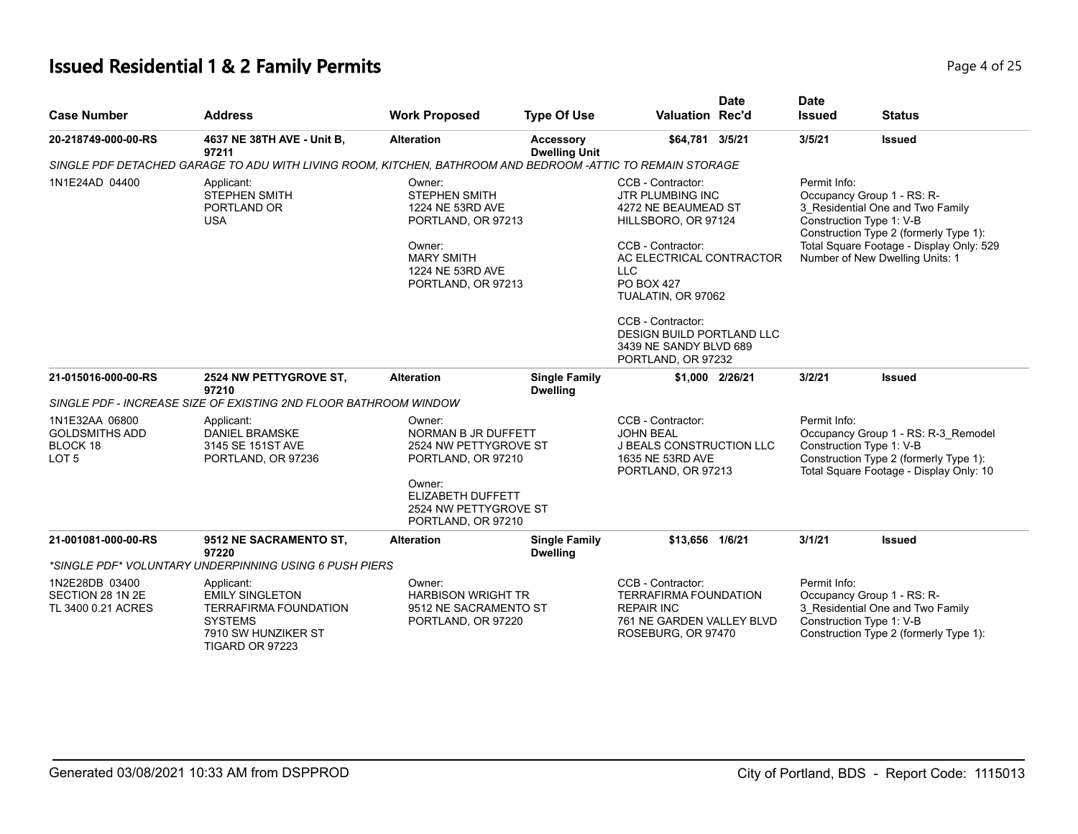## **Issued Residential 1 & 2 Family Permits**

| Page 4 of 25 |  |  |  |  |
|--------------|--|--|--|--|
|--------------|--|--|--|--|

| <b>Case Number</b>                                                      | <b>Address</b>                                                                                                                   | <b>Work Proposed</b>                                                                                                                                       | <b>Type Of Use</b>                      | <b>Valuation Rec'd</b>                                                                                                                                                                                                                                                                                 | <b>Date</b>     | <b>Date</b><br><b>Issued</b>                                                                                                                                                                                                        | <b>Status</b>                                                                                                                        |
|-------------------------------------------------------------------------|----------------------------------------------------------------------------------------------------------------------------------|------------------------------------------------------------------------------------------------------------------------------------------------------------|-----------------------------------------|--------------------------------------------------------------------------------------------------------------------------------------------------------------------------------------------------------------------------------------------------------------------------------------------------------|-----------------|-------------------------------------------------------------------------------------------------------------------------------------------------------------------------------------------------------------------------------------|--------------------------------------------------------------------------------------------------------------------------------------|
| 20-218749-000-00-RS                                                     | 4637 NE 38TH AVE - Unit B,<br>97211                                                                                              | <b>Alteration</b>                                                                                                                                          | Accessory<br><b>Dwelling Unit</b>       | \$64,781 3/5/21                                                                                                                                                                                                                                                                                        |                 | 3/5/21                                                                                                                                                                                                                              | <b>Issued</b>                                                                                                                        |
|                                                                         | SINGLE PDF DETACHED GARAGE TO ADU WITH LIVING ROOM, KITCHEN, BATHROOM AND BEDROOM -ATTIC TO REMAIN STORAGE                       |                                                                                                                                                            |                                         |                                                                                                                                                                                                                                                                                                        |                 |                                                                                                                                                                                                                                     |                                                                                                                                      |
| 1N1E24AD 04400                                                          | Applicant:<br><b>STEPHEN SMITH</b><br>PORTLAND OR<br><b>USA</b>                                                                  | Owner:<br>STEPHEN SMITH<br>1224 NE 53RD AVE<br>PORTLAND, OR 97213<br>Owner:<br><b>MARY SMITH</b><br>1224 NE 53RD AVE<br>PORTLAND, OR 97213                 |                                         | CCB - Contractor:<br><b>JTR PLUMBING INC</b><br>4272 NE BEAUMEAD ST<br>HILLSBORO, OR 97124<br>CCB - Contractor:<br>AC ELECTRICAL CONTRACTOR<br><b>LLC</b><br><b>PO BOX 427</b><br>TUALATIN, OR 97062<br>CCB - Contractor:<br>DESIGN BUILD PORTLAND LLC<br>3439 NE SANDY BLVD 689<br>PORTLAND, OR 97232 |                 | Permit Info:<br>Occupancy Group 1 - RS: R-<br>3_Residential One and Two Family<br>Construction Type 1: V-B<br>Construction Type 2 (formerly Type 1):<br>Total Square Footage - Display Only: 529<br>Number of New Dwelling Units: 1 |                                                                                                                                      |
| 21-015016-000-00-RS                                                     | 2524 NW PETTYGROVE ST.<br>97210                                                                                                  | <b>Alteration</b>                                                                                                                                          | <b>Single Family</b><br><b>Dwelling</b> |                                                                                                                                                                                                                                                                                                        | \$1,000 2/26/21 | 3/2/21                                                                                                                                                                                                                              | <b>Issued</b>                                                                                                                        |
|                                                                         | SINGLE PDF - INCREASE SIZE OF EXISTING 2ND FLOOR BATHROOM WINDOW                                                                 |                                                                                                                                                            |                                         |                                                                                                                                                                                                                                                                                                        |                 |                                                                                                                                                                                                                                     |                                                                                                                                      |
| 1N1E32AA 06800<br><b>GOLDSMITHS ADD</b><br>BLOCK 18<br>LOT <sub>5</sub> | Applicant:<br><b>DANIEL BRAMSKE</b><br>3145 SE 151ST AVE<br>PORTLAND, OR 97236                                                   | Owner:<br>NORMAN B JR DUFFETT<br>2524 NW PETTYGROVE ST<br>PORTLAND, OR 97210<br>Owner:<br>ELIZABETH DUFFETT<br>2524 NW PETTYGROVE ST<br>PORTLAND, OR 97210 |                                         | CCB - Contractor:<br><b>JOHN BEAL</b><br><b>J BEALS CONSTRUCTION LLC</b><br>1635 NE 53RD AVE<br>PORTLAND, OR 97213                                                                                                                                                                                     |                 | Permit Info:<br>Occupancy Group 1 - RS: R-3_Remodel<br>Construction Type 1: V-B<br>Construction Type 2 (formerly Type 1):<br>Total Square Footage - Display Only: 10                                                                |                                                                                                                                      |
| 21-001081-000-00-RS                                                     | 9512 NE SACRAMENTO ST,<br>97220<br>*SINGLE PDF* VOLUNTARY UNDERPINNING USING 6 PUSH PIERS                                        | <b>Alteration</b>                                                                                                                                          | <b>Single Family</b><br><b>Dwelling</b> | \$13,656 1/6/21                                                                                                                                                                                                                                                                                        |                 | 3/1/21                                                                                                                                                                                                                              | <b>Issued</b>                                                                                                                        |
| 1N2E28DB 03400<br>SECTION 28 1N 2E<br>TL 3400 0.21 ACRES                | Applicant:<br><b>EMILY SINGLETON</b><br><b>TERRAFIRMA FOUNDATION</b><br><b>SYSTEMS</b><br>7910 SW HUNZIKER ST<br>TIGARD OR 97223 | Owner:<br><b>HARBISON WRIGHT TR</b><br>9512 NE SACRAMENTO ST<br>PORTLAND, OR 97220                                                                         |                                         | CCB - Contractor:<br><b>TERRAFIRMA FOUNDATION</b><br><b>REPAIR INC</b><br>761 NE GARDEN VALLEY BLVD<br>ROSEBURG, OR 97470                                                                                                                                                                              |                 | Permit Info:                                                                                                                                                                                                                        | Occupancy Group 1 - RS: R-<br>3_Residential One and Two Family<br>Construction Type 1: V-B<br>Construction Type 2 (formerly Type 1): |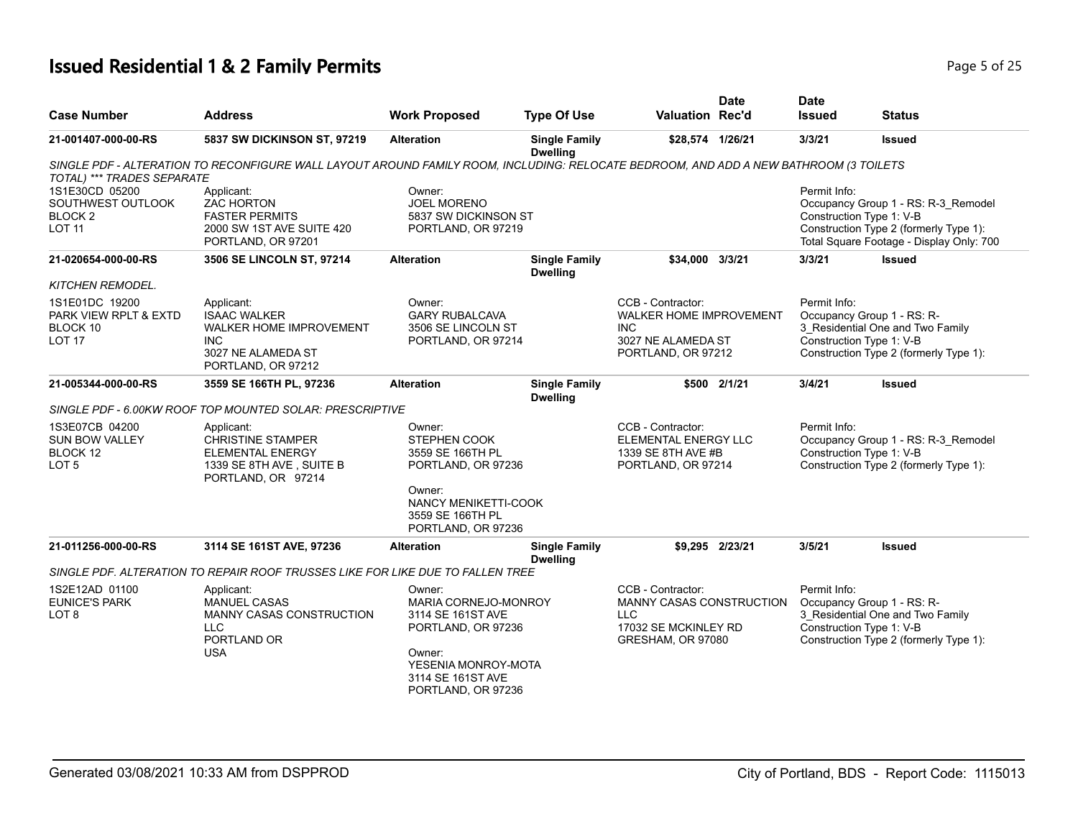| <b>Case Number</b>                                                         | Address                                                                                                                               | <b>Work Proposed</b>                                                                                                                                  | <b>Type Of Use</b>                      | <b>Valuation Rec'd</b>                                                                                   | <b>Date</b>     | <b>Date</b><br><b>Issued</b> | <b>Status</b>                                                                                                                                         |
|----------------------------------------------------------------------------|---------------------------------------------------------------------------------------------------------------------------------------|-------------------------------------------------------------------------------------------------------------------------------------------------------|-----------------------------------------|----------------------------------------------------------------------------------------------------------|-----------------|------------------------------|-------------------------------------------------------------------------------------------------------------------------------------------------------|
| 21-001407-000-00-RS                                                        | 5837 SW DICKINSON ST, 97219                                                                                                           | <b>Alteration</b>                                                                                                                                     | <b>Single Family</b><br><b>Dwelling</b> | \$28,574 1/26/21                                                                                         |                 | 3/3/21                       | <b>Issued</b>                                                                                                                                         |
| TOTAL) *** TRADES SEPARATE                                                 | SINGLE PDF - ALTERATION TO RECONFIGURE WALL LAYOUT AROUND FAMILY ROOM, INCLUDING: RELOCATE BEDROOM, AND ADD A NEW BATHROOM (3 TOILETS |                                                                                                                                                       |                                         |                                                                                                          |                 |                              |                                                                                                                                                       |
| 1S1E30CD 05200<br>SOUTHWEST OUTLOOK<br>BLOCK <sub>2</sub><br><b>LOT 11</b> | Applicant:<br><b>ZAC HORTON</b><br><b>FASTER PERMITS</b><br>2000 SW 1ST AVE SUITE 420<br>PORTLAND, OR 97201                           | Owner:<br><b>JOEL MORENO</b><br>5837 SW DICKINSON ST<br>PORTLAND, OR 97219                                                                            |                                         |                                                                                                          |                 | Permit Info:                 | Occupancy Group 1 - RS: R-3_Remodel<br>Construction Type 1: V-B<br>Construction Type 2 (formerly Type 1):<br>Total Square Footage - Display Only: 700 |
| 21-020654-000-00-RS                                                        | 3506 SE LINCOLN ST, 97214                                                                                                             | <b>Alteration</b>                                                                                                                                     | <b>Single Family</b><br><b>Dwelling</b> | \$34,000 3/3/21                                                                                          |                 | 3/3/21                       | <b>Issued</b>                                                                                                                                         |
| <b>KITCHEN REMODEL.</b>                                                    |                                                                                                                                       |                                                                                                                                                       |                                         |                                                                                                          |                 |                              |                                                                                                                                                       |
| 1S1E01DC 19200<br>PARK VIEW RPLT & EXTD<br>BLOCK 10<br>LOT <sub>17</sub>   | Applicant:<br><b>ISAAC WALKER</b><br><b>WALKER HOME IMPROVEMENT</b><br><b>INC</b><br>3027 NE ALAMEDA ST<br>PORTLAND, OR 97212         | Owner:<br><b>GARY RUBALCAVA</b><br>3506 SE LINCOLN ST<br>PORTLAND, OR 97214                                                                           |                                         | CCB - Contractor:<br>WALKER HOME IMPROVEMENT<br><b>INC</b><br>3027 NE ALAMEDA ST<br>PORTLAND, OR 97212   |                 | Permit Info:                 | Occupancy Group 1 - RS: R-<br>3 Residential One and Two Family<br>Construction Type 1: V-B<br>Construction Type 2 (formerly Type 1):                  |
| 21-005344-000-00-RS                                                        | 3559 SE 166TH PL, 97236                                                                                                               | <b>Alteration</b>                                                                                                                                     | <b>Single Family</b><br><b>Dwelling</b> |                                                                                                          | \$500 2/1/21    | 3/4/21                       | <b>Issued</b>                                                                                                                                         |
|                                                                            | SINGLE PDF - 6.00KW ROOF TOP MOUNTED SOLAR: PRESCRIPTIVE                                                                              |                                                                                                                                                       |                                         |                                                                                                          |                 |                              |                                                                                                                                                       |
| 1S3E07CB 04200<br><b>SUN BOW VALLEY</b><br>BLOCK 12<br>LOT <sub>5</sub>    | Applicant:<br><b>CHRISTINE STAMPER</b><br>ELEMENTAL ENERGY<br>1339 SE 8TH AVE, SUITE B<br>PORTLAND, OR 97214                          | Owner:<br><b>STEPHEN COOK</b><br>3559 SE 166TH PL<br>PORTLAND, OR 97236                                                                               |                                         | CCB - Contractor:<br>ELEMENTAL ENERGY LLC<br>1339 SE 8TH AVE #B<br>PORTLAND, OR 97214                    |                 | Permit Info:                 | Occupancy Group 1 - RS: R-3_Remodel<br>Construction Type 1: V-B<br>Construction Type 2 (formerly Type 1):                                             |
|                                                                            |                                                                                                                                       | Owner:<br>NANCY MENIKETTI-COOK<br>3559 SE 166TH PL<br>PORTLAND, OR 97236                                                                              |                                         |                                                                                                          |                 |                              |                                                                                                                                                       |
| 21-011256-000-00-RS                                                        | 3114 SE 161ST AVE, 97236                                                                                                              | <b>Alteration</b>                                                                                                                                     | <b>Single Family</b><br><b>Dwelling</b> |                                                                                                          | \$9,295 2/23/21 | 3/5/21                       | Issued                                                                                                                                                |
|                                                                            | SINGLE PDF. ALTERATION TO REPAIR ROOF TRUSSES LIKE FOR LIKE DUE TO FALLEN TREE                                                        |                                                                                                                                                       |                                         |                                                                                                          |                 |                              |                                                                                                                                                       |
| 1S2E12AD 01100<br><b>EUNICE'S PARK</b><br>LOT <sub>8</sub>                 | Applicant:<br><b>MANUEL CASAS</b><br>MANNY CASAS CONSTRUCTION<br><b>LLC</b><br>PORTLAND OR<br><b>USA</b>                              | Owner:<br>MARIA CORNEJO-MONROY<br>3114 SE 161ST AVE<br>PORTLAND, OR 97236<br>Owner:<br>YESENIA MONROY-MOTA<br>3114 SE 161ST AVE<br>PORTLAND, OR 97236 |                                         | CCB - Contractor:<br>MANNY CASAS CONSTRUCTION<br><b>LLC</b><br>17032 SE MCKINLEY RD<br>GRESHAM, OR 97080 |                 | Permit Info:                 | Occupancy Group 1 - RS: R-<br>3 Residential One and Two Family<br>Construction Type 1: V-B<br>Construction Type 2 (formerly Type 1):                  |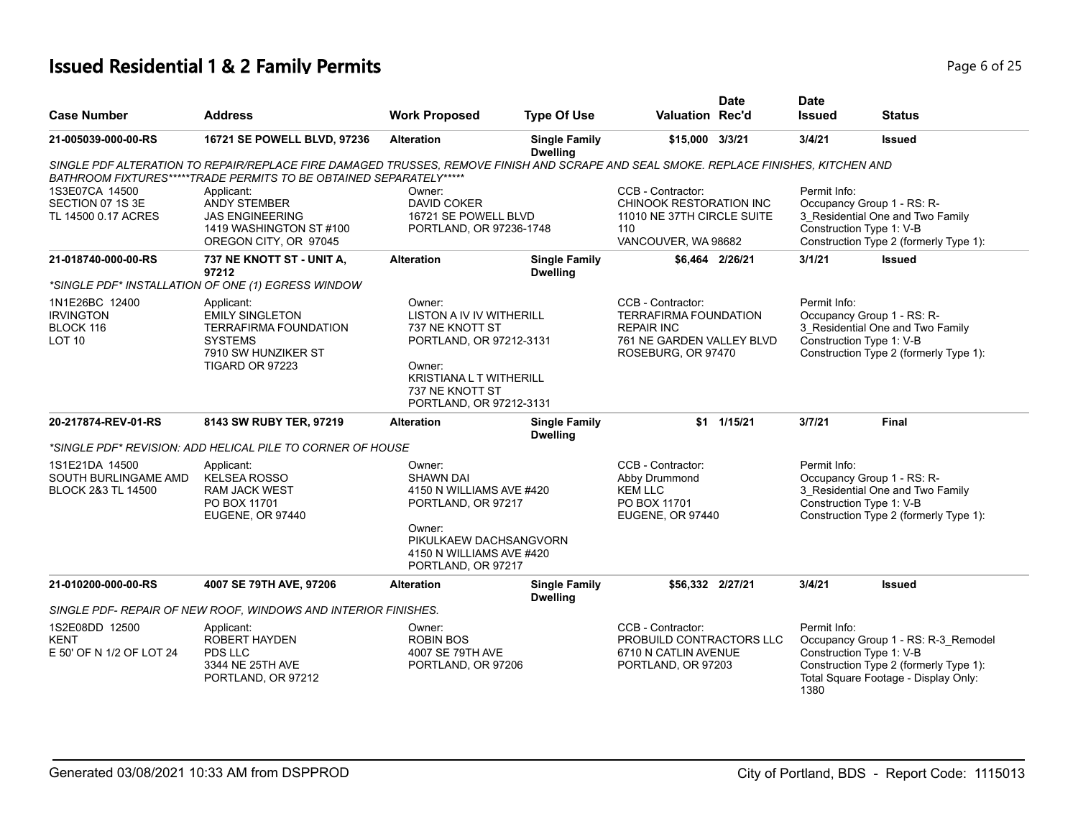|                                                                  |                                                                                                                                                                                                            |                                                                                                                                                                            |                                         | <b>Date</b>                                                                                                               | <b>Date</b>          |                                                                                                                                                   |
|------------------------------------------------------------------|------------------------------------------------------------------------------------------------------------------------------------------------------------------------------------------------------------|----------------------------------------------------------------------------------------------------------------------------------------------------------------------------|-----------------------------------------|---------------------------------------------------------------------------------------------------------------------------|----------------------|---------------------------------------------------------------------------------------------------------------------------------------------------|
| <b>Case Number</b>                                               | <b>Address</b>                                                                                                                                                                                             | <b>Work Proposed</b>                                                                                                                                                       | <b>Type Of Use</b>                      | <b>Valuation Rec'd</b>                                                                                                    | <b>Issued</b>        | Status                                                                                                                                            |
| 21-005039-000-00-RS                                              | 16721 SE POWELL BLVD, 97236                                                                                                                                                                                | <b>Alteration</b>                                                                                                                                                          | <b>Single Family</b><br><b>Dwelling</b> | \$15,000 3/3/21                                                                                                           | 3/4/21               | Issued                                                                                                                                            |
|                                                                  | SINGLE PDF ALTERATION TO REPAIR/REPLACE FIRE DAMAGED TRUSSES, REMOVE FINISH AND SCRAPE AND SEAL SMOKE. REPLACE FINISHES, KITCHEN AND<br>BATHROOM FIXTURES*****TRADE PERMITS TO BE OBTAINED SEPARATELY***** |                                                                                                                                                                            |                                         |                                                                                                                           |                      |                                                                                                                                                   |
| 1S3E07CA 14500<br>SECTION 07 1S 3E<br>TL 14500 0.17 ACRES        | Applicant:<br><b>ANDY STEMBER</b><br><b>JAS ENGINEERING</b><br>1419 WASHINGTON ST #100<br>OREGON CITY, OR 97045                                                                                            | Owner:<br><b>DAVID COKER</b><br>16721 SE POWELL BLVD<br>PORTLAND, OR 97236-1748                                                                                            |                                         | CCB - Contractor:<br>CHINOOK RESTORATION INC<br>11010 NE 37TH CIRCLE SUITE<br>110<br>VANCOUVER, WA 98682                  | Permit Info:         | Occupancy Group 1 - RS: R-<br>3 Residential One and Two Family<br>Construction Type 1: V-B<br>Construction Type 2 (formerly Type 1):              |
| 21-018740-000-00-RS                                              | 737 NE KNOTT ST - UNIT A,<br>97212                                                                                                                                                                         | <b>Alteration</b>                                                                                                                                                          | <b>Single Family</b><br><b>Dwelling</b> | \$6.464 2/26/21                                                                                                           | 3/1/21               | <b>Issued</b>                                                                                                                                     |
|                                                                  | *SINGLE PDF* INSTALLATION OF ONE (1) EGRESS WINDOW                                                                                                                                                         |                                                                                                                                                                            |                                         |                                                                                                                           |                      |                                                                                                                                                   |
| 1N1E26BC 12400<br><b>IRVINGTON</b><br>BLOCK 116<br><b>LOT 10</b> | Applicant:<br><b>EMILY SINGLETON</b><br><b>TERRAFIRMA FOUNDATION</b><br><b>SYSTEMS</b><br>7910 SW HUNZIKER ST<br>TIGARD OR 97223                                                                           | Owner:<br><b>LISTON A IV IV WITHERILL</b><br>737 NE KNOTT ST<br>PORTLAND, OR 97212-3131<br>Owner:<br>KRISTIANA L T WITHERILL<br>737 NE KNOTT ST<br>PORTLAND, OR 97212-3131 |                                         | CCB - Contractor:<br><b>TERRAFIRMA FOUNDATION</b><br><b>REPAIR INC</b><br>761 NE GARDEN VALLEY BLVD<br>ROSEBURG, OR 97470 | Permit Info:         | Occupancy Group 1 - RS: R-<br>3_Residential One and Two Family<br>Construction Type 1: V-B<br>Construction Type 2 (formerly Type 1):              |
| 20-217874-REV-01-RS                                              | 8143 SW RUBY TER, 97219                                                                                                                                                                                    | <b>Alteration</b>                                                                                                                                                          | <b>Single Family</b><br><b>Dwelling</b> | \$1 1/15/21                                                                                                               | 3/7/21               | <b>Final</b>                                                                                                                                      |
|                                                                  | *SINGLE PDF* REVISION: ADD HELICAL PILE TO CORNER OF HOUSE                                                                                                                                                 |                                                                                                                                                                            |                                         |                                                                                                                           |                      |                                                                                                                                                   |
| 1S1E21DA 14500<br>SOUTH BURLINGAME AMD<br>BLOCK 2&3 TL 14500     | Applicant:<br><b>KELSEA ROSSO</b><br><b>RAM JACK WEST</b><br>PO BOX 11701<br>EUGENE, OR 97440                                                                                                              | Owner:<br><b>SHAWN DAI</b><br>4150 N WILLIAMS AVE #420<br>PORTLAND, OR 97217<br>Owner:<br>PIKULKAEW DACHSANGVORN<br>4150 N WILLIAMS AVE #420<br>PORTLAND, OR 97217         |                                         | CCB - Contractor:<br>Abby Drummond<br><b>KEM LLC</b><br>PO BOX 11701<br>EUGENE, OR 97440                                  | Permit Info:         | Occupancy Group 1 - RS: R-<br>3 Residential One and Two Family<br>Construction Type 1: V-B<br>Construction Type 2 (formerly Type 1):              |
| 21-010200-000-00-RS                                              | 4007 SE 79TH AVE, 97206                                                                                                                                                                                    | <b>Alteration</b>                                                                                                                                                          | <b>Single Family</b><br><b>Dwelling</b> | \$56,332 2/27/21                                                                                                          | 3/4/21               | Issued                                                                                                                                            |
|                                                                  | SINGLE PDF- REPAIR OF NEW ROOF, WINDOWS AND INTERIOR FINISHES.                                                                                                                                             |                                                                                                                                                                            |                                         |                                                                                                                           |                      |                                                                                                                                                   |
| 1S2E08DD 12500<br><b>KENT</b><br>E 50' OF N 1/2 OF LOT 24        | Applicant:<br><b>ROBERT HAYDEN</b><br>PDS LLC<br>3344 NE 25TH AVE<br>PORTLAND, OR 97212                                                                                                                    | Owner:<br><b>ROBIN BOS</b><br>4007 SE 79TH AVE<br>PORTLAND, OR 97206                                                                                                       |                                         | CCB - Contractor:<br>PROBUILD CONTRACTORS LLC<br>6710 N CATLIN AVENUE<br>PORTLAND, OR 97203                               | Permit Info:<br>1380 | Occupancy Group 1 - RS: R-3_Remodel<br>Construction Type 1: V-B<br>Construction Type 2 (formerly Type 1):<br>Total Square Footage - Display Only: |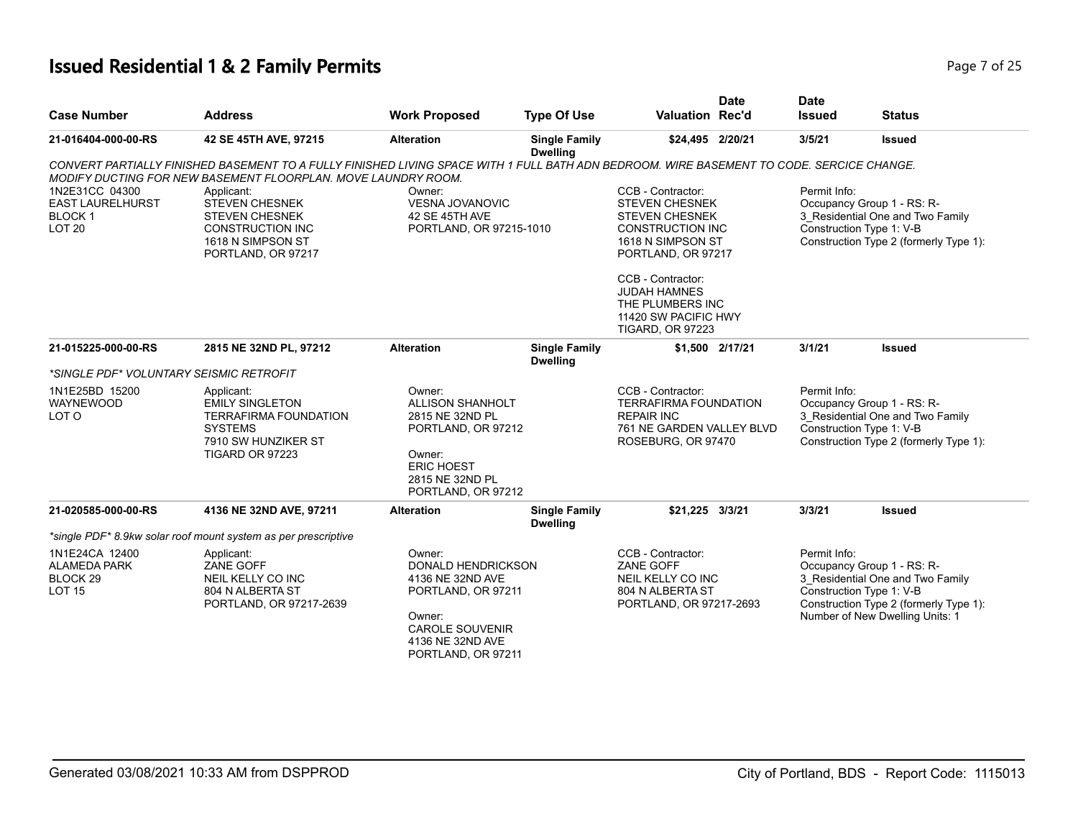## **Issued Residential 1 & 2 Family Permits Page 7 of 25 Page 7 of 25**

| <b>Case Number</b>                                                            | <b>Address</b>                                                                                                                                                                                             | <b>Work Proposed</b>                                                                                                                                        | <b>Type Of Use</b>                      | <b>Valuation Rec'd</b>                                                                                                    | <b>Date</b>                                                                                                          | <b>Date</b><br><b>Issued</b> | <b>Status</b>                                                                                                                                                           |
|-------------------------------------------------------------------------------|------------------------------------------------------------------------------------------------------------------------------------------------------------------------------------------------------------|-------------------------------------------------------------------------------------------------------------------------------------------------------------|-----------------------------------------|---------------------------------------------------------------------------------------------------------------------------|----------------------------------------------------------------------------------------------------------------------|------------------------------|-------------------------------------------------------------------------------------------------------------------------------------------------------------------------|
| 21-016404-000-00-RS                                                           | 42 SE 45TH AVE, 97215                                                                                                                                                                                      | <b>Alteration</b>                                                                                                                                           | <b>Single Family</b><br><b>Dwelling</b> | \$24,495 2/20/21                                                                                                          |                                                                                                                      | 3/5/21                       | <b>Issued</b>                                                                                                                                                           |
| 1N2E31CC 04300                                                                | CONVERT PARTIALLY FINISHED BASEMENT TO A FULLY FINISHED LIVING SPACE WITH 1 FULL BATH ADN BEDROOM. WIRE BASEMENT TO CODE. SERCICE CHANGE.<br>MODIFY DUCTING FOR NEW BASEMENT FLOORPLAN. MOVE LAUNDRY ROOM. | Owner:                                                                                                                                                      |                                         | CCB - Contractor:                                                                                                         |                                                                                                                      | Permit Info:                 |                                                                                                                                                                         |
| <b>EAST LAURELHURST</b><br><b>BLOCK1</b><br>LOT <sub>20</sub>                 | Applicant:<br><b>STEVEN CHESNEK</b><br><b>STEVEN CHESNEK</b><br><b>CONSTRUCTION INC</b><br>1618 N SIMPSON ST<br>PORTLAND, OR 97217                                                                         | <b>VESNA JOVANOVIC</b><br>42 SE 45TH AVE<br>PORTLAND, OR 97215-1010                                                                                         |                                         |                                                                                                                           | <b>STEVEN CHESNEK</b><br><b>STEVEN CHESNEK</b><br><b>CONSTRUCTION INC</b><br>1618 N SIMPSON ST<br>PORTLAND, OR 97217 |                              | Occupancy Group 1 - RS: R-<br>3_Residential One and Two Family<br>Construction Type 1: V-B<br>Construction Type 2 (formerly Type 1):                                    |
|                                                                               |                                                                                                                                                                                                            |                                                                                                                                                             |                                         | CCB - Contractor:<br><b>JUDAH HAMNES</b><br>THE PLUMBERS INC<br>11420 SW PACIFIC HWY<br><b>TIGARD, OR 97223</b>           |                                                                                                                      |                              |                                                                                                                                                                         |
| 21-015225-000-00-RS                                                           | 2815 NE 32ND PL, 97212                                                                                                                                                                                     | <b>Alteration</b>                                                                                                                                           | <b>Single Family</b><br><b>Dwelling</b> |                                                                                                                           | \$1,500 2/17/21                                                                                                      | 3/1/21                       | <b>Issued</b>                                                                                                                                                           |
| *SINGLE PDF* VOLUNTARY SEISMIC RETROFIT                                       |                                                                                                                                                                                                            |                                                                                                                                                             |                                         |                                                                                                                           |                                                                                                                      |                              |                                                                                                                                                                         |
| 1N1E25BD 15200<br><b>WAYNEWOOD</b><br>LOT O                                   | Applicant:<br><b>EMILY SINGLETON</b><br><b>TERRAFIRMA FOUNDATION</b><br><b>SYSTEMS</b><br>7910 SW HUNZIKER ST<br>TIGARD OR 97223                                                                           | Owner:<br><b>ALLISON SHANHOLT</b><br>2815 NE 32ND PL<br>PORTLAND, OR 97212<br>Owner:<br><b>ERIC HOEST</b><br>2815 NE 32ND PL<br>PORTLAND, OR 97212          |                                         | CCB - Contractor:<br><b>TERRAFIRMA FOUNDATION</b><br><b>REPAIR INC</b><br>761 NE GARDEN VALLEY BLVD<br>ROSEBURG, OR 97470 |                                                                                                                      | Permit Info:                 | Occupancy Group 1 - RS: R-<br>3 Residential One and Two Family<br>Construction Type 1: V-B<br>Construction Type 2 (formerly Type 1):                                    |
| 21-020585-000-00-RS                                                           | 4136 NE 32ND AVE, 97211                                                                                                                                                                                    | <b>Alteration</b>                                                                                                                                           | <b>Single Family</b><br><b>Dwelling</b> | \$21,225 3/3/21                                                                                                           |                                                                                                                      | 3/3/21                       | <b>Issued</b>                                                                                                                                                           |
|                                                                               | *single PDF* 8.9kw solar roof mount system as per prescriptive                                                                                                                                             |                                                                                                                                                             |                                         |                                                                                                                           |                                                                                                                      |                              |                                                                                                                                                                         |
| 1N1E24CA 12400<br><b>ALAMEDA PARK</b><br>BLOCK <sub>29</sub><br><b>LOT 15</b> | Applicant:<br>ZANE GOFF<br>NEIL KELLY CO INC<br>804 N ALBERTA ST<br>PORTLAND, OR 97217-2639                                                                                                                | Owner:<br><b>DONALD HENDRICKSON</b><br>4136 NE 32ND AVE<br>PORTLAND, OR 97211<br>Owner:<br><b>CAROLE SOUVENIR</b><br>4136 NE 32ND AVE<br>PORTLAND, OR 97211 |                                         | CCB - Contractor:<br>ZANE GOFF<br>NEIL KELLY CO INC<br>804 N ALBERTA ST<br>PORTLAND, OR 97217-2693                        |                                                                                                                      | Permit Info:                 | Occupancy Group 1 - RS: R-<br>3_Residential One and Two Family<br>Construction Type 1: V-B<br>Construction Type 2 (formerly Type 1):<br>Number of New Dwelling Units: 1 |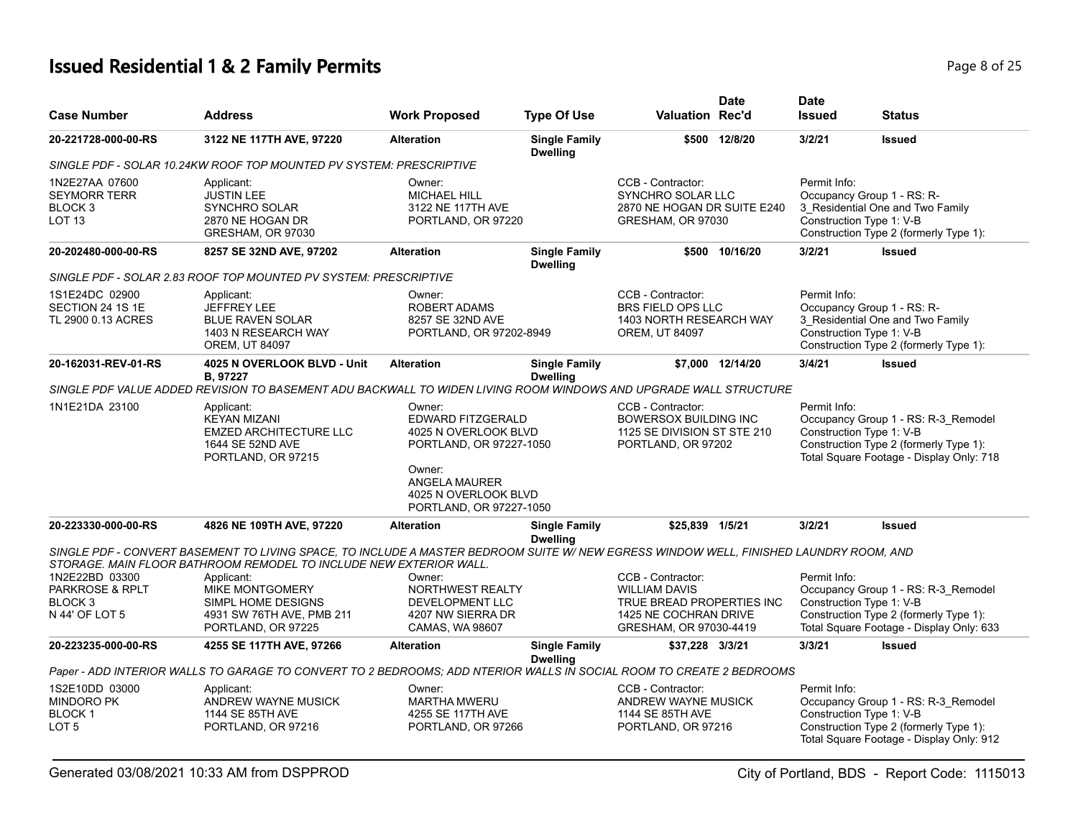## **Issued Residential 1 & 2 Family Permits**

| Page 8 of 25 |  |  |
|--------------|--|--|
|              |  |  |

| <b>Case Number</b>                                                    | <b>Address</b>                                                                                                                                                                                               | <b>Work Proposed</b>                                                           | <b>Type Of Use</b>                      | Valuation Rec'd                                                                                        | <b>Date</b>      | <b>Date</b><br><b>Issued</b>             | <b>Status</b>                                                                                                             |
|-----------------------------------------------------------------------|--------------------------------------------------------------------------------------------------------------------------------------------------------------------------------------------------------------|--------------------------------------------------------------------------------|-----------------------------------------|--------------------------------------------------------------------------------------------------------|------------------|------------------------------------------|---------------------------------------------------------------------------------------------------------------------------|
| 20-221728-000-00-RS                                                   | 3122 NE 117TH AVE, 97220                                                                                                                                                                                     | <b>Alteration</b>                                                              | <b>Single Family</b><br><b>Dwelling</b> |                                                                                                        | \$500 12/8/20    | 3/2/21                                   | <b>Issued</b>                                                                                                             |
|                                                                       | SINGLE PDF - SOLAR 10.24KW ROOF TOP MOUNTED PV SYSTEM: PRESCRIPTIVE                                                                                                                                          |                                                                                |                                         |                                                                                                        |                  |                                          |                                                                                                                           |
| 1N2E27AA 07600<br><b>SEYMORR TERR</b><br>BLOCK 3<br>LOT <sub>13</sub> | Applicant:<br><b>JUSTIN LEE</b><br>SYNCHRO SOLAR<br>2870 NE HOGAN DR<br>GRESHAM, OR 97030                                                                                                                    | Owner:<br><b>MICHAEL HILL</b><br>3122 NE 117TH AVE<br>PORTLAND, OR 97220       |                                         | CCB - Contractor:<br><b>SYNCHRO SOLAR LLC</b><br>2870 NE HOGAN DR SUITE E240<br>GRESHAM, OR 97030      |                  | Permit Info:<br>Construction Type 1: V-B | Occupancy Group 1 - RS: R-<br>3 Residential One and Two Family<br>Construction Type 2 (formerly Type 1):                  |
| 20-202480-000-00-RS                                                   | 8257 SE 32ND AVE, 97202                                                                                                                                                                                      | <b>Alteration</b>                                                              | <b>Single Family</b><br><b>Dwelling</b> |                                                                                                        | \$500 10/16/20   | 3/2/21                                   | <b>Issued</b>                                                                                                             |
|                                                                       | SINGLE PDF - SOLAR 2.83 ROOF TOP MOUNTED PV SYSTEM: PRESCRIPTIVE                                                                                                                                             |                                                                                |                                         |                                                                                                        |                  |                                          |                                                                                                                           |
| 1S1E24DC 02900<br>SECTION 24 1S 1E<br>TL 2900 0.13 ACRES              | Applicant:<br><b>JEFFREY LEE</b><br><b>BLUE RAVEN SOLAR</b><br>1403 N RESEARCH WAY<br><b>OREM, UT 84097</b>                                                                                                  | Owner:<br>ROBERT ADAMS<br>8257 SE 32ND AVE<br>PORTLAND, OR 97202-8949          |                                         | CCB - Contractor:<br><b>BRS FIELD OPS LLC</b><br>1403 NORTH RESEARCH WAY<br><b>OREM, UT 84097</b>      |                  | Permit Info:<br>Construction Type 1: V-B | Occupancy Group 1 - RS: R-<br>3_Residential One and Two Family<br>Construction Type 2 (formerly Type 1):                  |
| 20-162031-REV-01-RS                                                   | 4025 N OVERLOOK BLVD - Unit<br>B, 97227                                                                                                                                                                      | <b>Alteration</b>                                                              | <b>Single Family</b><br><b>Dwelling</b> |                                                                                                        | \$7,000 12/14/20 | 3/4/21                                   | <b>Issued</b>                                                                                                             |
|                                                                       | SINGLE PDF VALUE ADDED REVISION TO BASEMENT ADU BACKWALL TO WIDEN LIVING ROOM WINDOWS AND UPGRADE WALL STRUCTURE                                                                                             |                                                                                |                                         |                                                                                                        |                  |                                          |                                                                                                                           |
| 1N1E21DA 23100                                                        | Applicant:<br><b>KEYAN MIZANI</b><br><b>EMZED ARCHITECTURE LLC</b><br>1644 SE 52ND AVE<br>PORTLAND, OR 97215                                                                                                 | Owner:<br>EDWARD FITZGERALD<br>4025 N OVERLOOK BLVD<br>PORTLAND, OR 97227-1050 |                                         | CCB - Contractor:<br><b>BOWERSOX BUILDING INC</b><br>1125 SE DIVISION ST STE 210<br>PORTLAND, OR 97202 |                  | Permit Info:<br>Construction Type 1: V-B | Occupancy Group 1 - RS: R-3_Remodel<br>Construction Type 2 (formerly Type 1):<br>Total Square Footage - Display Only: 718 |
|                                                                       |                                                                                                                                                                                                              | Owner:<br>ANGELA MAURER<br>4025 N OVERLOOK BLVD<br>PORTLAND, OR 97227-1050     |                                         |                                                                                                        |                  |                                          |                                                                                                                           |
| 20-223330-000-00-RS                                                   | 4826 NE 109TH AVE, 97220                                                                                                                                                                                     | <b>Alteration</b>                                                              | <b>Single Family</b><br><b>Dwelling</b> | \$25,839 1/5/21                                                                                        |                  | 3/2/21                                   | <b>Issued</b>                                                                                                             |
|                                                                       | SINGLE PDF - CONVERT BASEMENT TO LIVING SPACE, TO INCLUDE A MASTER BEDROOM SUITE W/ NEW EGRESS WINDOW WELL, FINISHED LAUNDRY ROOM, AND<br>STORAGE. MAIN FLOOR BATHROOM REMODEL TO INCLUDE NEW EXTERIOR WALL. |                                                                                |                                         |                                                                                                        |                  |                                          |                                                                                                                           |
| 1N2E22BD 03300                                                        | Applicant:                                                                                                                                                                                                   | Owner:                                                                         |                                         | CCB - Contractor:                                                                                      |                  | Permit Info:                             |                                                                                                                           |
| PARKROSE & RPLT                                                       | <b>MIKE MONTGOMERY</b>                                                                                                                                                                                       | NORTHWEST REALTY                                                               |                                         | <b>WILLIAM DAVIS</b>                                                                                   |                  |                                          | Occupancy Group 1 - RS: R-3_Remodel                                                                                       |
| BLOCK <sub>3</sub><br>N 44' OF LOT 5                                  | SIMPL HOME DESIGNS<br>4931 SW 76TH AVE, PMB 211                                                                                                                                                              | DEVELOPMENT LLC<br>4207 NW SIERRA DR                                           |                                         | TRUE BREAD PROPERTIES INC<br>1425 NE COCHRAN DRIVE                                                     |                  | Construction Type 1: V-B                 | Construction Type 2 (formerly Type 1):                                                                                    |
|                                                                       | PORTLAND, OR 97225                                                                                                                                                                                           | CAMAS, WA 98607                                                                |                                         | GRESHAM, OR 97030-4419                                                                                 |                  |                                          | Total Square Footage - Display Only: 633                                                                                  |
| 20-223235-000-00-RS                                                   | 4255 SE 117TH AVE, 97266                                                                                                                                                                                     | <b>Alteration</b>                                                              | <b>Single Family</b><br><b>Dwelling</b> | \$37,228 3/3/21                                                                                        |                  | 3/3/21                                   | <b>Issued</b>                                                                                                             |
|                                                                       | Paper - ADD INTERIOR WALLS TO GARAGE TO CONVERT TO 2 BEDROOMS; ADD NTERIOR WALLS IN SOCIAL ROOM TO CREATE 2 BEDROOMS                                                                                         |                                                                                |                                         |                                                                                                        |                  |                                          |                                                                                                                           |
| 1S2E10DD 03000<br><b>MINDORO PK</b><br><b>BLOCK1</b><br>LOT 5         | Applicant:<br>ANDREW WAYNE MUSICK<br>1144 SE 85TH AVE<br>PORTLAND, OR 97216                                                                                                                                  | Owner:<br><b>MARTHA MWERU</b><br>4255 SE 117TH AVE<br>PORTLAND, OR 97266       |                                         | CCB - Contractor:<br>ANDREW WAYNE MUSICK<br>1144 SE 85TH AVE<br>PORTLAND, OR 97216                     |                  | Permit Info:<br>Construction Type 1: V-B | Occupancy Group 1 - RS: R-3_Remodel<br>Construction Type 2 (formerly Type 1):                                             |
|                                                                       |                                                                                                                                                                                                              |                                                                                |                                         |                                                                                                        |                  |                                          | Total Square Footage - Display Only: 912                                                                                  |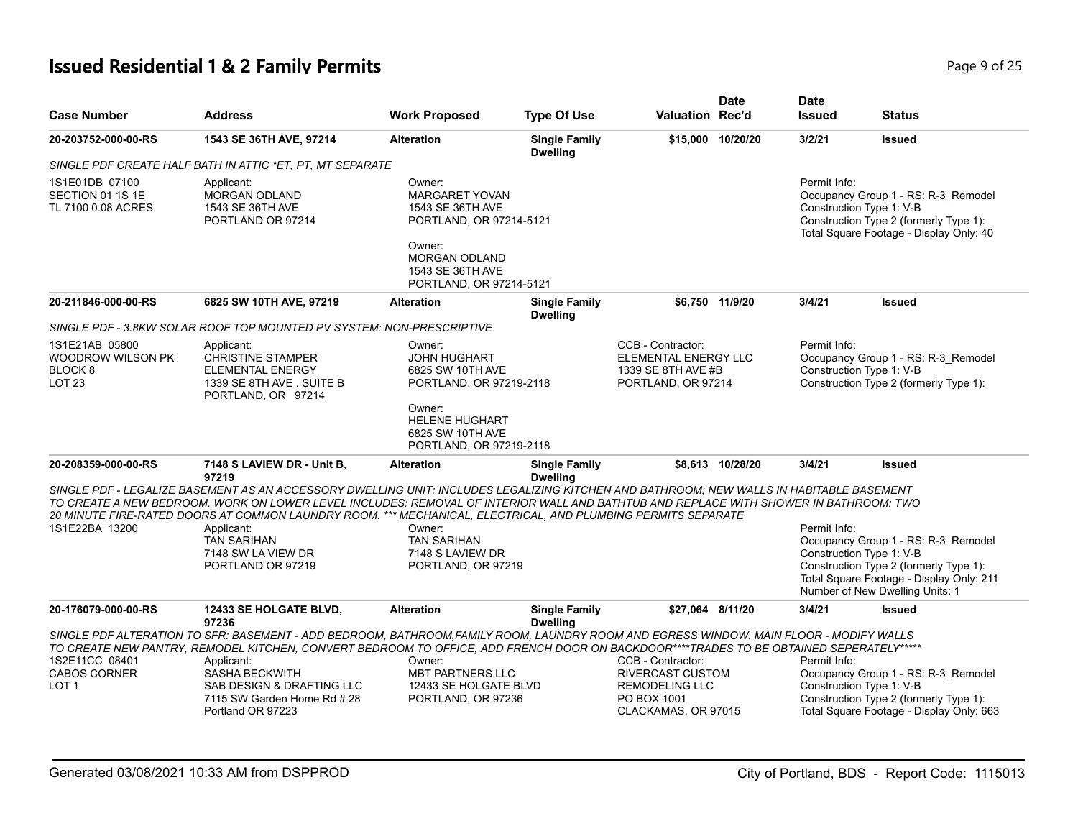| <b>Case Number</b>                                                                    | <b>Address</b>                                                                                                                                                                                                                                                                                                                                                                                  | <b>Work Proposed</b>                                                                                            | <b>Type Of Use</b>                      | <b>Valuation Rec'd</b>                                                                 | Date              | <b>Date</b><br><b>Issued</b> | Status                                                                                                                                                                                   |
|---------------------------------------------------------------------------------------|-------------------------------------------------------------------------------------------------------------------------------------------------------------------------------------------------------------------------------------------------------------------------------------------------------------------------------------------------------------------------------------------------|-----------------------------------------------------------------------------------------------------------------|-----------------------------------------|----------------------------------------------------------------------------------------|-------------------|------------------------------|------------------------------------------------------------------------------------------------------------------------------------------------------------------------------------------|
| 20-203752-000-00-RS                                                                   | 1543 SE 36TH AVE, 97214                                                                                                                                                                                                                                                                                                                                                                         | <b>Alteration</b>                                                                                               | <b>Single Family</b><br><b>Dwelling</b> |                                                                                        | \$15,000 10/20/20 | 3/2/21                       | <b>Issued</b>                                                                                                                                                                            |
|                                                                                       | SINGLE PDF CREATE HALF BATH IN ATTIC *ET. PT. MT SEPARATE                                                                                                                                                                                                                                                                                                                                       |                                                                                                                 |                                         |                                                                                        |                   |                              |                                                                                                                                                                                          |
| 1S1E01DB 07100<br>SECTION 01 1S 1E<br>TL 7100 0.08 ACRES                              | Applicant:<br><b>MORGAN ODLAND</b><br>1543 SE 36TH AVE<br>PORTLAND OR 97214                                                                                                                                                                                                                                                                                                                     | Owner:<br><b>MARGARET YOVAN</b><br>1543 SE 36TH AVE<br>PORTLAND, OR 97214-5121                                  |                                         |                                                                                        |                   | Permit Info:                 | Occupancy Group 1 - RS: R-3_Remodel<br>Construction Type 1: V-B<br>Construction Type 2 (formerly Type 1):<br>Total Square Footage - Display Only: 40                                     |
|                                                                                       |                                                                                                                                                                                                                                                                                                                                                                                                 | Owner:<br><b>MORGAN ODLAND</b><br>1543 SE 36TH AVE<br>PORTLAND, OR 97214-5121                                   |                                         |                                                                                        |                   |                              |                                                                                                                                                                                          |
| 20-211846-000-00-RS                                                                   | 6825 SW 10TH AVE, 97219                                                                                                                                                                                                                                                                                                                                                                         | <b>Alteration</b>                                                                                               | <b>Single Family</b><br><b>Dwelling</b> |                                                                                        | \$6.750 11/9/20   | 3/4/21                       | <b>Issued</b>                                                                                                                                                                            |
|                                                                                       | SINGLE PDF - 3.8KW SOLAR ROOF TOP MOUNTED PV SYSTEM: NON-PRESCRIPTIVE                                                                                                                                                                                                                                                                                                                           |                                                                                                                 |                                         |                                                                                        |                   |                              |                                                                                                                                                                                          |
| 1S1E21AB 05800<br><b>WOODROW WILSON PK</b><br>BLOCK <sub>8</sub><br>LOT <sub>23</sub> | Applicant:<br><b>CHRISTINE STAMPER</b><br><b>ELEMENTAL ENERGY</b><br>1339 SE 8TH AVE, SUITE B<br>PORTLAND, OR 97214                                                                                                                                                                                                                                                                             | Owner:<br><b>JOHN HUGHART</b><br>6825 SW 10TH AVE<br>PORTLAND, OR 97219-2118<br>Owner:<br><b>HELENE HUGHART</b> |                                         | CCB - Contractor:<br>ELEMENTAL ENERGY LLC<br>1339 SE 8TH AVE #B<br>PORTLAND, OR 97214  |                   | Permit Info:                 | Occupancy Group 1 - RS: R-3_Remodel<br>Construction Type 1: V-B<br>Construction Type 2 (formerly Type 1):                                                                                |
|                                                                                       |                                                                                                                                                                                                                                                                                                                                                                                                 | 6825 SW 10TH AVE<br>PORTLAND, OR 97219-2118                                                                     |                                         |                                                                                        |                   |                              |                                                                                                                                                                                          |
| 20-208359-000-00-RS                                                                   | 7148 S LAVIEW DR - Unit B,<br>97219                                                                                                                                                                                                                                                                                                                                                             | <b>Alteration</b>                                                                                               | <b>Single Family</b><br><b>Dwelling</b> |                                                                                        | \$8,613 10/28/20  | 3/4/21                       | <b>Issued</b>                                                                                                                                                                            |
|                                                                                       | SINGLE PDF - LEGALIZE BASEMENT AS AN ACCESSORY DWELLING UNIT: INCLUDES LEGALIZING KITCHEN AND BATHROOM; NEW WALLS IN HABITABLE BASEMENT<br>TO CREATE A NEW BEDROOM. WORK ON LOWER LEVEL INCLUDES: REMOVAL OF INTERIOR WALL AND BATHTUB AND REPLACE WITH SHOWER IN BATHROOM; TWO<br>20 MINUTE FIRE-RATED DOORS AT COMMON LAUNDRY ROOM. *** MECHANICAL. ELECTRICAL. AND PLUMBING PERMITS SEPARATE |                                                                                                                 |                                         |                                                                                        |                   |                              |                                                                                                                                                                                          |
| 1S1E22BA 13200                                                                        | Applicant:                                                                                                                                                                                                                                                                                                                                                                                      | Owner:                                                                                                          |                                         |                                                                                        |                   | Permit Info:                 |                                                                                                                                                                                          |
|                                                                                       | <b>TAN SARIHAN</b><br>7148 SW LA VIEW DR<br>PORTLAND OR 97219                                                                                                                                                                                                                                                                                                                                   | <b>TAN SARIHAN</b><br>7148 S LAVIEW DR<br>PORTLAND, OR 97219                                                    |                                         |                                                                                        |                   |                              | Occupancy Group 1 - RS: R-3_Remodel<br>Construction Type 1: V-B<br>Construction Type 2 (formerly Type 1):<br>Total Square Footage - Display Only: 211<br>Number of New Dwelling Units: 1 |
| 20-176079-000-00-RS                                                                   | <b>12433 SE HOLGATE BLVD,</b><br>97236                                                                                                                                                                                                                                                                                                                                                          | <b>Alteration</b>                                                                                               | <b>Single Family</b><br><b>Dwelling</b> | \$27,064 8/11/20                                                                       |                   | 3/4/21                       | <b>Issued</b>                                                                                                                                                                            |
|                                                                                       | SINGLE PDF ALTERATION TO SFR: BASEMENT - ADD BEDROOM, BATHROOM,FAMILY ROOM, LAUNDRY ROOM AND EGRESS WINDOW. MAIN FLOOR - MODIFY WALLS<br>TO CREATE NEW PANTRY, REMODEL KITCHEN, CONVERT BEDROOM TO OFFICE, ADD FRENCH DOOR ON BACKDOOR****TRADES TO BE OBTAINED SEPERATELY*****                                                                                                                 |                                                                                                                 |                                         |                                                                                        |                   |                              |                                                                                                                                                                                          |
| 1S2E11CC 08401                                                                        | Applicant:                                                                                                                                                                                                                                                                                                                                                                                      | Owner:                                                                                                          |                                         | CCB - Contractor:                                                                      |                   | Permit Info:                 |                                                                                                                                                                                          |
| <b>CABOS CORNER</b><br>LOT <sub>1</sub>                                               | <b>SASHA BECKWITH</b><br><b>SAB DESIGN &amp; DRAFTING LLC</b><br>7115 SW Garden Home Rd #28<br>Portland OR 97223                                                                                                                                                                                                                                                                                | <b>MBT PARTNERS LLC</b><br>12433 SE HOLGATE BLVD<br>PORTLAND, OR 97236                                          |                                         | <b>RIVERCAST CUSTOM</b><br><b>REMODELING LLC</b><br>PO BOX 1001<br>CLACKAMAS, OR 97015 |                   |                              | Occupancy Group 1 - RS: R-3_Remodel<br>Construction Type 1: V-B<br>Construction Type 2 (formerly Type 1):<br>Total Square Footage - Display Only: 663                                    |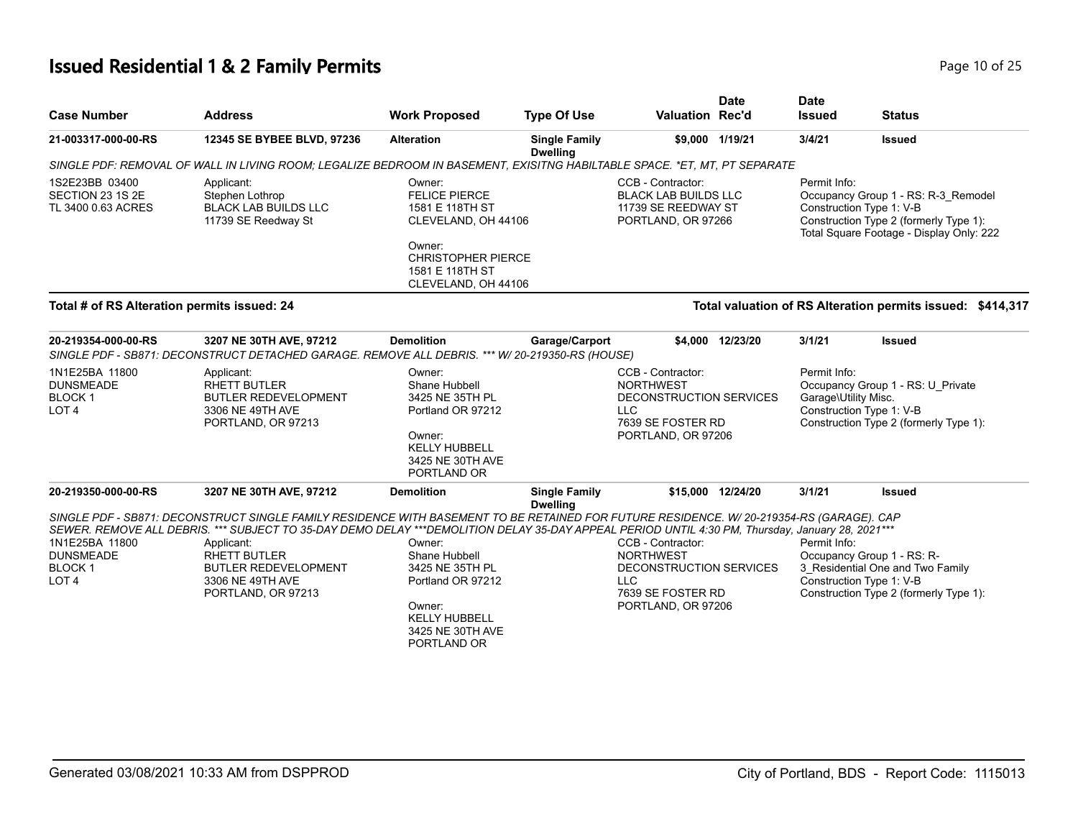# **Issued Residential 1 & 2 Family Permits Page 10 of 25** and **Page 10 of 25**

| <b>Case Number</b>                                                      | <b>Address</b>                                                                                                                                                                                                                                                                                                                                                                                             | <b>Work Proposed</b>                                                                                                                 | <b>Type Of Use</b>                      | <b>Valuation Rec'd</b>                                                                                                    | <b>Date</b>       | <b>Date</b><br><b>Issued</b>         | <b>Status</b>                                                                                                                                         |
|-------------------------------------------------------------------------|------------------------------------------------------------------------------------------------------------------------------------------------------------------------------------------------------------------------------------------------------------------------------------------------------------------------------------------------------------------------------------------------------------|--------------------------------------------------------------------------------------------------------------------------------------|-----------------------------------------|---------------------------------------------------------------------------------------------------------------------------|-------------------|--------------------------------------|-------------------------------------------------------------------------------------------------------------------------------------------------------|
| 21-003317-000-00-RS                                                     | 12345 SE BYBEE BLVD, 97236                                                                                                                                                                                                                                                                                                                                                                                 | <b>Alteration</b>                                                                                                                    | <b>Single Family</b><br><b>Dwelling</b> |                                                                                                                           | \$9,000 1/19/21   | 3/4/21                               | <b>Issued</b>                                                                                                                                         |
|                                                                         | SINGLE PDF: REMOVAL OF WALL IN LIVING ROOM; LEGALIZE BEDROOM IN BASEMENT, EXISITNG HABILTABLE SPACE. *ET, MT, PT SEPARATE                                                                                                                                                                                                                                                                                  |                                                                                                                                      |                                         |                                                                                                                           |                   |                                      |                                                                                                                                                       |
| 1S2E23BB 03400<br>SECTION 23 1S 2E<br>TL 3400 0.63 ACRES                | Applicant:<br>Stephen Lothrop<br><b>BLACK LAB BUILDS LLC</b><br>11739 SE Reedway St                                                                                                                                                                                                                                                                                                                        | Owner:<br><b>FELICE PIERCE</b><br>1581 E 118TH ST<br>CLEVELAND, OH 44106<br>Owner:<br><b>CHRISTOPHER PIERCE</b><br>1581 E 118TH ST   |                                         | CCB - Contractor:<br><b>BLACK LAB BUILDS LLC</b><br>11739 SE REEDWAY ST<br>PORTLAND, OR 97266                             |                   | Permit Info:                         | Occupancy Group 1 - RS: R-3_Remodel<br>Construction Type 1: V-B<br>Construction Type 2 (formerly Type 1):<br>Total Square Footage - Display Only: 222 |
|                                                                         |                                                                                                                                                                                                                                                                                                                                                                                                            | CLEVELAND, OH 44106                                                                                                                  |                                         |                                                                                                                           |                   |                                      |                                                                                                                                                       |
| Total # of RS Alteration permits issued: 24                             |                                                                                                                                                                                                                                                                                                                                                                                                            |                                                                                                                                      |                                         |                                                                                                                           |                   |                                      | Total valuation of RS Alteration permits issued: \$414,317                                                                                            |
| 20-219354-000-00-RS                                                     | 3207 NE 30TH AVE, 97212<br>SINGLE PDF - SB871: DECONSTRUCT DETACHED GARAGE. REMOVE ALL DEBRIS. *** W/20-219350-RS (HOUSE)                                                                                                                                                                                                                                                                                  | <b>Demolition</b>                                                                                                                    | Garage/Carport                          |                                                                                                                           | \$4,000 12/23/20  | 3/1/21                               | <b>Issued</b>                                                                                                                                         |
| 1N1E25BA 11800<br><b>DUNSMEADE</b><br><b>BLOCK1</b><br>LOT <sub>4</sub> | Applicant:<br>RHETT BUTLER<br><b>BUTLER REDEVELOPMENT</b><br>3306 NE 49TH AVE<br>PORTLAND, OR 97213                                                                                                                                                                                                                                                                                                        | Owner:<br>Shane Hubbell<br>3425 NE 35TH PL<br>Portland OR 97212<br>Owner:<br><b>KELLY HUBBELL</b><br>3425 NE 30TH AVE<br>PORTLAND OR |                                         | CCB - Contractor:<br><b>NORTHWEST</b><br>DECONSTRUCTION SERVICES<br><b>LLC</b><br>7639 SE FOSTER RD<br>PORTLAND, OR 97206 |                   | Permit Info:<br>Garage\Utility Misc. | Occupancy Group 1 - RS: U_Private<br>Construction Type 1: V-B<br>Construction Type 2 (formerly Type 1):                                               |
| 20-219350-000-00-RS                                                     | 3207 NE 30TH AVE, 97212                                                                                                                                                                                                                                                                                                                                                                                    | <b>Demolition</b>                                                                                                                    | <b>Single Family</b><br><b>Dwelling</b> |                                                                                                                           | \$15,000 12/24/20 | 3/1/21                               | <b>Issued</b>                                                                                                                                         |
| 1N1E25BA 11800<br><b>DUNSMEADE</b><br><b>BLOCK1</b><br>LOT <sub>4</sub> | SINGLE PDF - SB871: DECONSTRUCT SINGLE FAMILY RESIDENCE WITH BASEMENT TO BE RETAINED FOR FUTURE RESIDENCE. W/20-219354-RS (GARAGE). CAP<br>SEWER. REMOVE ALL DEBRIS. *** SUBJECT TO 35-DAY DEMO DELAY ***DEMOLITION DELAY 35-DAY APPEAL PERIOD UNTIL 4:30 PM, Thursday, January 28, 2021 ***<br>Applicant:<br><b>RHETT BUTLER</b><br><b>BUTLER REDEVELOPMENT</b><br>3306 NE 49TH AVE<br>PORTLAND, OR 97213 | Owner:<br>Shane Hubbell<br>3425 NE 35TH PL<br>Portland OR 97212<br>Owner:<br><b>KELLY HUBBELL</b><br>3425 NE 30TH AVE<br>PORTLAND OR |                                         | CCB - Contractor:<br><b>NORTHWEST</b><br>DECONSTRUCTION SERVICES<br><b>LLC</b><br>7639 SE FOSTER RD<br>PORTLAND, OR 97206 |                   | Permit Info:                         | Occupancy Group 1 - RS: R-<br>3 Residential One and Two Family<br>Construction Type 1: V-B<br>Construction Type 2 (formerly Type 1):                  |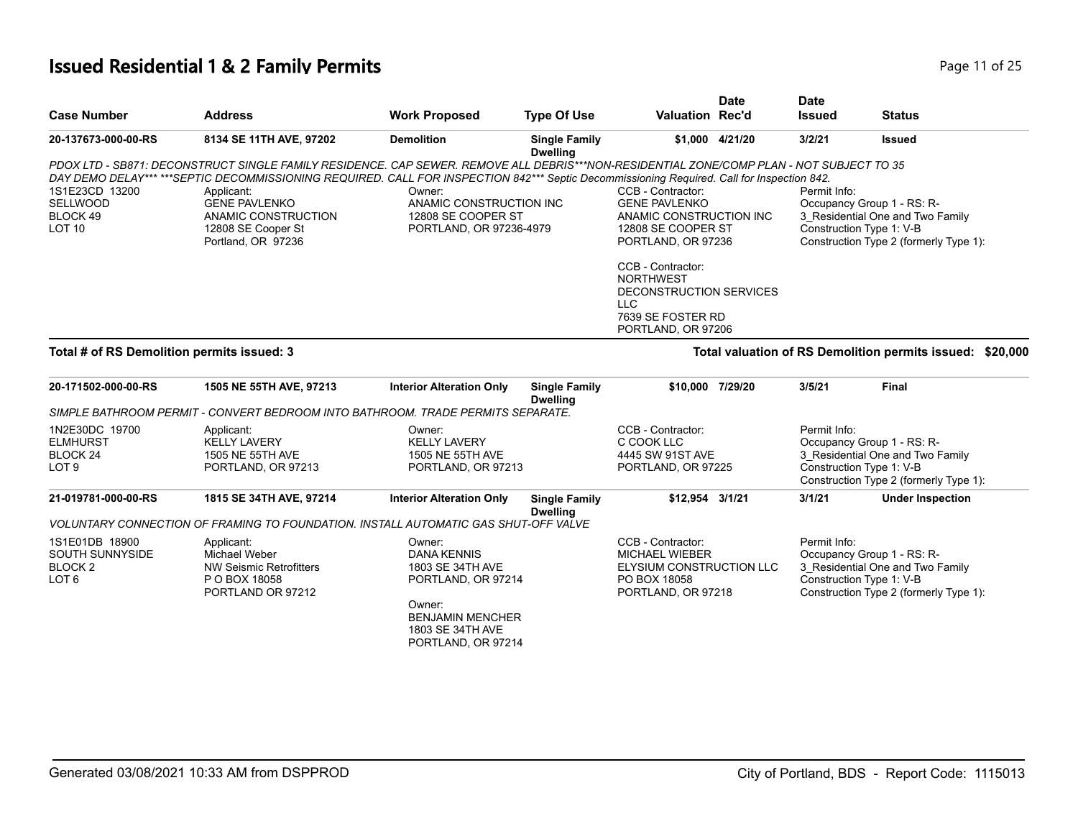## **Issued Residential 1 & 2 Family Permits Page 11 of 25 Page 11 of 25**

| <b>Case Number</b>                                                           | <b>Address</b>                                                                                                                                                                                                                                                                                                                                                                                 | <b>Work Proposed</b>                                                                                                                                  | <b>Type Of Use</b>                      | <b>Valuation Rec'd</b>                                                                                                                                                                                                                 | <b>Date</b>     | <b>Date</b><br><b>Issued</b> | <b>Status</b>                                                                                                                        |
|------------------------------------------------------------------------------|------------------------------------------------------------------------------------------------------------------------------------------------------------------------------------------------------------------------------------------------------------------------------------------------------------------------------------------------------------------------------------------------|-------------------------------------------------------------------------------------------------------------------------------------------------------|-----------------------------------------|----------------------------------------------------------------------------------------------------------------------------------------------------------------------------------------------------------------------------------------|-----------------|------------------------------|--------------------------------------------------------------------------------------------------------------------------------------|
| 20-137673-000-00-RS                                                          | 8134 SE 11TH AVE, 97202                                                                                                                                                                                                                                                                                                                                                                        | <b>Demolition</b>                                                                                                                                     | <b>Single Family</b><br><b>Dwelling</b> |                                                                                                                                                                                                                                        | \$1,000 4/21/20 | 3/2/21                       | <b>Issued</b>                                                                                                                        |
| 1S1E23CD 13200<br><b>SELLWOOD</b><br>BLOCK 49<br>LOT <sub>10</sub>           | PDOX LTD - SB871: DECONSTRUCT SINGLE FAMILY RESIDENCE. CAP SEWER. REMOVE ALL DEBRIS***NON-RESIDENTIAL ZONE/COMP PLAN - NOT SUBJECT TO 35<br>DAY DEMO DELAY******SEPTIC DECOMMISSIONING REQUIRED. CALL FOR INSPECTION 842*** Septic Decommissioning Required. Call for Inspection 842.<br>Applicant:<br><b>GENE PAVLENKO</b><br>ANAMIC CONSTRUCTION<br>12808 SE Cooper St<br>Portland, OR 97236 | Owner:<br>ANAMIC CONSTRUCTION INC<br>12808 SE COOPER ST<br>PORTLAND, OR 97236-4979                                                                    |                                         | CCB - Contractor:<br><b>GENE PAVLENKO</b><br>ANAMIC CONSTRUCTION INC<br>12808 SE COOPER ST<br>PORTLAND, OR 97236<br>CCB - Contractor:<br><b>NORTHWEST</b><br>DECONSTRUCTION SERVICES<br>LLC<br>7639 SE FOSTER RD<br>PORTLAND, OR 97206 |                 | Permit Info:                 | Occupancy Group 1 - RS: R-<br>3 Residential One and Two Family<br>Construction Type 1: V-B<br>Construction Type 2 (formerly Type 1): |
| Total # of RS Demolition permits issued: 3                                   |                                                                                                                                                                                                                                                                                                                                                                                                |                                                                                                                                                       |                                         |                                                                                                                                                                                                                                        |                 |                              | Total valuation of RS Demolition permits issued: \$20,000                                                                            |
| 20-171502-000-00-RS                                                          | 1505 NE 55TH AVE, 97213                                                                                                                                                                                                                                                                                                                                                                        | <b>Interior Alteration Only</b>                                                                                                                       | <b>Single Family</b><br><b>Dwelling</b> | \$10,000 7/29/20                                                                                                                                                                                                                       |                 | 3/5/21                       | <b>Final</b>                                                                                                                         |
|                                                                              | SIMPLE BATHROOM PERMIT - CONVERT BEDROOM INTO BATHROOM. TRADE PERMITS SEPARATE.                                                                                                                                                                                                                                                                                                                |                                                                                                                                                       |                                         |                                                                                                                                                                                                                                        |                 |                              |                                                                                                                                      |
| 1N2E30DC 19700<br><b>ELMHURST</b><br>BLOCK <sub>24</sub><br>LOT <sub>9</sub> | Applicant:<br><b>KELLY LAVERY</b><br>1505 NE 55TH AVE<br>PORTLAND, OR 97213                                                                                                                                                                                                                                                                                                                    | Owner:<br><b>KELLY LAVERY</b><br>1505 NE 55TH AVE<br>PORTLAND, OR 97213                                                                               |                                         | CCB - Contractor:<br>C COOK LLC<br>4445 SW 91ST AVE<br>PORTLAND, OR 97225                                                                                                                                                              |                 | Permit Info:                 | Occupancy Group 1 - RS: R-<br>3_Residential One and Two Family<br>Construction Type 1: V-B<br>Construction Type 2 (formerly Type 1): |
| 21-019781-000-00-RS                                                          | 1815 SE 34TH AVE, 97214                                                                                                                                                                                                                                                                                                                                                                        | <b>Interior Alteration Only</b>                                                                                                                       | <b>Single Family</b><br><b>Dwelling</b> | \$12,954 3/1/21                                                                                                                                                                                                                        |                 | 3/1/21                       | <b>Under Inspection</b>                                                                                                              |
|                                                                              | VOLUNTARY CONNECTION OF FRAMING TO FOUNDATION. INSTALL AUTOMATIC GAS SHUT-OFF VALVE                                                                                                                                                                                                                                                                                                            |                                                                                                                                                       |                                         |                                                                                                                                                                                                                                        |                 |                              |                                                                                                                                      |
| 1S1E01DB 18900<br>SOUTH SUNNYSIDE<br>BLOCK <sub>2</sub><br>LOT <sub>6</sub>  | Applicant:<br>Michael Weber<br>NW Seismic Retrofitters<br>P O BOX 18058<br>PORTLAND OR 97212                                                                                                                                                                                                                                                                                                   | Owner:<br><b>DANA KENNIS</b><br>1803 SE 34TH AVE<br>PORTLAND, OR 97214<br>Owner:<br><b>BENJAMIN MENCHER</b><br>1803 SE 34TH AVE<br>PORTLAND, OR 97214 |                                         | CCB - Contractor:<br><b>MICHAEL WIEBER</b><br>ELYSIUM CONSTRUCTION LLC<br>PO BOX 18058<br>PORTLAND, OR 97218                                                                                                                           |                 | Permit Info:                 | Occupancy Group 1 - RS: R-<br>3 Residential One and Two Family<br>Construction Type 1: V-B<br>Construction Type 2 (formerly Type 1): |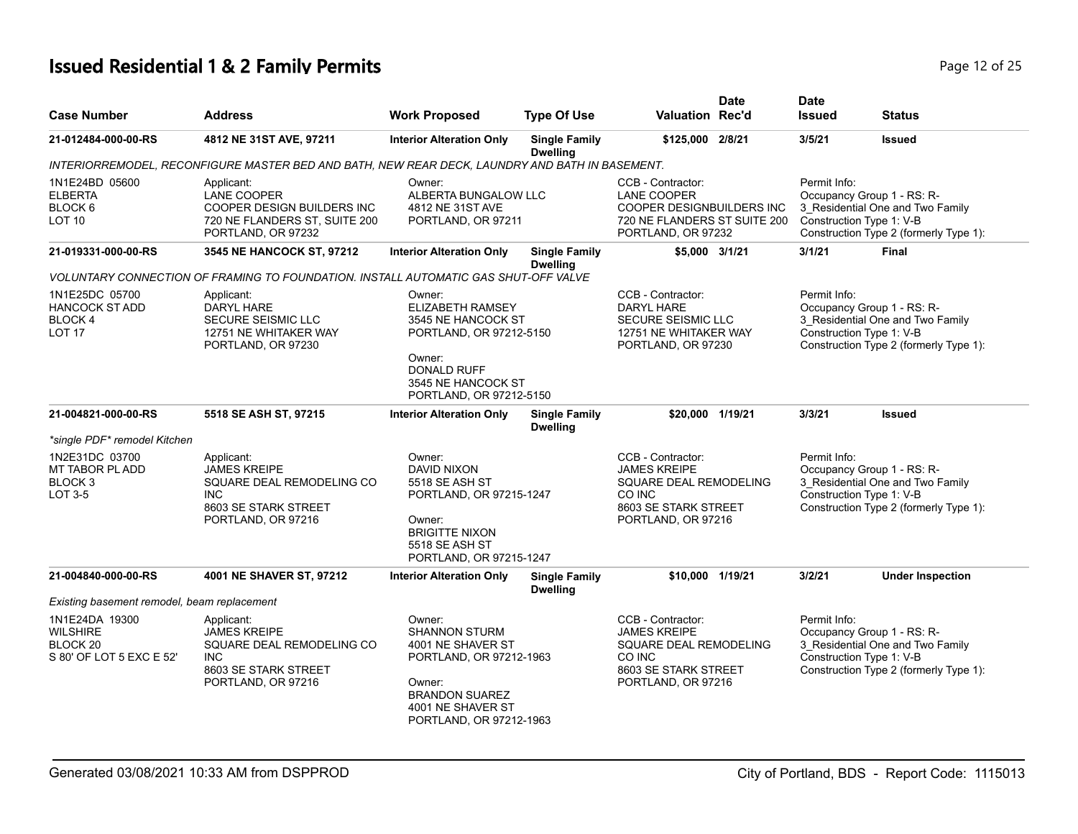# **Issued Residential 1 & 2 Family Permits Page 12 of 25 Page 12 of 25**

| <b>Case Number</b>                                                        | <b>Address</b>                                                                                                             | <b>Work Proposed</b>                                                                                                                                                | <b>Type Of Use</b>                      | <b>Valuation Rec'd</b>                                                                                                             | <b>Date</b> | <b>Date</b><br><b>Issued</b>             | Status                                                                                                   |
|---------------------------------------------------------------------------|----------------------------------------------------------------------------------------------------------------------------|---------------------------------------------------------------------------------------------------------------------------------------------------------------------|-----------------------------------------|------------------------------------------------------------------------------------------------------------------------------------|-------------|------------------------------------------|----------------------------------------------------------------------------------------------------------|
| 21-012484-000-00-RS                                                       | 4812 NE 31ST AVE, 97211                                                                                                    | <b>Interior Alteration Only</b>                                                                                                                                     | <b>Single Family</b><br><b>Dwelling</b> | \$125,000 2/8/21                                                                                                                   |             | 3/5/21                                   | Issued                                                                                                   |
|                                                                           | INTERIORREMODEL, RECONFIGURE MASTER BED AND BATH, NEW REAR DECK, LAUNDRY AND BATH IN BASEMENT.                             |                                                                                                                                                                     |                                         |                                                                                                                                    |             |                                          |                                                                                                          |
| 1N1E24BD 05600<br><b>ELBERTA</b><br>BLOCK 6<br>LOT <sub>10</sub>          | Applicant:<br><b>LANE COOPER</b><br>COOPER DESIGN BUILDERS INC<br>720 NE FLANDERS ST, SUITE 200<br>PORTLAND, OR 97232      | Owner:<br>ALBERTA BUNGALOW LLC<br>4812 NE 31ST AVE<br>PORTLAND, OR 97211                                                                                            |                                         | CCB - Contractor:<br><b>LANE COOPER</b><br><b>COOPER DESIGNBUILDERS INC.</b><br>720 NE FLANDERS ST SUITE 200<br>PORTLAND, OR 97232 |             | Permit Info:<br>Construction Type 1: V-B | Occupancy Group 1 - RS: R-<br>3 Residential One and Two Family<br>Construction Type 2 (formerly Type 1): |
| 21-019331-000-00-RS                                                       | 3545 NE HANCOCK ST, 97212                                                                                                  | <b>Interior Alteration Only</b>                                                                                                                                     | <b>Single Family</b><br><b>Dwelling</b> | \$5,000 3/1/21                                                                                                                     |             | 3/1/21                                   | <b>Final</b>                                                                                             |
|                                                                           | VOLUNTARY CONNECTION OF FRAMING TO FOUNDATION. INSTALL AUTOMATIC GAS SHUT-OFF VALVE                                        |                                                                                                                                                                     |                                         |                                                                                                                                    |             |                                          |                                                                                                          |
| 1N1E25DC 05700<br><b>HANCOCK ST ADD</b><br><b>BLOCK4</b><br><b>LOT 17</b> | Applicant:<br>DARYL HARE<br>SECURE SEISMIC LLC<br>12751 NE WHITAKER WAY<br>PORTLAND, OR 97230                              | Owner:<br><b>ELIZABETH RAMSEY</b><br>3545 NE HANCOCK ST<br>PORTLAND, OR 97212-5150<br>Owner:<br><b>DONALD RUFF</b><br>3545 NE HANCOCK ST<br>PORTLAND, OR 97212-5150 |                                         | CCB - Contractor:<br><b>DARYL HARE</b><br>SECURE SEISMIC LLC<br>12751 NE WHITAKER WAY<br>PORTLAND, OR 97230                        |             | Permit Info:<br>Construction Type 1: V-B | Occupancy Group 1 - RS: R-<br>3_Residential One and Two Family<br>Construction Type 2 (formerly Type 1): |
| 21-004821-000-00-RS                                                       | 5518 SE ASH ST, 97215                                                                                                      | <b>Interior Alteration Only</b>                                                                                                                                     | <b>Single Family</b><br><b>Dwelling</b> | \$20,000 1/19/21                                                                                                                   |             | 3/3/21                                   | <b>Issued</b>                                                                                            |
| *single PDF* remodel Kitchen                                              |                                                                                                                            |                                                                                                                                                                     |                                         |                                                                                                                                    |             |                                          |                                                                                                          |
| 1N2E31DC 03700<br>MT TABOR PL ADD<br>BLOCK <sub>3</sub><br>LOT 3-5        | Applicant:<br><b>JAMES KREIPE</b><br>SQUARE DEAL REMODELING CO<br><b>INC</b><br>8603 SE STARK STREET<br>PORTLAND, OR 97216 | Owner:<br><b>DAVID NIXON</b><br>5518 SE ASH ST<br>PORTLAND, OR 97215-1247<br>Owner:<br><b>BRIGITTE NIXON</b><br>5518 SE ASH ST<br>PORTLAND, OR 97215-1247           |                                         | CCB - Contractor:<br><b>JAMES KREIPE</b><br>SQUARE DEAL REMODELING<br>CO INC<br>8603 SE STARK STREET<br>PORTLAND, OR 97216         |             | Permit Info:<br>Construction Type 1: V-B | Occupancy Group 1 - RS: R-<br>3_Residential One and Two Family<br>Construction Type 2 (formerly Type 1): |
| 21-004840-000-00-RS                                                       | 4001 NE SHAVER ST, 97212                                                                                                   | <b>Interior Alteration Only</b>                                                                                                                                     | <b>Single Family</b><br><b>Dwelling</b> | \$10,000 1/19/21                                                                                                                   |             | 3/2/21                                   | <b>Under Inspection</b>                                                                                  |
| Existing basement remodel, beam replacement                               |                                                                                                                            |                                                                                                                                                                     |                                         |                                                                                                                                    |             |                                          |                                                                                                          |
| 1N1E24DA 19300<br><b>WILSHIRE</b><br>BLOCK 20<br>S 80' OF LOT 5 EXC E 52' | Applicant:<br><b>JAMES KREIPE</b><br>SQUARE DEAL REMODELING CO<br><b>INC</b><br>8603 SE STARK STREET<br>PORTLAND, OR 97216 | Owner:<br><b>SHANNON STURM</b><br>4001 NE SHAVER ST<br>PORTLAND, OR 97212-1963<br>Owner:<br><b>BRANDON SUAREZ</b><br>4001 NE SHAVER ST<br>PORTLAND, OR 97212-1963   |                                         | CCB - Contractor:<br><b>JAMES KREIPE</b><br>SQUARE DEAL REMODELING<br>CO INC<br>8603 SE STARK STREET<br>PORTLAND, OR 97216         |             | Permit Info:<br>Construction Type 1: V-B | Occupancy Group 1 - RS: R-<br>3 Residential One and Two Family<br>Construction Type 2 (formerly Type 1): |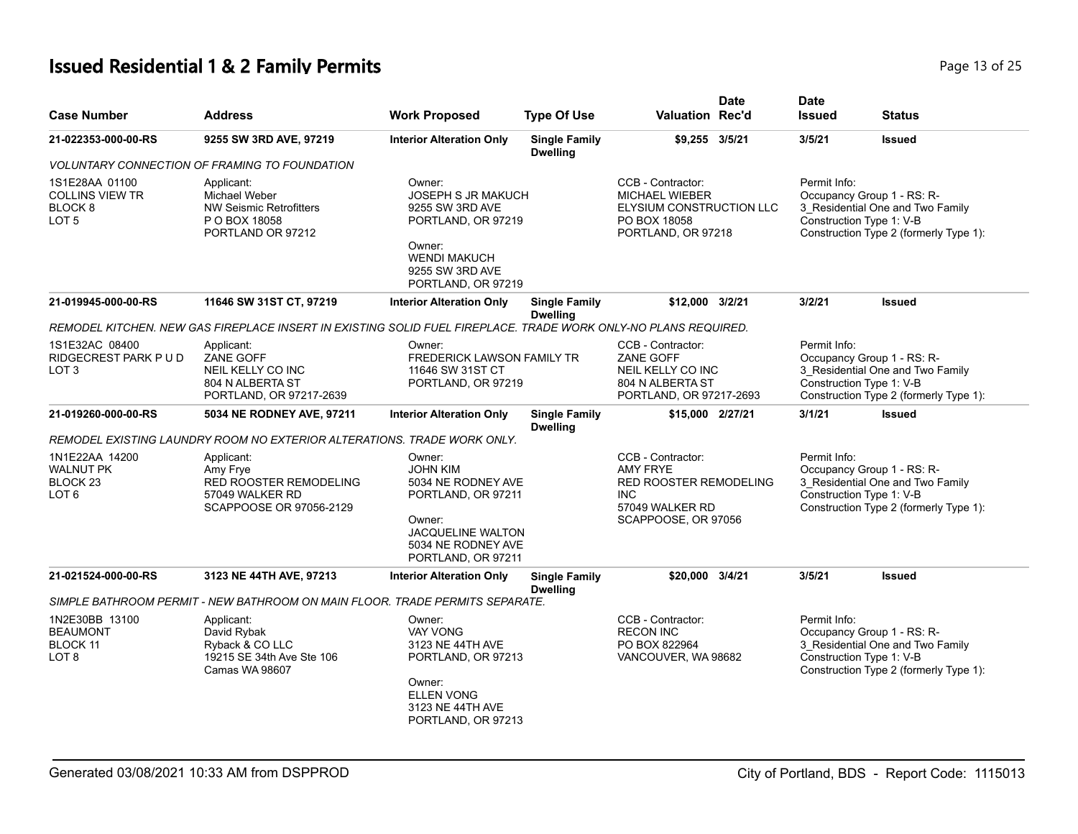# **Issued Residential 1 & 2 Family Permits Page 13 of 25** and **Page 13 of 25**

| <b>Case Number</b>                                                                 | <b>Address</b>                                                                                                 | <b>Work Proposed</b>                                                                                                                                    | <b>Type Of Use</b>                      | Valuation Rec'd                                                                                                               | <b>Date</b> | <b>Date</b><br><b>Issued</b> | Status                                                                                                                               |
|------------------------------------------------------------------------------------|----------------------------------------------------------------------------------------------------------------|---------------------------------------------------------------------------------------------------------------------------------------------------------|-----------------------------------------|-------------------------------------------------------------------------------------------------------------------------------|-------------|------------------------------|--------------------------------------------------------------------------------------------------------------------------------------|
| 21-022353-000-00-RS                                                                | 9255 SW 3RD AVE, 97219                                                                                         | <b>Interior Alteration Only</b>                                                                                                                         | <b>Single Family</b><br><b>Dwelling</b> | \$9.255 3/5/21                                                                                                                |             | 3/5/21                       | <b>Issued</b>                                                                                                                        |
|                                                                                    | <b>VOLUNTARY CONNECTION OF FRAMING TO FOUNDATION</b>                                                           |                                                                                                                                                         |                                         |                                                                                                                               |             |                              |                                                                                                                                      |
| 1S1E28AA 01100<br><b>COLLINS VIEW TR</b><br>BLOCK <sub>8</sub><br>LOT <sub>5</sub> | Applicant:<br>Michael Weber<br><b>NW Seismic Retrofitters</b><br>P O BOX 18058<br>PORTLAND OR 97212            | Owner:<br><b>JOSEPH S JR MAKUCH</b><br>9255 SW 3RD AVE<br>PORTLAND, OR 97219<br>Owner:<br><b>WENDI MAKUCH</b><br>9255 SW 3RD AVE<br>PORTLAND, OR 97219  |                                         | CCB - Contractor:<br><b>MICHAEL WIEBER</b><br>ELYSIUM CONSTRUCTION LLC<br>PO BOX 18058<br>PORTLAND, OR 97218                  |             | Permit Info:                 | Occupancy Group 1 - RS: R-<br>3_Residential One and Two Family<br>Construction Type 1: V-B<br>Construction Type 2 (formerly Type 1): |
| 21-019945-000-00-RS                                                                | 11646 SW 31ST CT, 97219                                                                                        | <b>Interior Alteration Only</b>                                                                                                                         | <b>Single Family</b><br><b>Dwelling</b> | \$12,000 3/2/21                                                                                                               |             | 3/2/21                       | <b>Issued</b>                                                                                                                        |
|                                                                                    | REMODEL KITCHEN. NEW GAS FIREPLACE INSERT IN EXISTING SOLID FUEL FIREPLACE. TRADE WORK ONLY-NO PLANS REQUIRED. |                                                                                                                                                         |                                         |                                                                                                                               |             |                              |                                                                                                                                      |
| 1S1E32AC 08400<br>RIDGECREST PARK P U D<br>LOT <sub>3</sub>                        | Applicant:<br>ZANE GOFF<br>NEIL KELLY CO INC<br>804 N ALBERTA ST<br>PORTLAND, OR 97217-2639                    | Owner:<br><b>FREDERICK LAWSON FAMILY TR</b><br>11646 SW 31ST CT<br>PORTLAND, OR 97219                                                                   |                                         | CCB - Contractor:<br>ZANE GOFF<br>NEIL KELLY CO INC<br>804 N ALBERTA ST<br>PORTLAND, OR 97217-2693                            |             | Permit Info:                 | Occupancy Group 1 - RS: R-<br>3 Residential One and Two Family<br>Construction Type 1: V-B<br>Construction Type 2 (formerly Type 1): |
| 21-019260-000-00-RS                                                                | 5034 NE RODNEY AVE, 97211                                                                                      | <b>Interior Alteration Only</b>                                                                                                                         | <b>Single Family</b><br><b>Dwelling</b> | \$15,000 2/27/21                                                                                                              |             | 3/1/21                       | <b>Issued</b>                                                                                                                        |
|                                                                                    | REMODEL EXISTING LAUNDRY ROOM NO EXTERIOR ALTERATIONS. TRADE WORK ONLY.                                        |                                                                                                                                                         |                                         |                                                                                                                               |             |                              |                                                                                                                                      |
| 1N1E22AA 14200<br><b>WALNUT PK</b><br>BLOCK 23<br>LOT <sub>6</sub>                 | Applicant:<br>Amy Frye<br><b>RED ROOSTER REMODELING</b><br>57049 WALKER RD<br>SCAPPOOSE OR 97056-2129          | Owner:<br><b>JOHN KIM</b><br>5034 NE RODNEY AVE<br>PORTLAND, OR 97211<br>Owner:<br><b>JACQUELINE WALTON</b><br>5034 NE RODNEY AVE<br>PORTLAND, OR 97211 |                                         | CCB - Contractor:<br><b>AMY FRYE</b><br><b>RED ROOSTER REMODELING</b><br><b>INC</b><br>57049 WALKER RD<br>SCAPPOOSE, OR 97056 |             | Permit Info:                 | Occupancy Group 1 - RS: R-<br>3_Residential One and Two Family<br>Construction Type 1: V-B<br>Construction Type 2 (formerly Type 1): |
| 21-021524-000-00-RS                                                                | 3123 NE 44TH AVE, 97213                                                                                        | <b>Interior Alteration Only</b>                                                                                                                         | <b>Single Family</b><br><b>Dwelling</b> | \$20,000 3/4/21                                                                                                               |             | 3/5/21                       | <b>Issued</b>                                                                                                                        |
|                                                                                    | SIMPLE BATHROOM PERMIT - NEW BATHROOM ON MAIN FLOOR. TRADE PERMITS SEPARATE.                                   |                                                                                                                                                         |                                         |                                                                                                                               |             |                              |                                                                                                                                      |
| 1N2E30BB 13100<br><b>BEAUMONT</b><br><b>BLOCK 11</b><br>LOT 8                      | Applicant:<br>David Rybak<br>Ryback & CO LLC<br>19215 SE 34th Ave Ste 106<br>Camas WA 98607                    | Owner:<br><b>VAY VONG</b><br>3123 NE 44TH AVE<br>PORTLAND, OR 97213<br>Owner:<br><b>ELLEN VONG</b><br>3123 NE 44TH AVE<br>PORTLAND, OR 97213            |                                         | CCB - Contractor:<br><b>RECON INC</b><br>PO BOX 822964<br>VANCOUVER, WA 98682                                                 |             | Permit Info:                 | Occupancy Group 1 - RS: R-<br>3 Residential One and Two Family<br>Construction Type 1: V-B<br>Construction Type 2 (formerly Type 1): |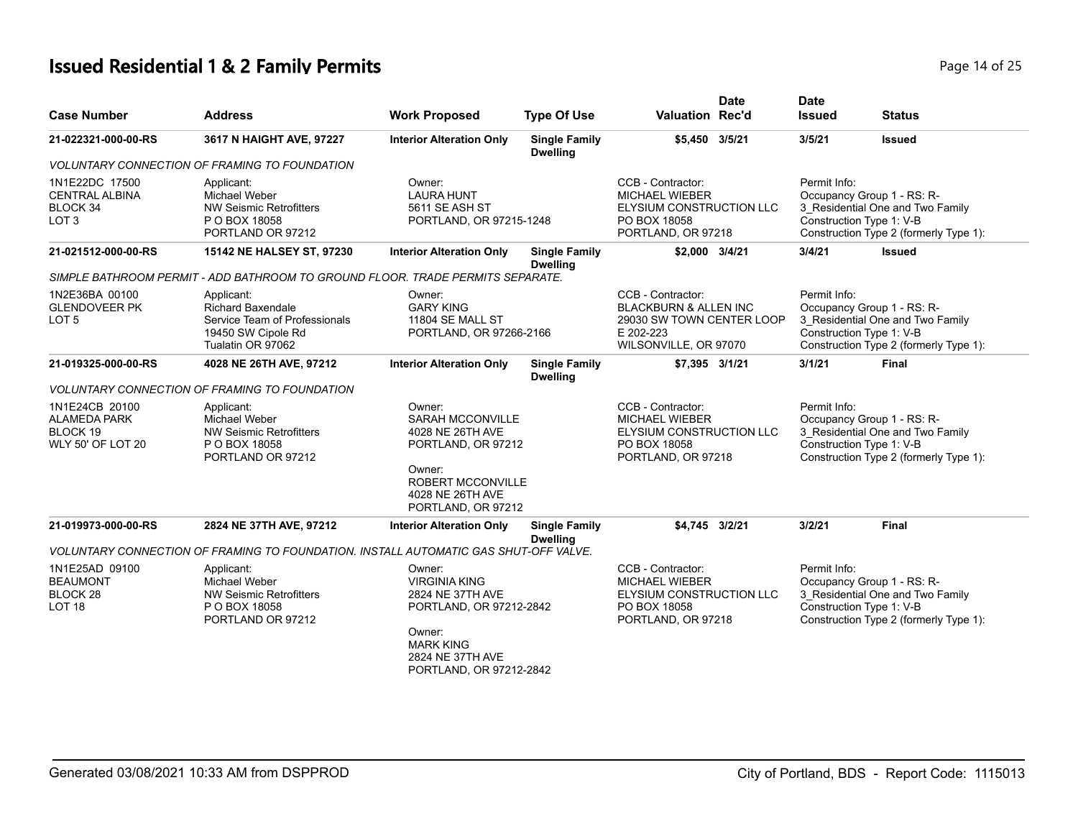# **Issued Residential 1 & 2 Family Permits Page 14 of 25 Page 14 of 25**

|                                                                               |                                                                                                                    |                                                                                                                                                             |                                         |                                                                                                                          | <b>Date</b> | <b>Date</b>   |                                                                                                                                      |
|-------------------------------------------------------------------------------|--------------------------------------------------------------------------------------------------------------------|-------------------------------------------------------------------------------------------------------------------------------------------------------------|-----------------------------------------|--------------------------------------------------------------------------------------------------------------------------|-------------|---------------|--------------------------------------------------------------------------------------------------------------------------------------|
| <b>Case Number</b>                                                            | <b>Address</b>                                                                                                     | <b>Work Proposed</b>                                                                                                                                        | <b>Type Of Use</b>                      | <b>Valuation Rec'd</b>                                                                                                   |             | <b>Issued</b> | <b>Status</b>                                                                                                                        |
| 21-022321-000-00-RS                                                           | 3617 N HAIGHT AVE, 97227                                                                                           | <b>Interior Alteration Only</b>                                                                                                                             | <b>Single Family</b><br><b>Dwelling</b> | \$5,450 3/5/21                                                                                                           |             | 3/5/21        | <b>Issued</b>                                                                                                                        |
|                                                                               | <b>VOLUNTARY CONNECTION OF FRAMING TO FOUNDATION</b>                                                               |                                                                                                                                                             |                                         |                                                                                                                          |             |               |                                                                                                                                      |
| 1N1E22DC 17500<br><b>CENTRAL ALBINA</b><br>BLOCK 34<br>LOT <sub>3</sub>       | Applicant:<br>Michael Weber<br><b>NW Seismic Retrofitters</b><br>P O BOX 18058<br>PORTLAND OR 97212                | Owner:<br><b>LAURA HUNT</b><br>5611 SE ASH ST<br>PORTLAND, OR 97215-1248                                                                                    |                                         | CCB - Contractor:<br><b>MICHAEL WIEBER</b><br>ELYSIUM CONSTRUCTION LLC<br>PO BOX 18058<br>PORTLAND, OR 97218             |             | Permit Info:  | Occupancy Group 1 - RS: R-<br>3_Residential One and Two Family<br>Construction Type 1: V-B<br>Construction Type 2 (formerly Type 1): |
| 21-021512-000-00-RS                                                           | 15142 NE HALSEY ST, 97230                                                                                          | <b>Interior Alteration Only</b>                                                                                                                             | <b>Single Family</b><br><b>Dwelling</b> | \$2,000 3/4/21                                                                                                           |             | 3/4/21        | <b>Issued</b>                                                                                                                        |
|                                                                               | SIMPLE BATHROOM PERMIT - ADD BATHROOM TO GROUND FLOOR. TRADE PERMITS SEPARATE.                                     |                                                                                                                                                             |                                         |                                                                                                                          |             |               |                                                                                                                                      |
| 1N2E36BA 00100<br><b>GLENDOVEER PK</b><br>LOT 5                               | Applicant:<br><b>Richard Baxendale</b><br>Service Team of Professionals<br>19450 SW Cipole Rd<br>Tualatin OR 97062 | Owner:<br><b>GARY KING</b><br>11804 SE MALL ST<br>PORTLAND, OR 97266-2166                                                                                   |                                         | CCB - Contractor:<br><b>BLACKBURN &amp; ALLEN INC</b><br>29030 SW TOWN CENTER LOOP<br>E 202-223<br>WILSONVILLE, OR 97070 |             | Permit Info:  | Occupancy Group 1 - RS: R-<br>3 Residential One and Two Family<br>Construction Type 1: V-B<br>Construction Type 2 (formerly Type 1): |
| 21-019325-000-00-RS                                                           | 4028 NE 26TH AVE, 97212                                                                                            | <b>Interior Alteration Only</b>                                                                                                                             | <b>Single Family</b><br><b>Dwelling</b> | \$7,395 3/1/21                                                                                                           |             | 3/1/21        | Final                                                                                                                                |
|                                                                               | <i>VOLUNTARY CONNECTION OF FRAMING TO FOUNDATION</i>                                                               |                                                                                                                                                             |                                         |                                                                                                                          |             |               |                                                                                                                                      |
| 1N1E24CB 20100<br><b>ALAMEDA PARK</b><br>BLOCK 19<br><b>WLY 50' OF LOT 20</b> | Applicant:<br>Michael Weber<br>NW Seismic Retrofitters<br>P O BOX 18058<br>PORTLAND OR 97212                       | Owner:<br><b>SARAH MCCONVILLE</b><br>4028 NE 26TH AVE<br>PORTLAND, OR 97212<br>Owner:<br><b>ROBERT MCCONVILLE</b><br>4028 NE 26TH AVE<br>PORTLAND, OR 97212 |                                         | CCB - Contractor:<br><b>MICHAEL WIEBER</b><br>ELYSIUM CONSTRUCTION LLC<br>PO BOX 18058<br>PORTLAND, OR 97218             |             | Permit Info:  | Occupancy Group 1 - RS: R-<br>3 Residential One and Two Family<br>Construction Type 1: V-B<br>Construction Type 2 (formerly Type 1): |
| 21-019973-000-00-RS                                                           | 2824 NE 37TH AVE, 97212                                                                                            | <b>Interior Alteration Only</b>                                                                                                                             | <b>Single Family</b>                    | \$4,745 3/2/21                                                                                                           |             | 3/2/21        | Final                                                                                                                                |
|                                                                               | VOLUNTARY CONNECTION OF FRAMING TO FOUNDATION. INSTALL AUTOMATIC GAS SHUT-OFF VALVE.                               |                                                                                                                                                             | <b>Dwelling</b>                         |                                                                                                                          |             |               |                                                                                                                                      |
| 1N1E25AD 09100<br><b>BEAUMONT</b><br>BLOCK <sub>28</sub><br>LOT <sub>18</sub> | Applicant:<br>Michael Weber<br><b>NW Seismic Retrofitters</b><br>P O BOX 18058<br>PORTLAND OR 97212                | Owner:<br><b>VIRGINIA KING</b><br>2824 NE 37TH AVE<br>PORTLAND, OR 97212-2842<br>Owner:<br><b>MARK KING</b><br>2824 NE 37TH AVE<br>PORTLAND, OR 97212-2842  |                                         | CCB - Contractor:<br><b>MICHAEL WIEBER</b><br>ELYSIUM CONSTRUCTION LLC<br>PO BOX 18058<br>PORTLAND, OR 97218             |             | Permit Info:  | Occupancy Group 1 - RS: R-<br>3_Residential One and Two Family<br>Construction Type 1: V-B<br>Construction Type 2 (formerly Type 1): |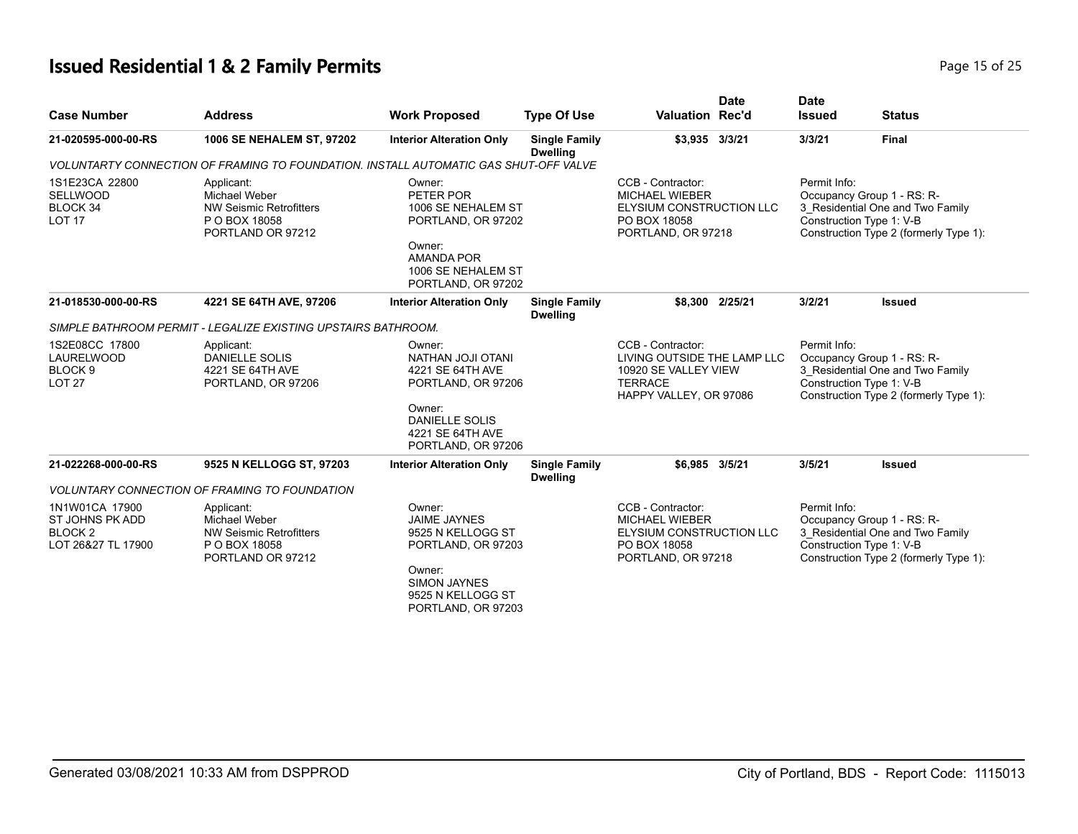| <b>Case Number</b>                                                            | <b>Address</b>                                                                                      | <b>Work Proposed</b>                                                                                                                                 | <b>Type Of Use</b>                      | <b>Valuation Rec'd</b>                                                                                               | <b>Date</b> | <b>Date</b><br><b>Issued</b> | <b>Status</b>                                                                                                                        |
|-------------------------------------------------------------------------------|-----------------------------------------------------------------------------------------------------|------------------------------------------------------------------------------------------------------------------------------------------------------|-----------------------------------------|----------------------------------------------------------------------------------------------------------------------|-------------|------------------------------|--------------------------------------------------------------------------------------------------------------------------------------|
| 21-020595-000-00-RS                                                           | 1006 SE NEHALEM ST, 97202                                                                           | <b>Interior Alteration Only</b>                                                                                                                      | <b>Single Family</b><br><b>Dwelling</b> | \$3,935 3/3/21                                                                                                       |             | 3/3/21                       | <b>Final</b>                                                                                                                         |
|                                                                               | VOLUNTARTY CONNECTION OF FRAMING TO FOUNDATION. INSTALL AUTOMATIC GAS SHUT-OFF VALVE                |                                                                                                                                                      |                                         |                                                                                                                      |             |                              |                                                                                                                                      |
| 1S1E23CA 22800<br><b>SELLWOOD</b><br>BLOCK 34<br>LOT <sub>17</sub>            | Applicant:<br>Michael Weber<br><b>NW Seismic Retrofitters</b><br>P O BOX 18058<br>PORTLAND OR 97212 | Owner:<br>PETER POR<br>1006 SE NEHALEM ST<br>PORTLAND, OR 97202<br>Owner:<br><b>AMANDA POR</b><br>1006 SE NEHALEM ST<br>PORTLAND, OR 97202           |                                         | CCB - Contractor:<br><b>MICHAEL WIEBER</b><br><b>ELYSIUM CONSTRUCTION LLC</b><br>PO BOX 18058<br>PORTLAND, OR 97218  |             | Permit Info:                 | Occupancy Group 1 - RS: R-<br>3_Residential One and Two Family<br>Construction Type 1: V-B<br>Construction Type 2 (formerly Type 1): |
| 21-018530-000-00-RS                                                           | 4221 SE 64TH AVE, 97206                                                                             | <b>Interior Alteration Only</b>                                                                                                                      | <b>Single Family</b><br><b>Dwelling</b> | \$8.300 2/25/21                                                                                                      |             | 3/2/21                       | <b>Issued</b>                                                                                                                        |
|                                                                               | SIMPLE BATHROOM PERMIT - LEGALIZE EXISTING UPSTAIRS BATHROOM.                                       |                                                                                                                                                      |                                         |                                                                                                                      |             |                              |                                                                                                                                      |
| 1S2E08CC 17800<br>LAURELWOOD<br>BLOCK <sub>9</sub><br><b>LOT 27</b>           | Applicant:<br><b>DANIELLE SOLIS</b><br>4221 SE 64TH AVE<br>PORTLAND, OR 97206                       | Owner:<br><b>NATHAN JOJI OTANI</b><br>4221 SE 64TH AVE<br>PORTLAND, OR 97206                                                                         |                                         | CCB - Contractor:<br>LIVING OUTSIDE THE LAMP LLC<br>10920 SE VALLEY VIEW<br><b>TERRACE</b><br>HAPPY VALLEY, OR 97086 |             | Permit Info:                 | Occupancy Group 1 - RS: R-<br>3 Residential One and Two Family<br>Construction Type 1: V-B<br>Construction Type 2 (formerly Type 1): |
|                                                                               |                                                                                                     | Owner:<br><b>DANIELLE SOLIS</b><br>4221 SE 64TH AVE<br>PORTLAND, OR 97206                                                                            |                                         |                                                                                                                      |             |                              |                                                                                                                                      |
| 21-022268-000-00-RS                                                           | 9525 N KELLOGG ST, 97203                                                                            | <b>Interior Alteration Only</b>                                                                                                                      | <b>Single Family</b>                    | \$6.985 3/5/21                                                                                                       |             | 3/5/21                       | <b>Issued</b>                                                                                                                        |
|                                                                               | <b>VOLUNTARY CONNECTION OF FRAMING TO FOUNDATION</b>                                                |                                                                                                                                                      | <b>Dwelling</b>                         |                                                                                                                      |             |                              |                                                                                                                                      |
| 1N1W01CA 17900<br>ST JOHNS PK ADD<br>BLOCK <sub>2</sub><br>LOT 26&27 TL 17900 | Applicant:<br>Michael Weber<br><b>NW Seismic Retrofitters</b><br>P O BOX 18058<br>PORTLAND OR 97212 | Owner:<br><b>JAIME JAYNES</b><br>9525 N KELLOGG ST<br>PORTLAND, OR 97203<br>Owner:<br><b>SIMON JAYNES</b><br>9525 N KELLOGG ST<br>PORTLAND, OR 97203 |                                         | CCB - Contractor:<br><b>MICHAEL WIEBER</b><br><b>ELYSIUM CONSTRUCTION LLC</b><br>PO BOX 18058<br>PORTLAND, OR 97218  |             | Permit Info:                 | Occupancy Group 1 - RS: R-<br>3_Residential One and Two Family<br>Construction Type 1: V-B<br>Construction Type 2 (formerly Type 1): |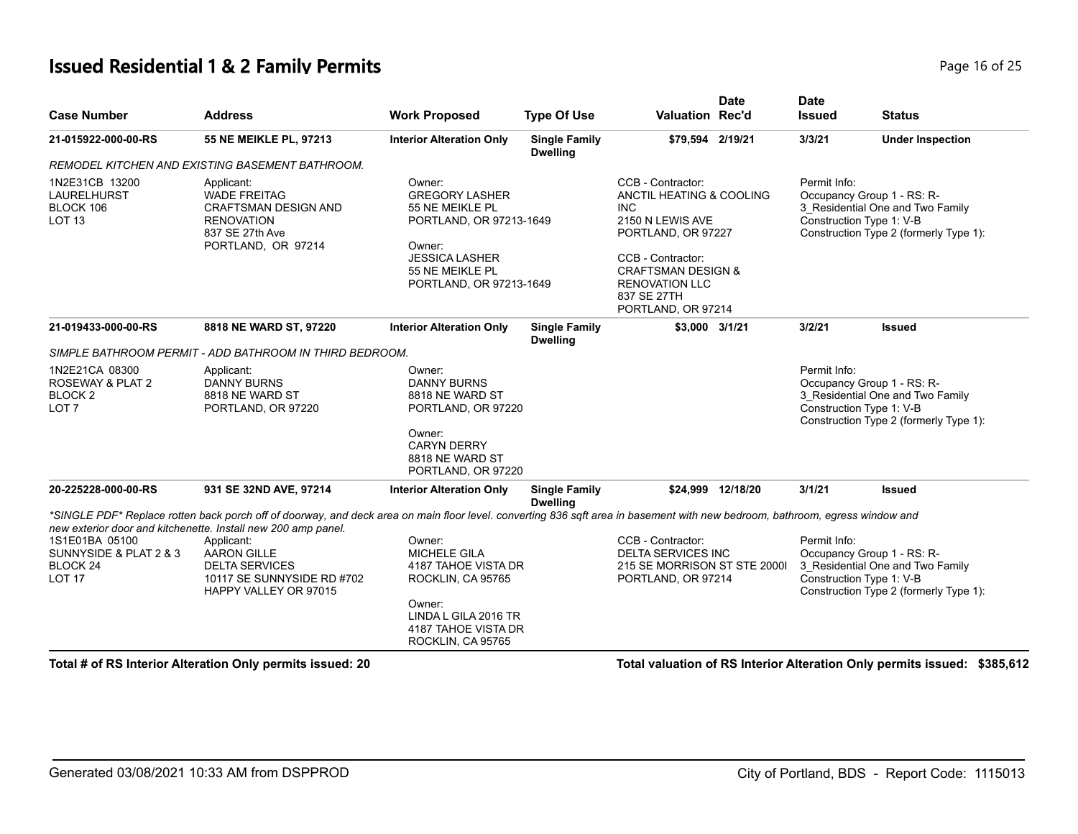#### **Issued Residential 1 & 2 Family Permits Page 16 of 25 Page 16 of 25**

| <b>Case Number</b>                                                                   | <b>Address</b>                                                                                                                                                                    | <b>Work Proposed</b>                                                                                                                                           | <b>Type Of Use</b>                      | <b>Valuation Rec'd</b>                                                                                                                                                                                                    | <b>Date</b>       | <b>Date</b><br><b>Issued</b> | <b>Status</b>                                                                                                                        |
|--------------------------------------------------------------------------------------|-----------------------------------------------------------------------------------------------------------------------------------------------------------------------------------|----------------------------------------------------------------------------------------------------------------------------------------------------------------|-----------------------------------------|---------------------------------------------------------------------------------------------------------------------------------------------------------------------------------------------------------------------------|-------------------|------------------------------|--------------------------------------------------------------------------------------------------------------------------------------|
| 21-015922-000-00-RS                                                                  | 55 NE MEIKLE PL, 97213                                                                                                                                                            | <b>Interior Alteration Only</b>                                                                                                                                | <b>Single Family</b><br><b>Dwelling</b> | \$79,594 2/19/21                                                                                                                                                                                                          |                   | 3/3/21                       | <b>Under Inspection</b>                                                                                                              |
|                                                                                      | REMODEL KITCHEN AND EXISTING BASEMENT BATHROOM.                                                                                                                                   |                                                                                                                                                                |                                         |                                                                                                                                                                                                                           |                   |                              |                                                                                                                                      |
| 1N2E31CB 13200<br><b>LAURELHURST</b><br>BLOCK 106<br>LOT <sub>13</sub>               | Applicant:<br><b>WADE FREITAG</b><br>CRAFTSMAN DESIGN AND<br><b>RENOVATION</b><br>837 SE 27th Ave<br>PORTLAND, OR 97214                                                           | Owner:<br><b>GREGORY LASHER</b><br>55 NE MEIKLE PL<br>PORTLAND, OR 97213-1649<br>Owner:<br><b>JESSICA LASHER</b><br>55 NE MEIKLE PL<br>PORTLAND, OR 97213-1649 |                                         | CCB - Contractor:<br>ANCTIL HEATING & COOLING<br><b>INC</b><br>2150 N LEWIS AVE<br>PORTLAND, OR 97227<br>CCB - Contractor:<br><b>CRAFTSMAN DESIGN &amp;</b><br><b>RENOVATION LLC</b><br>837 SE 27TH<br>PORTLAND, OR 97214 |                   | Permit Info:                 | Occupancy Group 1 - RS: R-<br>3 Residential One and Two Family<br>Construction Type 1: V-B<br>Construction Type 2 (formerly Type 1): |
| 21-019433-000-00-RS                                                                  | 8818 NE WARD ST, 97220                                                                                                                                                            | <b>Interior Alteration Only</b>                                                                                                                                | <b>Single Family</b><br><b>Dwelling</b> | \$3,000 3/1/21                                                                                                                                                                                                            |                   | 3/2/21                       | <b>Issued</b>                                                                                                                        |
|                                                                                      | SIMPLE BATHROOM PERMIT - ADD BATHROOM IN THIRD BEDROOM.                                                                                                                           |                                                                                                                                                                |                                         |                                                                                                                                                                                                                           |                   |                              |                                                                                                                                      |
| 1N2E21CA 08300<br><b>ROSEWAY &amp; PLAT 2</b><br>BLOCK 2<br>LOT <sub>7</sub>         | Applicant:<br><b>DANNY BURNS</b><br>8818 NE WARD ST<br>PORTLAND, OR 97220                                                                                                         | Owner:<br><b>DANNY BURNS</b><br>8818 NE WARD ST<br>PORTLAND, OR 97220                                                                                          |                                         |                                                                                                                                                                                                                           |                   | Permit Info:                 | Occupancy Group 1 - RS: R-<br>3_Residential One and Two Family<br>Construction Type 1: V-B<br>Construction Type 2 (formerly Type 1): |
|                                                                                      |                                                                                                                                                                                   | Owner:<br><b>CARYN DERRY</b><br>8818 NE WARD ST<br>PORTLAND, OR 97220                                                                                          |                                         |                                                                                                                                                                                                                           |                   |                              |                                                                                                                                      |
| 20-225228-000-00-RS                                                                  | 931 SE 32ND AVE, 97214                                                                                                                                                            | <b>Interior Alteration Only</b>                                                                                                                                | <b>Single Family</b><br><b>Dwelling</b> |                                                                                                                                                                                                                           | \$24,999 12/18/20 | 3/1/21                       | <b>Issued</b>                                                                                                                        |
|                                                                                      | *SINGLE PDF* Replace rotten back porch off of doorway, and deck area on main floor level, converting 836 sqft area in basement with new bedroom, bathroom, egress window and      |                                                                                                                                                                |                                         |                                                                                                                                                                                                                           |                   |                              |                                                                                                                                      |
| 1S1E01BA 05100<br>SUNNYSIDE & PLAT 2 & 3<br>BLOCK <sub>24</sub><br>LOT <sub>17</sub> | new exterior door and kitchenette. Install new 200 amp panel.<br>Applicant:<br><b>AARON GILLE</b><br><b>DELTA SERVICES</b><br>10117 SE SUNNYSIDE RD #702<br>HAPPY VALLEY OR 97015 | Owner:<br><b>MICHELE GILA</b><br>4187 TAHOE VISTA DR<br>ROCKLIN, CA 95765                                                                                      |                                         | CCB - Contractor:<br><b>DELTA SERVICES INC</b><br>215 SE MORRISON ST STE 2000I<br>PORTLAND, OR 97214                                                                                                                      |                   | Permit Info:                 | Occupancy Group 1 - RS: R-<br>3_Residential One and Two Family<br>Construction Type 1: V-B<br>Construction Type 2 (formerly Type 1): |
|                                                                                      |                                                                                                                                                                                   | Owner:<br>LINDA L GILA 2016 TR<br>4187 TAHOE VISTA DR<br>ROCKLIN, CA 95765                                                                                     |                                         |                                                                                                                                                                                                                           |                   |                              |                                                                                                                                      |

**Total # of RS Interior Alteration Only permits issued: 20 Total valuation of RS Interior Alteration Only permits issued: \$385,612**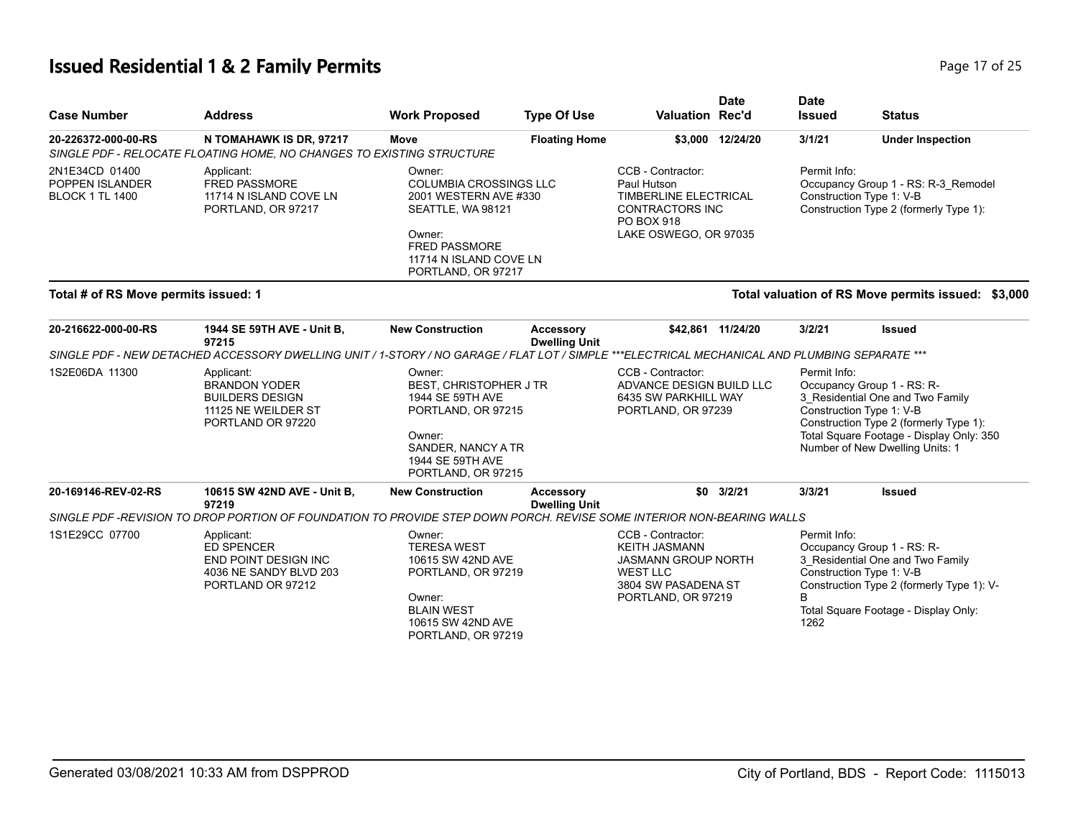# **Issued Residential 1 & 2 Family Permits Page 17 of 25 Page 17 of 25**

| <b>Case Number</b>                                          | <b>Address</b>                                                                                                                                 | <b>Work Proposed</b>                                                                                                                                                    | <b>Type Of Use</b>                       | <b>Valuation Rec'd</b>                                                                                                                  | <b>Date</b>       | <b>Date</b><br><b>Issued</b> | <b>Status</b>                                                                                                                                                                                                       |
|-------------------------------------------------------------|------------------------------------------------------------------------------------------------------------------------------------------------|-------------------------------------------------------------------------------------------------------------------------------------------------------------------------|------------------------------------------|-----------------------------------------------------------------------------------------------------------------------------------------|-------------------|------------------------------|---------------------------------------------------------------------------------------------------------------------------------------------------------------------------------------------------------------------|
| 20-226372-000-00-RS                                         | N TOMAHAWK IS DR, 97217<br>SINGLE PDF - RELOCATE FLOATING HOME, NO CHANGES TO EXISTING STRUCTURE                                               | Move                                                                                                                                                                    | <b>Floating Home</b>                     |                                                                                                                                         | \$3,000 12/24/20  | 3/1/21                       | <b>Under Inspection</b>                                                                                                                                                                                             |
| 2N1E34CD 01400<br>POPPEN ISLANDER<br><b>BLOCK 1 TL 1400</b> | Applicant:<br><b>FRED PASSMORE</b><br>11714 N ISLAND COVE LN<br>PORTLAND, OR 97217                                                             | Owner:<br><b>COLUMBIA CROSSINGS LLC</b><br>2001 WESTERN AVE #330<br>SEATTLE, WA 98121<br>Owner:<br><b>FRED PASSMORE</b><br>11714 N ISLAND COVE LN<br>PORTLAND, OR 97217 |                                          | CCB - Contractor:<br>Paul Hutson<br>TIMBERLINE ELECTRICAL<br>CONTRACTORS INC<br>PO BOX 918<br>LAKE OSWEGO, OR 97035                     |                   | Permit Info:                 | Occupancy Group 1 - RS: R-3_Remodel<br>Construction Type 1: V-B<br>Construction Type 2 (formerly Type 1):                                                                                                           |
| Total # of RS Move permits issued: 1                        |                                                                                                                                                |                                                                                                                                                                         |                                          |                                                                                                                                         |                   |                              | Total valuation of RS Move permits issued: \$3,000                                                                                                                                                                  |
| 20-216622-000-00-RS                                         | 1944 SE 59TH AVE - Unit B,<br>97215                                                                                                            | <b>New Construction</b>                                                                                                                                                 | <b>Accessory</b><br><b>Dwelling Unit</b> |                                                                                                                                         | \$42,861 11/24/20 | 3/2/21                       | <b>Issued</b>                                                                                                                                                                                                       |
|                                                             | SINGLE PDF - NEW DETACHED ACCESSORY DWELLING UNIT / 1-STORY / NO GARAGE / FLAT LOT / SIMPLE ***ELECTRICAL MECHANICAL AND PLUMBING SEPARATE *** |                                                                                                                                                                         |                                          |                                                                                                                                         |                   |                              |                                                                                                                                                                                                                     |
| 1S2E06DA 11300                                              | Applicant:<br><b>BRANDON YODER</b><br><b>BUILDERS DESIGN</b><br>11125 NE WEILDER ST<br>PORTLAND OR 97220                                       | Owner:<br>BEST, CHRISTOPHER J TR<br>1944 SE 59TH AVE<br>PORTLAND, OR 97215<br>Owner:<br>SANDER, NANCY A TR<br>1944 SE 59TH AVE<br>PORTLAND, OR 97215                    |                                          | CCB - Contractor:<br>ADVANCE DESIGN BUILD LLC<br>6435 SW PARKHILL WAY<br>PORTLAND, OR 97239                                             |                   | Permit Info:                 | Occupancy Group 1 - RS: R-<br>3_Residential One and Two Family<br>Construction Type 1: V-B<br>Construction Type 2 (formerly Type 1):<br>Total Square Footage - Display Only: 350<br>Number of New Dwelling Units: 1 |
| 20-169146-REV-02-RS                                         | 10615 SW 42ND AVE - Unit B,<br>97219                                                                                                           | <b>New Construction</b>                                                                                                                                                 | <b>Accessory</b><br><b>Dwelling Unit</b> |                                                                                                                                         | $$0$ $3/2/21$     | 3/3/21                       | <b>Issued</b>                                                                                                                                                                                                       |
|                                                             | SINGLE PDF -REVISION TO DROP PORTION OF FOUNDATION TO PROVIDE STEP DOWN PORCH. REVISE SOME INTERIOR NON-BEARING WALLS                          |                                                                                                                                                                         |                                          |                                                                                                                                         |                   |                              |                                                                                                                                                                                                                     |
| 1S1E29CC 07700                                              | Applicant:<br><b>ED SPENCER</b><br><b>END POINT DESIGN INC</b><br>4036 NE SANDY BLVD 203<br>PORTLAND OR 97212                                  | Owner:<br><b>TERESA WEST</b><br>10615 SW 42ND AVE<br>PORTLAND, OR 97219<br>Owner:<br><b>BLAIN WEST</b><br>10615 SW 42ND AVE<br>PORTLAND, OR 97219                       |                                          | CCB - Contractor:<br><b>KEITH JASMANN</b><br><b>JASMANN GROUP NORTH</b><br><b>WEST LLC</b><br>3804 SW PASADENA ST<br>PORTLAND, OR 97219 |                   | Permit Info:<br>B<br>1262    | Occupancy Group 1 - RS: R-<br>3_Residential One and Two Family<br>Construction Type 1: V-B<br>Construction Type 2 (formerly Type 1): V-<br>Total Square Footage - Display Only:                                     |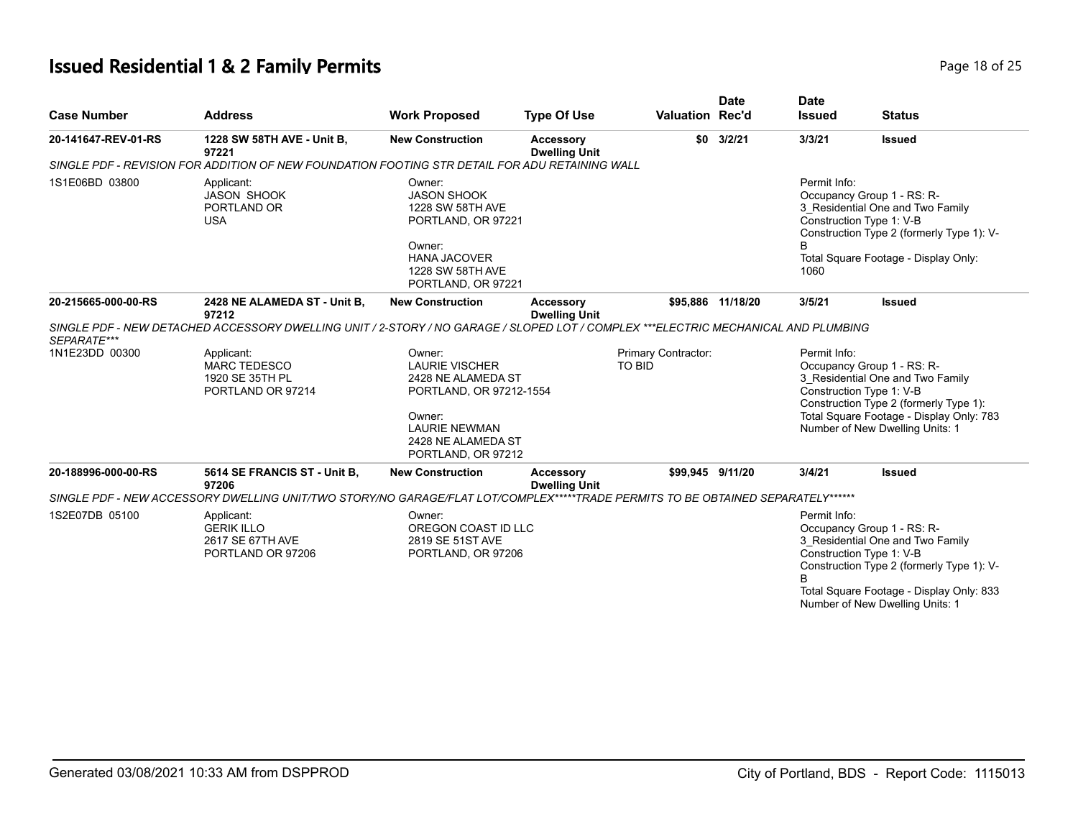# **Issued Residential 1 & 2 Family Permits Page 18 of 25 Page 18 of 25**

| <b>Case Number</b>  | <b>Address</b>                                                                                                                     | <b>Work Proposed</b>                                                                                                                                           | <b>Type Of Use</b>                       | <b>Valuation Rec'd</b>        | <b>Date</b>       | <b>Date</b><br><b>Issued</b> | <b>Status</b>                                                                                                                                                                                                          |
|---------------------|------------------------------------------------------------------------------------------------------------------------------------|----------------------------------------------------------------------------------------------------------------------------------------------------------------|------------------------------------------|-------------------------------|-------------------|------------------------------|------------------------------------------------------------------------------------------------------------------------------------------------------------------------------------------------------------------------|
| 20-141647-REV-01-RS | 1228 SW 58TH AVE - Unit B,<br>97221                                                                                                | <b>New Construction</b>                                                                                                                                        | <b>Accessory</b><br><b>Dwelling Unit</b> | \$0                           | 3/2/21            | 3/3/21                       | <b>Issued</b>                                                                                                                                                                                                          |
|                     | SINGLE PDF - REVISION FOR ADDITION OF NEW FOUNDATION FOOTING STR DETAIL FOR ADU RETAINING WALL                                     |                                                                                                                                                                |                                          |                               |                   |                              |                                                                                                                                                                                                                        |
| 1S1E06BD 03800      | Applicant:<br><b>JASON SHOOK</b><br>PORTLAND OR<br><b>USA</b>                                                                      | Owner:<br><b>JASON SHOOK</b><br>1228 SW 58TH AVE<br>PORTLAND, OR 97221<br>Owner:<br><b>HANA JACOVER</b><br>1228 SW 58TH AVE<br>PORTLAND, OR 97221              |                                          |                               |                   | Permit Info:<br>B<br>1060    | Occupancy Group 1 - RS: R-<br>3 Residential One and Two Family<br>Construction Type 1: V-B<br>Construction Type 2 (formerly Type 1): V-<br>Total Square Footage - Display Only:                                        |
| 20-215665-000-00-RS | 2428 NE ALAMEDA ST - Unit B,<br>97212                                                                                              | <b>New Construction</b>                                                                                                                                        | <b>Accessory</b><br><b>Dwelling Unit</b> |                               | \$95.886 11/18/20 | 3/5/21                       | <b>Issued</b>                                                                                                                                                                                                          |
| SEPARATE***         | SINGLE PDF - NEW DETACHED ACCESSORY DWELLING UNIT / 2-STORY / NO GARAGE / SLOPED LOT / COMPLEX ***ELECTRIC MECHANICAL AND PLUMBING |                                                                                                                                                                |                                          |                               |                   |                              |                                                                                                                                                                                                                        |
| 1N1E23DD 00300      | Applicant:<br><b>MARC TEDESCO</b><br>1920 SE 35TH PL<br>PORTLAND OR 97214                                                          | Owner:<br><b>LAURIE VISCHER</b><br>2428 NE ALAMEDA ST<br>PORTLAND, OR 97212-1554<br>Owner:<br><b>LAURIE NEWMAN</b><br>2428 NE ALAMEDA ST<br>PORTLAND, OR 97212 |                                          | Primary Contractor:<br>TO BID |                   | Permit Info:                 | Occupancy Group 1 - RS: R-<br>3_Residential One and Two Family<br>Construction Type 1: V-B<br>Construction Type 2 (formerly Type 1):<br>Total Square Footage - Display Only: 783<br>Number of New Dwelling Units: 1    |
| 20-188996-000-00-RS | 5614 SE FRANCIS ST - Unit B,<br>97206                                                                                              | <b>New Construction</b>                                                                                                                                        | Accessory<br><b>Dwelling Unit</b>        | \$99,945 9/11/20              |                   | 3/4/21                       | <b>Issued</b>                                                                                                                                                                                                          |
|                     | SINGLE PDF - NEW ACCESSORY DWELLING UNIT/TWO STORY/NO GARAGE/FLAT LOT/COMPLEX*****TRADE PERMITS TO BE OBTAINED SEPARATELY******    |                                                                                                                                                                |                                          |                               |                   |                              |                                                                                                                                                                                                                        |
| 1S2E07DB 05100      | Applicant:<br><b>GERIK ILLO</b><br>2617 SE 67TH AVE<br>PORTLAND OR 97206                                                           | Owner:<br>OREGON COAST ID LLC<br>2819 SE 51ST AVE<br>PORTLAND, OR 97206                                                                                        |                                          |                               |                   | Permit Info:<br><sub>R</sub> | Occupancy Group 1 - RS: R-<br>3_Residential One and Two Family<br>Construction Type 1: V-B<br>Construction Type 2 (formerly Type 1): V-<br>Total Square Footage - Display Only: 833<br>Number of New Dwelling Units: 1 |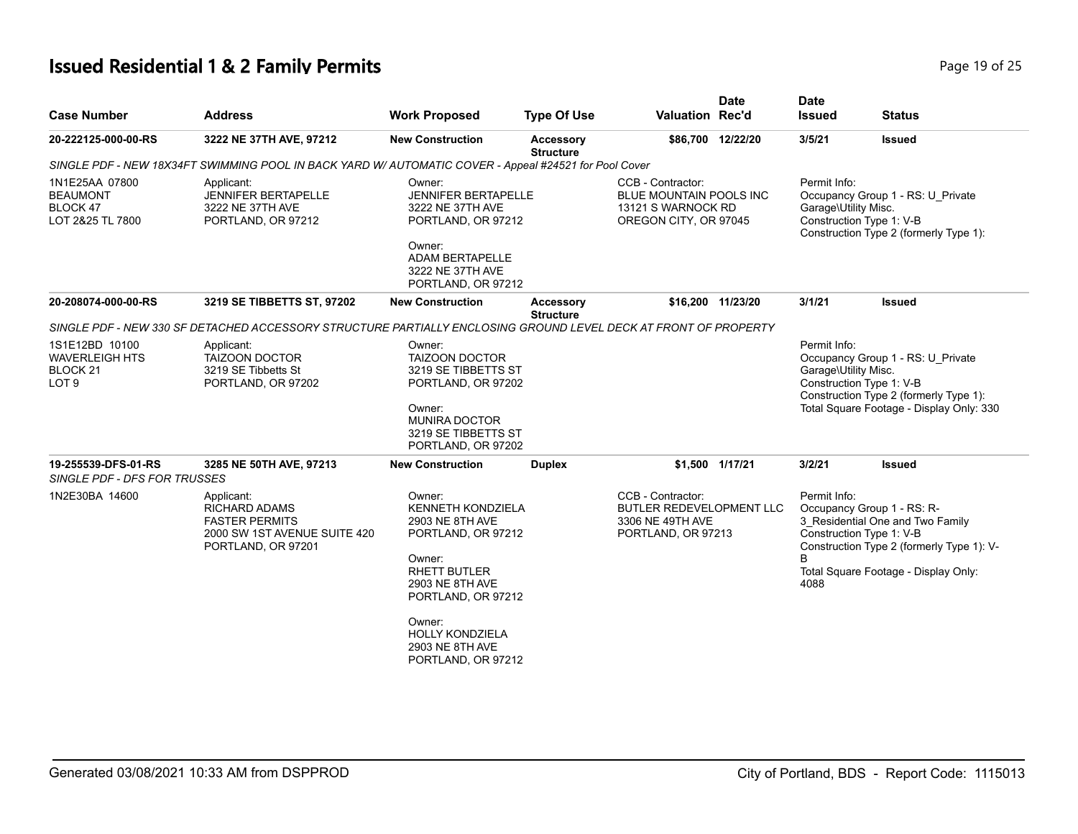# **Issued Residential 1 & 2 Family Permits Page 19 of 25 Page 19 of 25**

| <b>Case Number</b>                                                      | <b>Address</b>                                                                                                    | <b>Work Proposed</b>                                                                                                                                                                                                        | <b>Type Of Use</b>            | <b>Valuation Rec'd</b>                                                                             | <b>Date</b>       | <b>Date</b><br><b>Issued</b>         | <b>Status</b>                                                                                                                                                                   |
|-------------------------------------------------------------------------|-------------------------------------------------------------------------------------------------------------------|-----------------------------------------------------------------------------------------------------------------------------------------------------------------------------------------------------------------------------|-------------------------------|----------------------------------------------------------------------------------------------------|-------------------|--------------------------------------|---------------------------------------------------------------------------------------------------------------------------------------------------------------------------------|
| 20-222125-000-00-RS                                                     | 3222 NE 37TH AVE, 97212                                                                                           | <b>New Construction</b>                                                                                                                                                                                                     | Accessory<br><b>Structure</b> |                                                                                                    | \$86,700 12/22/20 | 3/5/21                               | <b>Issued</b>                                                                                                                                                                   |
|                                                                         | SINGLE PDF - NEW 18X34FT SWIMMING POOL IN BACK YARD W/ AUTOMATIC COVER - Appeal #24521 for Pool Cover             |                                                                                                                                                                                                                             |                               |                                                                                                    |                   |                                      |                                                                                                                                                                                 |
| 1N1E25AA 07800<br><b>BEAUMONT</b><br>BLOCK 47<br>LOT 2&25 TL 7800       | Applicant:<br><b>JENNIFER BERTAPELLE</b><br>3222 NE 37TH AVE<br>PORTLAND, OR 97212                                | Owner:<br><b>JENNIFER BERTAPELLE</b><br>3222 NE 37TH AVE<br>PORTLAND, OR 97212<br>Owner:<br>ADAM BERTAPELLE<br>3222 NE 37TH AVE<br>PORTLAND, OR 97212                                                                       |                               | CCB - Contractor:<br><b>BLUE MOUNTAIN POOLS INC</b><br>13121 S WARNOCK RD<br>OREGON CITY, OR 97045 |                   | Permit Info:<br>Garage\Utility Misc. | Occupancy Group 1 - RS: U_Private<br>Construction Type 1: V-B<br>Construction Type 2 (formerly Type 1):                                                                         |
| 20-208074-000-00-RS                                                     | 3219 SE TIBBETTS ST, 97202                                                                                        | <b>New Construction</b>                                                                                                                                                                                                     | Accessory<br><b>Structure</b> |                                                                                                    | \$16,200 11/23/20 | 3/1/21                               | <b>Issued</b>                                                                                                                                                                   |
|                                                                         | SINGLE PDF - NEW 330 SF DETACHED ACCESSORY STRUCTURE PARTIALLY ENCLOSING GROUND LEVEL DECK AT FRONT OF PROPERTY   |                                                                                                                                                                                                                             |                               |                                                                                                    |                   |                                      |                                                                                                                                                                                 |
| 1S1E12BD 10100<br><b>WAVERLEIGH HTS</b><br>BLOCK 21<br>LOT <sub>9</sub> | Applicant:<br><b>TAIZOON DOCTOR</b><br>3219 SE Tibbetts St<br>PORTLAND, OR 97202                                  | Owner:<br><b>TAIZOON DOCTOR</b><br>3219 SE TIBBETTS ST<br>PORTLAND, OR 97202<br>Owner:<br><b>MUNIRA DOCTOR</b><br>3219 SE TIBBETTS ST<br>PORTLAND, OR 97202                                                                 |                               |                                                                                                    |                   | Permit Info:<br>Garage\Utility Misc. | Occupancy Group 1 - RS: U Private<br>Construction Type 1: V-B<br>Construction Type 2 (formerly Type 1):<br>Total Square Footage - Display Only: 330                             |
| 19-255539-DFS-01-RS<br>SINGLE PDF - DFS FOR TRUSSES                     | 3285 NE 50TH AVE, 97213                                                                                           | <b>New Construction</b>                                                                                                                                                                                                     | <b>Duplex</b>                 |                                                                                                    | \$1,500 1/17/21   | 3/2/21                               | <b>Issued</b>                                                                                                                                                                   |
| 1N2E30BA 14600                                                          | Applicant:<br><b>RICHARD ADAMS</b><br><b>FASTER PERMITS</b><br>2000 SW 1ST AVENUE SUITE 420<br>PORTLAND, OR 97201 | Owner:<br><b>KENNETH KONDZIELA</b><br>2903 NE 8TH AVE<br>PORTLAND, OR 97212<br>Owner:<br>RHETT BUTLER<br>2903 NE 8TH AVE<br>PORTLAND, OR 97212<br>Owner:<br><b>HOLLY KONDZIELA</b><br>2903 NE 8TH AVE<br>PORTLAND, OR 97212 |                               | CCB - Contractor:<br><b>BUTLER REDEVELOPMENT LLC</b><br>3306 NE 49TH AVE<br>PORTLAND, OR 97213     |                   | Permit Info:<br>B.<br>4088           | Occupancy Group 1 - RS: R-<br>3_Residential One and Two Family<br>Construction Type 1: V-B<br>Construction Type 2 (formerly Type 1): V-<br>Total Square Footage - Display Only: |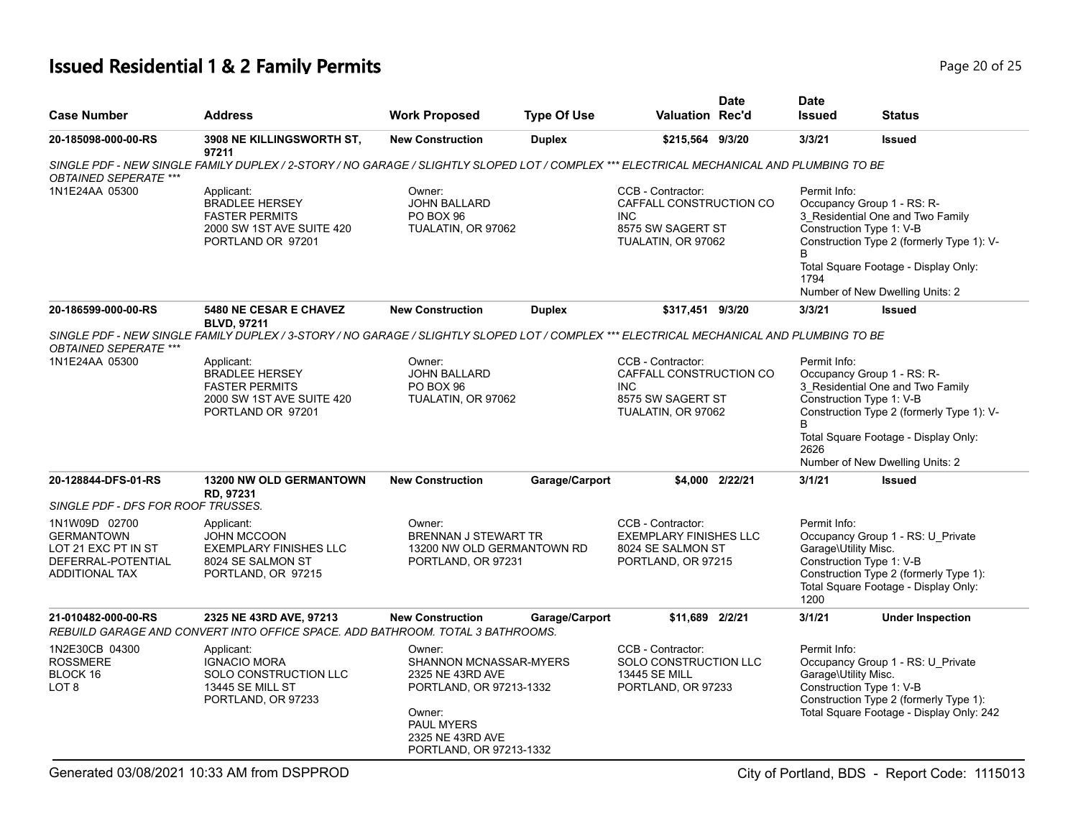# **Issued Residential 1 & 2 Family Permits Page 20 of 25 Page 20 of 25**

| <b>Case Number</b>                                                                                                                             | <b>Address</b>                                                                                                                           | <b>Work Proposed</b>                                                                                                                                   | <b>Type Of Use</b> | <b>Valuation Rec'd</b>                                                                                | <b>Date</b>     | <b>Date</b><br><b>Issued</b>                 | <b>Status</b>                                                                                                                                                                                                      |
|------------------------------------------------------------------------------------------------------------------------------------------------|------------------------------------------------------------------------------------------------------------------------------------------|--------------------------------------------------------------------------------------------------------------------------------------------------------|--------------------|-------------------------------------------------------------------------------------------------------|-----------------|----------------------------------------------|--------------------------------------------------------------------------------------------------------------------------------------------------------------------------------------------------------------------|
| 20-185098-000-00-RS                                                                                                                            | 3908 NE KILLINGSWORTH ST,<br>97211                                                                                                       | <b>New Construction</b>                                                                                                                                | <b>Duplex</b>      | \$215,564 9/3/20                                                                                      |                 | 3/3/21                                       | <b>Issued</b>                                                                                                                                                                                                      |
| <b>OBTAINED SEPERATE ***</b>                                                                                                                   | SINGLE PDF - NEW SINGLE FAMILY DUPLEX / 2-STORY / NO GARAGE / SLIGHTLY SLOPED LOT / COMPLEX *** ELECTRICAL MECHANICAL AND PLUMBING TO BE |                                                                                                                                                        |                    |                                                                                                       |                 |                                              |                                                                                                                                                                                                                    |
| 1N1E24AA 05300                                                                                                                                 | Applicant:<br><b>BRADLEE HERSEY</b><br><b>FASTER PERMITS</b><br>2000 SW 1ST AVE SUITE 420<br>PORTLAND OR 97201                           | Owner:<br><b>JOHN BALLARD</b><br>PO BOX 96<br>TUALATIN, OR 97062                                                                                       |                    | CCB - Contractor:<br>CAFFALL CONSTRUCTION CO<br><b>INC</b><br>8575 SW SAGERT ST<br>TUALATIN, OR 97062 |                 | Permit Info:<br><sub>R</sub><br>1794         | Occupancy Group 1 - RS: R-<br>3 Residential One and Two Family<br>Construction Type 1: V-B<br>Construction Type 2 (formerly Type 1): V-<br>Total Square Footage - Display Only:<br>Number of New Dwelling Units: 2 |
| 20-186599-000-00-RS                                                                                                                            | <b>5480 NE CESAR E CHAVEZ</b><br><b>BLVD, 97211</b>                                                                                      | <b>New Construction</b>                                                                                                                                | <b>Duplex</b>      | \$317,451 9/3/20                                                                                      |                 | 3/3/21                                       | <b>Issued</b>                                                                                                                                                                                                      |
| <b>OBTAINED SEPERATE ***</b>                                                                                                                   | SINGLE PDF - NEW SINGLE FAMILY DUPLEX / 3-STORY / NO GARAGE / SLIGHTLY SLOPED LOT / COMPLEX *** ELECTRICAL MECHANICAL AND PLUMBING TO BE |                                                                                                                                                        |                    |                                                                                                       |                 |                                              |                                                                                                                                                                                                                    |
| 1N1E24AA 05300                                                                                                                                 | Applicant:<br><b>BRADLEE HERSEY</b><br><b>FASTER PERMITS</b><br>2000 SW 1ST AVE SUITE 420<br>PORTLAND OR 97201                           | Owner:<br><b>JOHN BALLARD</b><br>PO BOX 96<br>TUALATIN, OR 97062                                                                                       |                    | CCB - Contractor:<br>CAFFALL CONSTRUCTION CO<br><b>INC</b><br>8575 SW SAGERT ST<br>TUALATIN, OR 97062 |                 | Permit Info:<br>2626                         | Occupancy Group 1 - RS: R-<br>3 Residential One and Two Family<br>Construction Type 1: V-B<br>Construction Type 2 (formerly Type 1): V-<br>Total Square Footage - Display Only:<br>Number of New Dwelling Units: 2 |
| 20-128844-DFS-01-RS                                                                                                                            | 13200 NW OLD GERMANTOWN<br>RD, 97231                                                                                                     | <b>New Construction</b>                                                                                                                                | Garage/Carport     |                                                                                                       | \$4,000 2/22/21 | 3/1/21                                       | <b>Issued</b>                                                                                                                                                                                                      |
| SINGLE PDF - DFS FOR ROOF TRUSSES.<br>1N1W09D 02700<br><b>GERMANTOWN</b><br>LOT 21 EXC PT IN ST<br>DEFERRAL-POTENTIAL<br><b>ADDITIONAL TAX</b> | Applicant:<br><b>JOHN MCCOON</b><br><b>EXEMPLARY FINISHES LLC</b><br>8024 SE SALMON ST<br>PORTLAND, OR 97215                             | Owner:<br>BRENNAN J STEWART TR<br>13200 NW OLD GERMANTOWN RD<br>PORTLAND, OR 97231                                                                     |                    | CCB - Contractor:<br><b>EXEMPLARY FINISHES LLC</b><br>8024 SE SALMON ST<br>PORTLAND, OR 97215         |                 | Permit Info:<br>Garage\Utility Misc.<br>1200 | Occupancy Group 1 - RS: U_Private<br>Construction Type 1: V-B<br>Construction Type 2 (formerly Type 1):<br>Total Square Footage - Display Only:                                                                    |
| 21-010482-000-00-RS                                                                                                                            | 2325 NE 43RD AVE, 97213<br>REBUILD GARAGE AND CONVERT INTO OFFICE SPACE. ADD BATHROOM. TOTAL 3 BATHROOMS.                                | <b>New Construction</b>                                                                                                                                | Garage/Carport     | \$11,689 2/2/21                                                                                       |                 | 3/1/21                                       | <b>Under Inspection</b>                                                                                                                                                                                            |
| 1N2E30CB 04300<br><b>ROSSMERE</b><br>BLOCK 16<br>LOT <sub>8</sub>                                                                              | Applicant:<br><b>IGNACIO MORA</b><br>SOLO CONSTRUCTION LLC<br><b>13445 SE MILL ST</b><br>PORTLAND, OR 97233                              | Owner:<br>SHANNON MCNASSAR-MYERS<br>2325 NE 43RD AVE<br>PORTLAND, OR 97213-1332<br>Owner:<br>PAUL MYERS<br>2325 NE 43RD AVE<br>PORTLAND, OR 97213-1332 |                    | CCB - Contractor:<br>SOLO CONSTRUCTION LLC<br>13445 SE MILL<br>PORTLAND, OR 97233                     |                 | Permit Info:<br>Garage\Utility Misc.         | Occupancy Group 1 - RS: U_Private<br>Construction Type 1: V-B<br>Construction Type 2 (formerly Type 1):<br>Total Square Footage - Display Only: 242                                                                |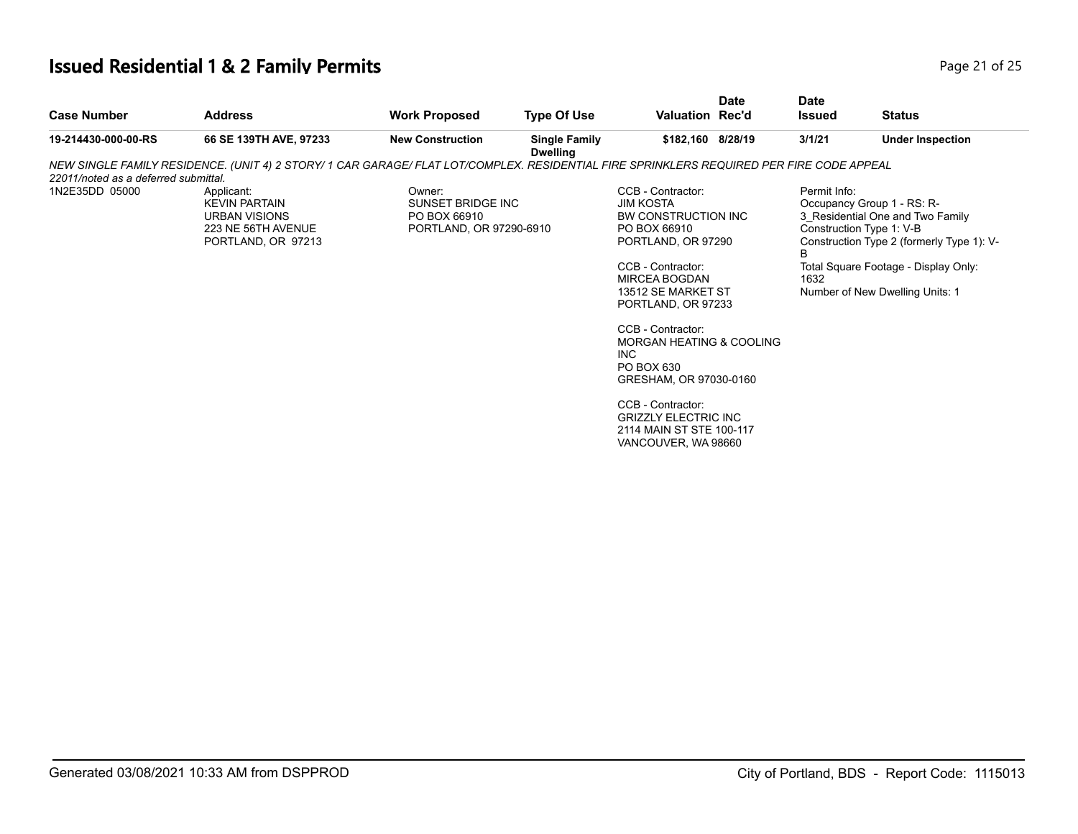## **Issued Residential 1 & 2 Family Permits Page 21 of 25 Page 21 of 25**

| <b>Case Number</b>                   | <b>Address</b>                                                                                                                           | <b>Work Proposed</b>                                                   | <b>Type Of Use</b>                      | <b>Valuation Rec'd</b>                                                                                                                                                                                                                                                                       | <b>Date</b> | <b>Date</b><br><b>Issued</b> | <b>Status</b>                                                                                                                                                                                                      |
|--------------------------------------|------------------------------------------------------------------------------------------------------------------------------------------|------------------------------------------------------------------------|-----------------------------------------|----------------------------------------------------------------------------------------------------------------------------------------------------------------------------------------------------------------------------------------------------------------------------------------------|-------------|------------------------------|--------------------------------------------------------------------------------------------------------------------------------------------------------------------------------------------------------------------|
| 19-214430-000-00-RS                  | 66 SE 139TH AVE, 97233                                                                                                                   | <b>New Construction</b>                                                | <b>Single Family</b><br><b>Dwelling</b> | \$182,160 8/28/19                                                                                                                                                                                                                                                                            |             | 3/1/21                       | <b>Under Inspection</b>                                                                                                                                                                                            |
|                                      | NEW SINGLE FAMILY RESIDENCE. (UNIT 4) 2 STORY/ 1 CAR GARAGE/ FLAT LOT/COMPLEX. RESIDENTIAL FIRE SPRINKLERS REQUIRED PER FIRE CODE APPEAL |                                                                        |                                         |                                                                                                                                                                                                                                                                                              |             |                              |                                                                                                                                                                                                                    |
| 22011/noted as a deferred submittal. |                                                                                                                                          |                                                                        |                                         |                                                                                                                                                                                                                                                                                              |             |                              |                                                                                                                                                                                                                    |
| 1N2E35DD 05000                       | Applicant:<br><b>KEVIN PARTAIN</b><br><b>URBAN VISIONS</b><br>223 NE 56TH AVENUE<br>PORTLAND, OR 97213                                   | Owner:<br>SUNSET BRIDGE INC<br>PO BOX 66910<br>PORTLAND, OR 97290-6910 |                                         | CCB - Contractor:<br><b>JIM KOSTA</b><br>BW CONSTRUCTION INC<br>PO BOX 66910<br>PORTLAND, OR 97290<br>CCB - Contractor:<br><b>MIRCEA BOGDAN</b><br>13512 SE MARKET ST<br>PORTLAND, OR 97233<br>CCB - Contractor:<br>MORGAN HEATING & COOLING<br>INC.<br>PO BOX 630<br>GRESHAM, OR 97030-0160 |             | Permit Info:<br>B<br>1632    | Occupancy Group 1 - RS: R-<br>3 Residential One and Two Family<br>Construction Type 1: V-B<br>Construction Type 2 (formerly Type 1): V-<br>Total Square Footage - Display Only:<br>Number of New Dwelling Units: 1 |
|                                      |                                                                                                                                          |                                                                        |                                         | CCB - Contractor:<br><b>GRIZZLY ELECTRIC INC</b><br>2114 MAIN ST STE 100-117<br>VANCOUVER, WA 98660                                                                                                                                                                                          |             |                              |                                                                                                                                                                                                                    |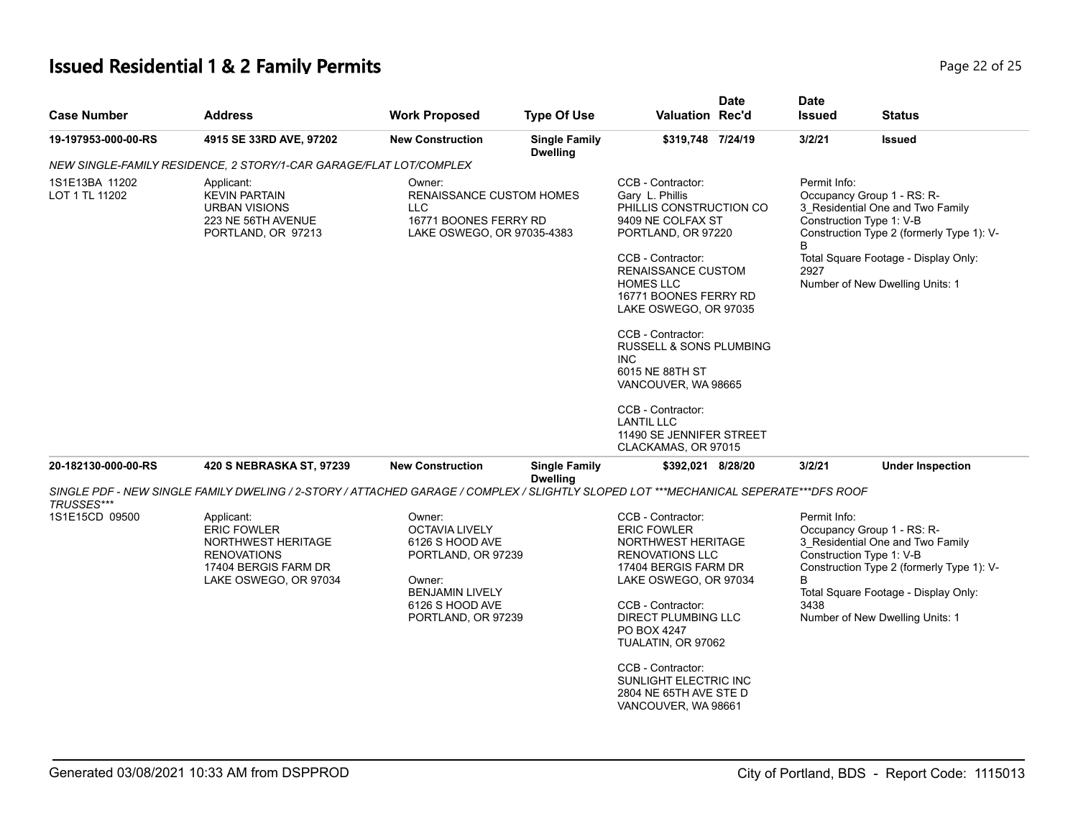## **Issued Residential 1 & 2 Family Permits**

| Page 22 of 25 |
|---------------|
|---------------|

| <b>Case Number</b>               | <b>Address</b>                                                                                                                       | <b>Work Proposed</b>                                                                                                                                  | <b>Type Of Use</b>                      | <b>Valuation Rec'd</b>                                                                                                                                                                                                                                                                                    | <b>Date</b> | <b>Date</b><br><b>Issued</b>                                                                                                                                 | <b>Status</b>           |  |
|----------------------------------|--------------------------------------------------------------------------------------------------------------------------------------|-------------------------------------------------------------------------------------------------------------------------------------------------------|-----------------------------------------|-----------------------------------------------------------------------------------------------------------------------------------------------------------------------------------------------------------------------------------------------------------------------------------------------------------|-------------|--------------------------------------------------------------------------------------------------------------------------------------------------------------|-------------------------|--|
| 19-197953-000-00-RS              | 4915 SE 33RD AVE, 97202                                                                                                              | <b>New Construction</b>                                                                                                                               | <b>Single Family</b><br><b>Dwelling</b> | \$319,748 7/24/19                                                                                                                                                                                                                                                                                         |             | 3/2/21                                                                                                                                                       | <b>Issued</b>           |  |
|                                  | NEW SINGLE-FAMILY RESIDENCE, 2 STORY/1-CAR GARAGE/FLAT LOT/COMPLEX                                                                   |                                                                                                                                                       |                                         |                                                                                                                                                                                                                                                                                                           |             |                                                                                                                                                              |                         |  |
| 1S1E13BA 11202<br>LOT 1 TL 11202 | Applicant:<br><b>KEVIN PARTAIN</b><br><b>URBAN VISIONS</b><br>223 NE 56TH AVENUE<br>PORTLAND, OR 97213                               | Owner:<br><b>RENAISSANCE CUSTOM HOMES</b><br><b>LLC</b><br>16771 BOONES FERRY RD<br>LAKE OSWEGO, OR 97035-4383                                        |                                         | CCB - Contractor:<br>Gary L. Phillis<br>PHILLIS CONSTRUCTION CO<br>9409 NE COLFAX ST<br>PORTLAND, OR 97220                                                                                                                                                                                                |             | Permit Info:<br>Occupancy Group 1 - RS: R-<br>3_Residential One and Two Family<br>Construction Type 1: V-B<br>Construction Type 2 (formerly Type 1): V-<br>B |                         |  |
|                                  |                                                                                                                                      |                                                                                                                                                       |                                         | CCB - Contractor:<br>RENAISSANCE CUSTOM<br><b>HOMES LLC</b><br>16771 BOONES FERRY RD<br>LAKE OSWEGO, OR 97035                                                                                                                                                                                             |             | Total Square Footage - Display Only:<br>2927<br>Number of New Dwelling Units: 1                                                                              |                         |  |
|                                  |                                                                                                                                      |                                                                                                                                                       |                                         | CCB - Contractor:<br><b>RUSSELL &amp; SONS PLUMBING</b><br>INC.<br>6015 NE 88TH ST                                                                                                                                                                                                                        |             |                                                                                                                                                              |                         |  |
|                                  |                                                                                                                                      |                                                                                                                                                       |                                         | VANCOUVER, WA 98665                                                                                                                                                                                                                                                                                       |             |                                                                                                                                                              |                         |  |
|                                  |                                                                                                                                      |                                                                                                                                                       |                                         | CCB - Contractor:<br><b>LANTIL LLC</b><br>11490 SE JENNIFER STREET<br>CLACKAMAS, OR 97015                                                                                                                                                                                                                 |             |                                                                                                                                                              |                         |  |
| 20-182130-000-00-RS              | 420 S NEBRASKA ST, 97239                                                                                                             | <b>New Construction</b>                                                                                                                               | <b>Single Family</b>                    | \$392,021 8/28/20                                                                                                                                                                                                                                                                                         |             | 3/2/21                                                                                                                                                       | <b>Under Inspection</b> |  |
| TRUSSES***                       | SINGLE PDF - NEW SINGLE FAMILY DWELING / 2-STORY / ATTACHED GARAGE / COMPLEX / SLIGHTLY SLOPED LOT ***MECHANICAL SEPERATE***DFS ROOF |                                                                                                                                                       | <b>Dwelling</b>                         |                                                                                                                                                                                                                                                                                                           |             |                                                                                                                                                              |                         |  |
| 1S1E15CD 09500                   | Applicant:<br><b>ERIC FOWLER</b><br>NORTHWEST HERITAGE<br><b>RENOVATIONS</b><br>17404 BERGIS FARM DR<br>LAKE OSWEGO, OR 97034        | Owner:<br><b>OCTAVIA LIVELY</b><br>6126 S HOOD AVE<br>PORTLAND, OR 97239<br>Owner:<br><b>BENJAMIN LIVELY</b><br>6126 S HOOD AVE<br>PORTLAND, OR 97239 |                                         | Permit Info:<br>CCB - Contractor:<br>Occupancy Group 1 - RS: R-<br><b>ERIC FOWLER</b><br>NORTHWEST HERITAGE<br>Construction Type 1: V-B<br>RENOVATIONS LLC<br>17404 BERGIS FARM DR<br>B<br>LAKE OSWEGO, OR 97034<br>CCB - Contractor:<br>3438<br>DIRECT PLUMBING LLC<br>PO BOX 4247<br>TUALATIN, OR 97062 |             | 3 Residential One and Two Family<br>Construction Type 2 (formerly Type 1): V-<br>Total Square Footage - Display Only:<br>Number of New Dwelling Units: 1     |                         |  |
|                                  |                                                                                                                                      |                                                                                                                                                       |                                         | CCB - Contractor:<br>SUNLIGHT ELECTRIC INC<br>2804 NE 65TH AVE STE D<br>VANCOUVER, WA 98661                                                                                                                                                                                                               |             |                                                                                                                                                              |                         |  |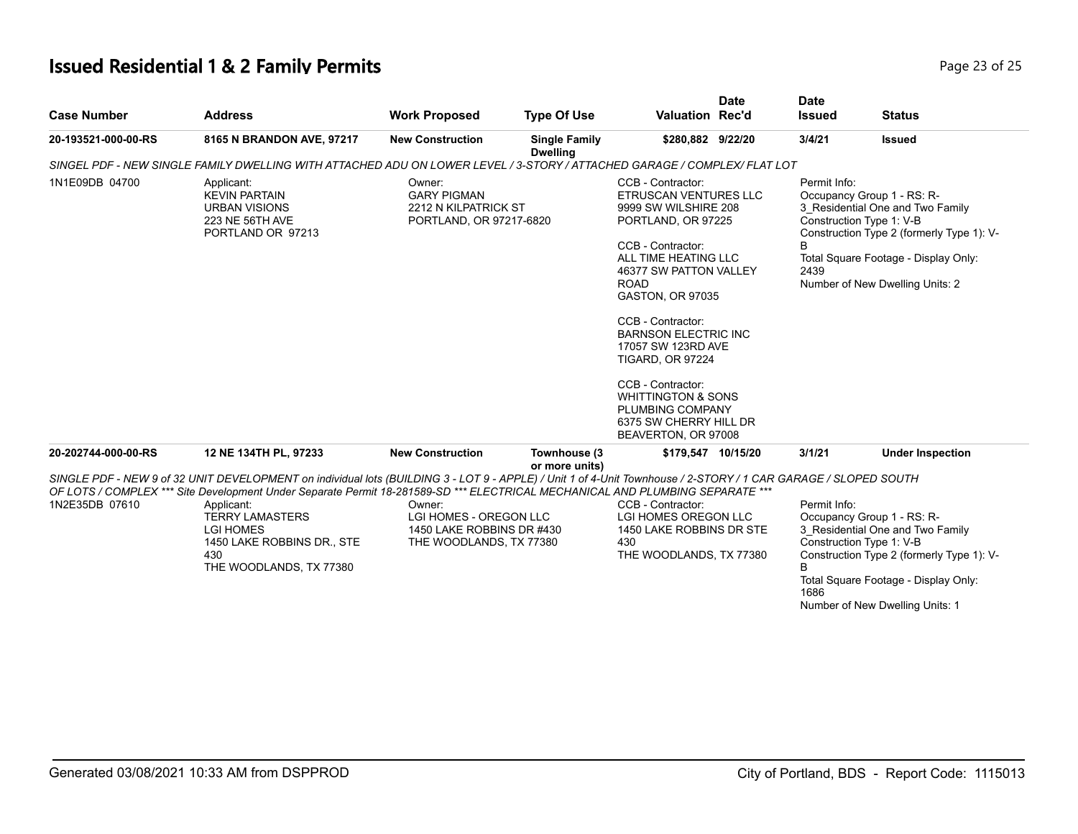## **Issued Residential 1 & 2 Family Permits Page 23 of 25** and **Page 23 of 25**

| <b>Case Number</b>                                                                                                                                                                                                                                                                                                                                                                                                                            | <b>Address</b>                                                                                                           | <b>Work Proposed</b>                                                                     | <b>Type Of Use</b>                      | <b>Valuation Rec'd</b>                                                                                                                                                                                                                                                                                                                                                                                             | <b>Date</b> | <b>Date</b><br><b>Issued</b> | <b>Status</b>                                                                                                                                                                                                      |  |
|-----------------------------------------------------------------------------------------------------------------------------------------------------------------------------------------------------------------------------------------------------------------------------------------------------------------------------------------------------------------------------------------------------------------------------------------------|--------------------------------------------------------------------------------------------------------------------------|------------------------------------------------------------------------------------------|-----------------------------------------|--------------------------------------------------------------------------------------------------------------------------------------------------------------------------------------------------------------------------------------------------------------------------------------------------------------------------------------------------------------------------------------------------------------------|-------------|------------------------------|--------------------------------------------------------------------------------------------------------------------------------------------------------------------------------------------------------------------|--|
| 20-193521-000-00-RS                                                                                                                                                                                                                                                                                                                                                                                                                           | 8165 N BRANDON AVE, 97217                                                                                                | <b>New Construction</b>                                                                  | <b>Single Family</b><br><b>Dwelling</b> | \$280,882 9/22/20                                                                                                                                                                                                                                                                                                                                                                                                  |             | 3/4/21                       | <b>Issued</b>                                                                                                                                                                                                      |  |
|                                                                                                                                                                                                                                                                                                                                                                                                                                               | SINGEL PDF - NEW SINGLE FAMILY DWELLING WITH ATTACHED ADU ON LOWER LEVEL / 3-STORY / ATTACHED GARAGE / COMPLEX/ FLAT LOT |                                                                                          |                                         |                                                                                                                                                                                                                                                                                                                                                                                                                    |             |                              |                                                                                                                                                                                                                    |  |
| 1N1E09DB 04700                                                                                                                                                                                                                                                                                                                                                                                                                                | Applicant:<br><b>KEVIN PARTAIN</b><br><b>URBAN VISIONS</b><br>223 NE 56TH AVE<br>PORTLAND OR 97213                       | Owner:<br><b>GARY PIGMAN</b><br>2212 N KILPATRICK ST<br>PORTLAND, OR 97217-6820          |                                         | CCB - Contractor:<br>ETRUSCAN VENTURES LLC<br>9999 SW WILSHIRE 208<br>PORTLAND, OR 97225<br>CCB - Contractor:<br>ALL TIME HEATING LLC<br>46377 SW PATTON VALLEY<br><b>ROAD</b><br><b>GASTON, OR 97035</b><br>CCB - Contractor:<br><b>BARNSON ELECTRIC INC</b><br>17057 SW 123RD AVE<br><b>TIGARD, OR 97224</b><br>CCB - Contractor:<br><b>WHITTINGTON &amp; SONS</b><br>PLUMBING COMPANY<br>6375 SW CHERRY HILL DR |             | Permit Info:<br>2439         | Occupancy Group 1 - RS: R-<br>3 Residential One and Two Family<br>Construction Type 1: V-B<br>Construction Type 2 (formerly Type 1): V-<br>Total Square Footage - Display Only:<br>Number of New Dwelling Units: 2 |  |
| 20-202744-000-00-RS                                                                                                                                                                                                                                                                                                                                                                                                                           | 12 NE 134TH PL, 97233                                                                                                    | <b>New Construction</b>                                                                  | Townhouse (3<br>or more units)          | \$179,547 10/15/20                                                                                                                                                                                                                                                                                                                                                                                                 |             | 3/1/21                       | <b>Under Inspection</b>                                                                                                                                                                                            |  |
| SINGLE PDF - NEW 9 of 32 UNIT DEVELOPMENT on individual lots (BUILDING 3 - LOT 9 - APPLE) / Unit 1 of 4-Unit Townhouse / 2-STORY / 1 CAR GARAGE / SLOPED SOUTH<br>OF LOTS / COMPLEX *** Site Development Under Separate Permit 18-281589-SD *** ELECTRICAL MECHANICAL AND PLUMBING SEPARATE ***<br>1N2E35DB 07610<br>Applicant:<br><b>TERRY LAMASTERS</b><br><b>LGI HOMES</b><br>1450 LAKE ROBBINS DR., STE<br>430<br>THE WOODLANDS, TX 77380 |                                                                                                                          | Owner:<br>LGI HOMES - OREGON LLC<br>1450 LAKE ROBBINS DR #430<br>THE WOODLANDS, TX 77380 |                                         | CCB - Contractor:<br>LGI HOMES OREGON LLC<br>1450 LAKE ROBBINS DR STE<br>430<br>THE WOODLANDS, TX 77380                                                                                                                                                                                                                                                                                                            |             | Permit Info:<br>1686         | Occupancy Group 1 - RS: R-<br>3 Residential One and Two Family<br>Construction Type 1: V-B<br>Construction Type 2 (formerly Type 1): V-<br>Total Square Footage - Display Only:<br>Number of New Dwelling Units: 1 |  |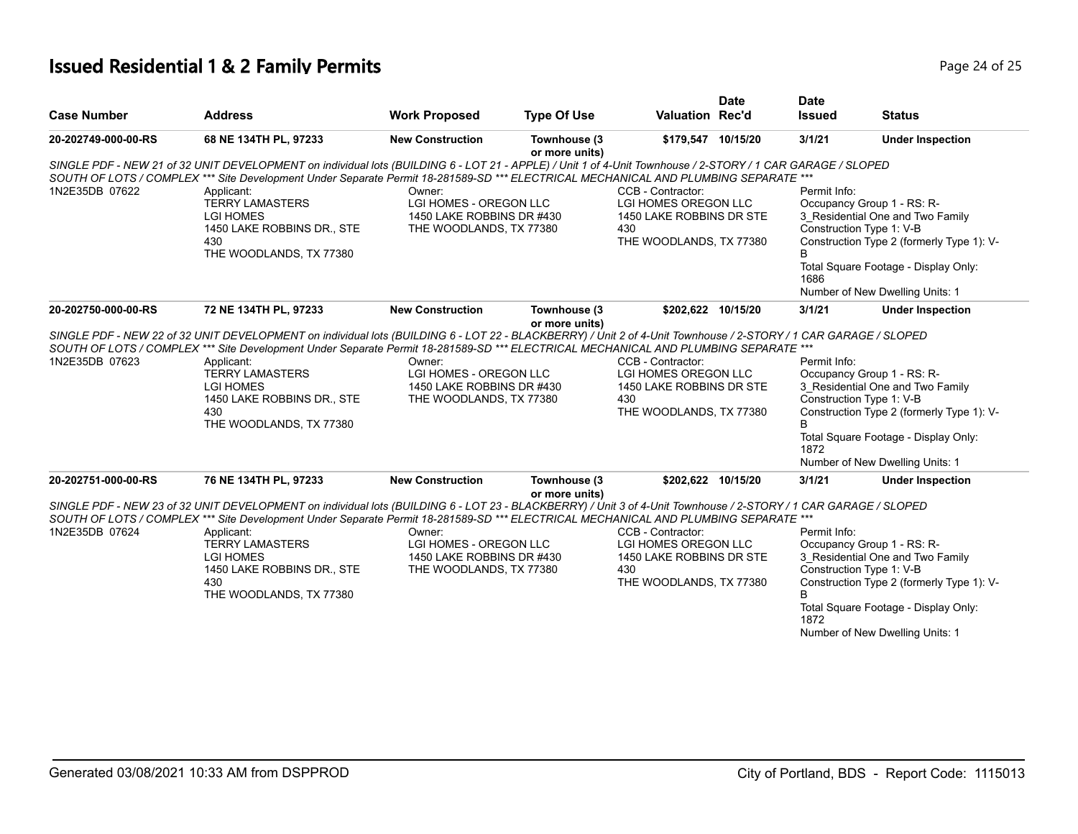## **Issued Residential 1 & 2 Family Permits Page 24 of 25 Page 24 of 25**

|                                                                                                                                                                                                                                                                                                                          |                                                                                                                                                                                                                                                                                                                 |                                                      |                                |                                                         | <b>Date</b> | <b>Date</b>                |                                                                |  |  |
|--------------------------------------------------------------------------------------------------------------------------------------------------------------------------------------------------------------------------------------------------------------------------------------------------------------------------|-----------------------------------------------------------------------------------------------------------------------------------------------------------------------------------------------------------------------------------------------------------------------------------------------------------------|------------------------------------------------------|--------------------------------|---------------------------------------------------------|-------------|----------------------------|----------------------------------------------------------------|--|--|
| <b>Case Number</b>                                                                                                                                                                                                                                                                                                       | <b>Address</b>                                                                                                                                                                                                                                                                                                  | <b>Work Proposed</b>                                 | <b>Type Of Use</b>             | Valuation Rec'd                                         |             | <b>Issued</b>              | <b>Status</b>                                                  |  |  |
| 20-202749-000-00-RS                                                                                                                                                                                                                                                                                                      | 68 NE 134TH PL, 97233                                                                                                                                                                                                                                                                                           | <b>New Construction</b>                              | Townhouse (3<br>or more units) | \$179,547 10/15/20                                      |             | 3/1/21                     | <b>Under Inspection</b>                                        |  |  |
| 1N2E35DB 07622                                                                                                                                                                                                                                                                                                           | SINGLE PDF - NEW 21 of 32 UNIT DEVELOPMENT on individual lots (BUILDING 6 - LOT 21 - APPLE) / Unit 1 of 4-Unit Townhouse / 2-STORY / 1 CAR GARAGE / SLOPED<br>SOUTH OF LOTS / COMPLEX *** Site Development Under Separate Permit 18-281589-SD *** ELECTRICAL MECHANICAL AND PLUMBING SEPARATE ***<br>Applicant: | Owner:                                               |                                | CCB - Contractor:                                       |             | Permit Info:               |                                                                |  |  |
|                                                                                                                                                                                                                                                                                                                          | <b>TERRY LAMASTERS</b><br><b>LGI HOMES</b>                                                                                                                                                                                                                                                                      | LGI HOMES - OREGON LLC<br>1450 LAKE ROBBINS DR #430  |                                | <b>LGI HOMES OREGON LLC</b><br>1450 LAKE ROBBINS DR STE |             |                            | Occupancy Group 1 - RS: R-<br>3 Residential One and Two Family |  |  |
|                                                                                                                                                                                                                                                                                                                          | 1450 LAKE ROBBINS DR., STE                                                                                                                                                                                                                                                                                      | THE WOODLANDS, TX 77380                              |                                | 430                                                     |             | Construction Type 1: V-B   |                                                                |  |  |
|                                                                                                                                                                                                                                                                                                                          | 430<br>THE WOODLANDS, TX 77380                                                                                                                                                                                                                                                                                  |                                                      |                                | THE WOODLANDS, TX 77380                                 |             | В                          | Construction Type 2 (formerly Type 1): V-                      |  |  |
|                                                                                                                                                                                                                                                                                                                          |                                                                                                                                                                                                                                                                                                                 |                                                      |                                |                                                         |             | 1686                       | Total Square Footage - Display Only:                           |  |  |
|                                                                                                                                                                                                                                                                                                                          |                                                                                                                                                                                                                                                                                                                 |                                                      |                                |                                                         |             |                            | Number of New Dwelling Units: 1                                |  |  |
| 20-202750-000-00-RS                                                                                                                                                                                                                                                                                                      | 72 NE 134TH PL, 97233                                                                                                                                                                                                                                                                                           | <b>New Construction</b>                              | Townhouse (3                   | \$202,622 10/15/20                                      |             | 3/1/21                     | <b>Under Inspection</b>                                        |  |  |
| or more units)<br>SINGLE PDF - NEW 22 of 32 UNIT DEVELOPMENT on individual lots (BUILDING 6 - LOT 22 - BLACKBERRY) / Unit 2 of 4-Unit Townhouse / 2-STORY / 1 CAR GARAGE / SLOPED<br>SOUTH OF LOTS / COMPLEX *** Site Development Under Separate Permit 18-281589-SD *** ELECTRICAL MECHANICAL AND PLUMBING SEPARATE *** |                                                                                                                                                                                                                                                                                                                 |                                                      |                                |                                                         |             |                            |                                                                |  |  |
| 1N2E35DB 07623                                                                                                                                                                                                                                                                                                           | Applicant:                                                                                                                                                                                                                                                                                                      | Owner:                                               |                                | CCB - Contractor:                                       |             | Permit Info:               |                                                                |  |  |
|                                                                                                                                                                                                                                                                                                                          | <b>TERRY LAMASTERS</b>                                                                                                                                                                                                                                                                                          | LGI HOMES - OREGON LLC                               |                                | LGI HOMES OREGON LLC                                    |             | Occupancy Group 1 - RS: R- |                                                                |  |  |
|                                                                                                                                                                                                                                                                                                                          | <b>LGI HOMES</b><br>1450 LAKE ROBBINS DR., STE                                                                                                                                                                                                                                                                  | 1450 LAKE ROBBINS DR #430<br>THE WOODLANDS, TX 77380 |                                | 1450 LAKE ROBBINS DR STE<br>430                         |             | Construction Type 1: V-B   | 3_Residential One and Two Family                               |  |  |
|                                                                                                                                                                                                                                                                                                                          | 430<br>THE WOODLANDS, TX 77380                                                                                                                                                                                                                                                                                  |                                                      |                                | THE WOODLANDS, TX 77380                                 |             |                            | Construction Type 2 (formerly Type 1): V-                      |  |  |
|                                                                                                                                                                                                                                                                                                                          |                                                                                                                                                                                                                                                                                                                 |                                                      |                                |                                                         |             | 1872                       | Total Square Footage - Display Only:                           |  |  |
|                                                                                                                                                                                                                                                                                                                          |                                                                                                                                                                                                                                                                                                                 |                                                      |                                |                                                         |             |                            | Number of New Dwelling Units: 1                                |  |  |
| 20-202751-000-00-RS                                                                                                                                                                                                                                                                                                      | 76 NE 134TH PL, 97233                                                                                                                                                                                                                                                                                           | <b>New Construction</b>                              | Townhouse (3<br>or more units) | \$202,622 10/15/20                                      |             | 3/1/21                     | <b>Under Inspection</b>                                        |  |  |
|                                                                                                                                                                                                                                                                                                                          | SINGLE PDF - NEW 23 of 32 UNIT DEVELOPMENT on individual lots (BUILDING 6 - LOT 23 - BLACKBERRY) / Unit 3 of 4-Unit Townhouse / 2-STORY / 1 CAR GARAGE / SLOPED                                                                                                                                                 |                                                      |                                |                                                         |             |                            |                                                                |  |  |
| SOUTH OF LOTS / COMPLEX *** Site Development Under Separate Permit 18-281589-SD *** ELECTRICAL MECHANICAL AND PLUMBING SEPARATE ***<br>1N2E35DB 07624<br>Permit Info:<br>Applicant:<br>Owner:<br>CCB - Contractor:                                                                                                       |                                                                                                                                                                                                                                                                                                                 |                                                      |                                |                                                         |             |                            |                                                                |  |  |
|                                                                                                                                                                                                                                                                                                                          | <b>TERRY LAMASTERS</b>                                                                                                                                                                                                                                                                                          | LGI HOMES - OREGON LLC                               |                                | LGI HOMES OREGON LLC                                    |             |                            | Occupancy Group 1 - RS: R-                                     |  |  |
|                                                                                                                                                                                                                                                                                                                          | <b>LGI HOMES</b>                                                                                                                                                                                                                                                                                                | 1450 LAKE ROBBINS DR #430                            |                                | 1450 LAKE ROBBINS DR STE                                |             |                            | 3 Residential One and Two Family                               |  |  |
|                                                                                                                                                                                                                                                                                                                          | 1450 LAKE ROBBINS DR., STE<br>430                                                                                                                                                                                                                                                                               | THE WOODLANDS, TX 77380                              |                                | 430<br>THE WOODLANDS, TX 77380                          |             | Construction Type 1: V-B   | Construction Type 2 (formerly Type 1): V-                      |  |  |
|                                                                                                                                                                                                                                                                                                                          | THE WOODLANDS, TX 77380                                                                                                                                                                                                                                                                                         |                                                      |                                |                                                         |             | <sub>R</sub>               |                                                                |  |  |
|                                                                                                                                                                                                                                                                                                                          |                                                                                                                                                                                                                                                                                                                 |                                                      |                                |                                                         |             | 1872                       | Total Square Footage - Display Only:                           |  |  |
|                                                                                                                                                                                                                                                                                                                          |                                                                                                                                                                                                                                                                                                                 |                                                      |                                |                                                         |             |                            | Number of New Dwelling Units: 1                                |  |  |